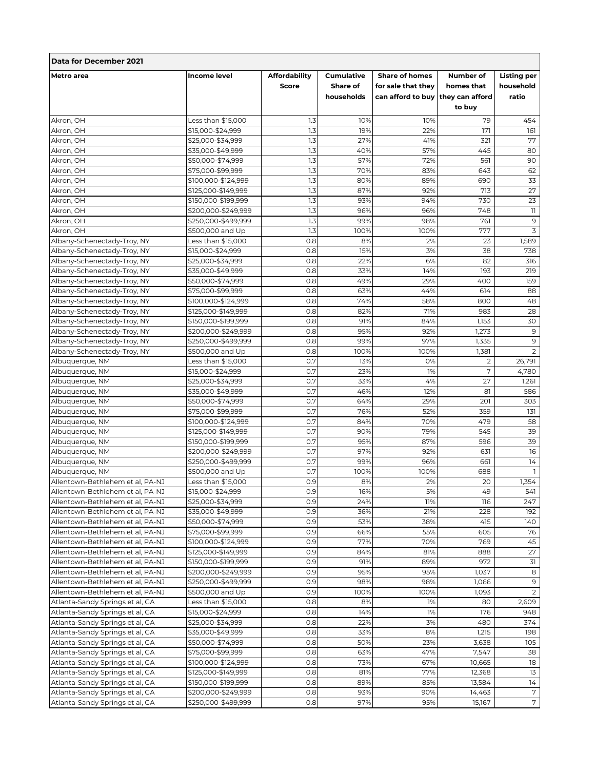| Data for December 2021             |                                        |                                      |                                             |                                                                                  |                                   |                                          |  |  |  |
|------------------------------------|----------------------------------------|--------------------------------------|---------------------------------------------|----------------------------------------------------------------------------------|-----------------------------------|------------------------------------------|--|--|--|
| <b>Metro</b> area                  | <b>Income level</b>                    | <b>Affordability</b><br><b>Score</b> | <b>Cumulative</b><br>Share of<br>households | <b>Share of homes</b><br>for sale that they<br>can afford to buy they can afford | Number of<br>homes that<br>to buy | <b>Listing per</b><br>household<br>ratio |  |  |  |
| Akron, OH                          | Less than \$15,000                     | 1.3                                  | 10%                                         | 10%                                                                              | 79                                | 454                                      |  |  |  |
| Akron, OH                          | \$15,000-\$24,999                      | 1.3                                  | 19%                                         | 22%                                                                              | 171                               | 161                                      |  |  |  |
| Akron, OH                          | \$25,000-\$34,999                      | 1.3                                  | 27%                                         | 41%                                                                              | 321                               | 77                                       |  |  |  |
| Akron, OH                          | \$35,000-\$49,999                      | 1.3                                  | 40%                                         | 57%                                                                              | 445                               | 80                                       |  |  |  |
| Akron, OH                          | \$50,000-\$74,999                      | 1.3                                  | 57%                                         | 72%                                                                              | 561                               | 90                                       |  |  |  |
| Akron, OH                          | \$75,000-\$99,999                      | 1.3                                  | 70%                                         | 83%                                                                              | 643                               | 62                                       |  |  |  |
| Akron, OH                          | \$100,000-\$124,999                    | 1.3                                  | 80%                                         | 89%                                                                              | 690                               | 33                                       |  |  |  |
| Akron, OH                          | \$125,000-\$149,999                    | 1.3                                  | 87%                                         | 92%                                                                              | 713                               | 27                                       |  |  |  |
| Akron, OH                          | \$150,000-\$199,999                    | 1.3                                  | 93%                                         | 94%                                                                              | 730                               | 23                                       |  |  |  |
| Akron, OH                          | \$200,000-\$249,999                    | 1.3                                  | 96%                                         | 96%                                                                              | 748                               | $\overline{\mathbf{1}}$                  |  |  |  |
| Akron, OH                          | \$250,000-\$499,999                    | 1.3                                  | 99%                                         | 98%                                                                              | 761                               | 9                                        |  |  |  |
| Akron, OH                          | \$500,000 and Up                       | 1.3                                  | 100%                                        | 100%                                                                             | 777                               | 3                                        |  |  |  |
| Albany-Schenectady-Troy, NY        | Less than \$15,000                     | 0.8                                  | 8%                                          | 2%                                                                               | 23                                | 1,589                                    |  |  |  |
| Albany-Schenectady-Troy, NY        | \$15,000-\$24,999                      | 0.8                                  | 15%                                         | 3%                                                                               | 38                                | 738                                      |  |  |  |
| Albany-Schenectady-Troy, NY        | \$25,000-\$34,999                      | 0.8                                  | 22%                                         | 6%                                                                               | 82                                | 316                                      |  |  |  |
| Albany-Schenectady-Troy, NY        | \$35,000-\$49,999                      | 0.8                                  | 33%                                         | 14%                                                                              | 193                               | 219                                      |  |  |  |
| Albany-Schenectady-Troy, NY        | \$50,000-\$74,999                      | 0.8                                  | 49%                                         | 29%                                                                              | 400                               | 159                                      |  |  |  |
| Albany-Schenectady-Troy, NY        | \$75,000-\$99,999                      | 0.8                                  | 63%                                         | 44%                                                                              | 614                               | 88                                       |  |  |  |
| Albany-Schenectady-Troy, NY        | \$100,000-\$124,999                    | 0.8                                  | 74%                                         | 58%                                                                              | 800                               | 48                                       |  |  |  |
| Albany-Schenectady-Troy, NY        | \$125,000-\$149,999                    | 0.8                                  | 82%                                         | 71%                                                                              | 983                               | 28                                       |  |  |  |
| Albany-Schenectady-Troy, NY        | \$150,000-\$199,999                    | 0.8                                  | 91%                                         | 84%                                                                              | 1,153                             | 30                                       |  |  |  |
| Albany-Schenectady-Troy, NY        | \$200,000-\$249,999                    | 0.8                                  | 95%                                         | 92%                                                                              | 1,273                             | 9                                        |  |  |  |
| Albany-Schenectady-Troy, NY        | \$250,000-\$499,999                    | 0.8                                  | 99%                                         | 97%                                                                              | 1,335                             | $\mathsf 9$                              |  |  |  |
| Albany-Schenectady-Troy, NY        | \$500,000 and Up                       | 0.8                                  | 100%                                        | 100%                                                                             | 1,381                             | $\overline{2}$                           |  |  |  |
| Albuquerque, NM                    | Less than \$15,000                     | 0.7                                  | 13%                                         | 0%                                                                               | $\overline{2}$                    | 26,791                                   |  |  |  |
| Albuquerque, NM                    | \$15,000-\$24,999                      | 0.7                                  | 23%                                         | 1%                                                                               | 7                                 | 4,780                                    |  |  |  |
| Albuquerque, NM                    | \$25,000-\$34,999                      | 0.7<br>0.7                           | 33%                                         | 4%                                                                               | 27                                | 1,261                                    |  |  |  |
| Albuquerque, NM                    | \$35,000-\$49,999                      | 0.7                                  | 46%<br>64%                                  | 12%<br>29%                                                                       | 81<br>201                         | 586<br>303                               |  |  |  |
| Albuquerque, NM<br>Albuquerque, NM | \$50,000-\$74,999<br>\$75,000-\$99,999 | 0.7                                  | 76%                                         | 52%                                                                              | 359                               | 131                                      |  |  |  |
| Albuquerque, NM                    | \$100,000-\$124,999                    | 0.7                                  | 84%                                         | 70%                                                                              | 479                               | 58                                       |  |  |  |
| Albuquerque, NM                    | \$125,000-\$149,999                    | 0.7                                  | 90%                                         | 79%                                                                              | 545                               | 39                                       |  |  |  |
| Albuquerque, NM                    | \$150,000-\$199,999                    | 0.7                                  | 95%                                         | 87%                                                                              | 596                               | 39                                       |  |  |  |
| Albuquerque, NM                    | \$200,000-\$249,999                    | 0.7                                  | 97%                                         | 92%                                                                              | 631                               | 16                                       |  |  |  |
| Albuguergue, NM                    | \$250,000-\$499,999                    | 0.7                                  | 99%                                         | 96%                                                                              | 661                               | 14                                       |  |  |  |
| Albuquerque, NM                    | \$500,000 and Up                       | 0.7                                  | 100%                                        | 100%                                                                             | 688                               | 1                                        |  |  |  |
| Allentown-Bethlehem et al, PA-NJ   | Less than \$15,000                     | 0.9                                  | 8%                                          | 2%                                                                               | 20                                | 1,354                                    |  |  |  |
| Allentown-Bethlehem et al, PA-NJ   | \$15,000-\$24,999                      | 0.9                                  | 16%                                         | 5%                                                                               | 49                                | 541                                      |  |  |  |
| Allentown-Bethlehem et al, PA-NJ   | \$25,000-\$34,999                      | 0.9                                  | 24%                                         | 11%                                                                              | 116                               | 247                                      |  |  |  |
| Allentown-Bethlehem et al, PA-NJ   | \$35,000-\$49,999                      | 0.9                                  | 36%                                         | 21%                                                                              | 228                               | 192                                      |  |  |  |
| Allentown-Bethlehem et al, PA-NJ   | \$50,000-\$74,999                      | 0.9                                  | 53%                                         | 38%                                                                              | 415                               | 140                                      |  |  |  |
| Allentown-Bethlehem et al, PA-NJ   | \$75,000-\$99,999                      | 0.9                                  | 66%                                         | 55%                                                                              | 605                               | 76                                       |  |  |  |
| Allentown-Bethlehem et al, PA-NJ   | \$100,000-\$124,999                    | 0.9                                  | 77%                                         | 70%                                                                              | 769                               | 45                                       |  |  |  |
| Allentown-Bethlehem et al, PA-NJ   | \$125,000-\$149,999                    | 0.9                                  | 84%                                         | 81%                                                                              | 888                               | 27                                       |  |  |  |
| Allentown-Bethlehem et al, PA-NJ   | \$150,000-\$199,999                    | 0.9                                  | 91%                                         | 89%                                                                              | 972                               | 31                                       |  |  |  |
| Allentown-Bethlehem et al, PA-NJ   | \$200,000-\$249,999                    | 0.9                                  | 95%                                         | 95%                                                                              | 1,037                             | 8                                        |  |  |  |
| Allentown-Bethlehem et al, PA-NJ   | \$250,000-\$499,999                    | 0.9                                  | 98%                                         | 98%                                                                              | 1,066                             | 9                                        |  |  |  |
| Allentown-Bethlehem et al, PA-NJ   | \$500,000 and Up                       | 0.9                                  | 100%                                        | 100%                                                                             | 1,093                             | $\overline{2}$                           |  |  |  |
| Atlanta-Sandy Springs et al, GA    | Less than \$15,000                     | 0.8                                  | 8%                                          | 1%                                                                               | 80                                | 2,609                                    |  |  |  |
| Atlanta-Sandy Springs et al, GA    | \$15,000-\$24,999                      | 0.8                                  | 14%                                         | 1%                                                                               | 176                               | 948                                      |  |  |  |
| Atlanta-Sandy Springs et al, GA    | \$25,000-\$34,999                      | 0.8                                  | 22%                                         | 3%                                                                               | 480                               | 374                                      |  |  |  |
| Atlanta-Sandy Springs et al, GA    | \$35,000-\$49,999                      | 0.8                                  | 33%                                         | 8%                                                                               | 1,215                             | 198                                      |  |  |  |
| Atlanta-Sandy Springs et al, GA    | \$50,000-\$74,999                      | 0.8                                  | 50%                                         | 23%                                                                              | 3,638                             | 105                                      |  |  |  |
| Atlanta-Sandy Springs et al, GA    | \$75,000-\$99,999                      | 0.8                                  | 63%                                         | 47%                                                                              | 7,547                             | 38                                       |  |  |  |
| Atlanta-Sandy Springs et al, GA    | \$100,000-\$124,999                    | 0.8                                  | 73%                                         | 67%                                                                              | 10,665                            | 18                                       |  |  |  |
| Atlanta-Sandy Springs et al, GA    | \$125,000-\$149,999                    | 0.8                                  | 81%                                         | 77%                                                                              | 12,368                            | 13                                       |  |  |  |
| Atlanta-Sandy Springs et al, GA    | \$150,000-\$199,999                    | 0.8                                  | 89%                                         | 85%                                                                              | 13,584                            | 14                                       |  |  |  |
| Atlanta-Sandy Springs et al, GA    | \$200,000-\$249,999                    | 0.8                                  | 93%                                         | 90%                                                                              | 14,463                            | $7\phantom{.0}$                          |  |  |  |
| Atlanta-Sandy Springs et al, GA    | \$250,000-\$499,999                    | 0.8                                  | 97%                                         | 95%                                                                              | 15,167                            | $\overline{7}$                           |  |  |  |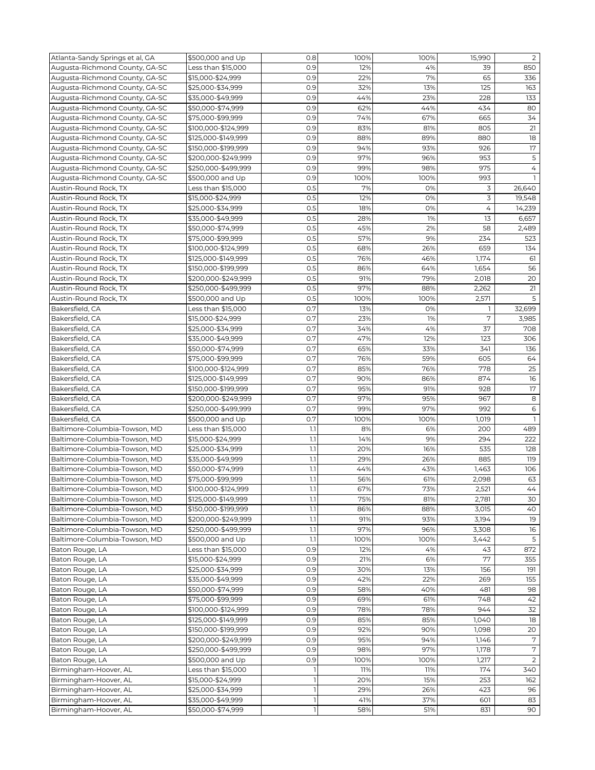| Atlanta-Sandy Springs et al, GA | \$500,000 and Up    | 0.8          | 100% | 100% | 15,990 | $\overline{2}$ |
|---------------------------------|---------------------|--------------|------|------|--------|----------------|
| Augusta-Richmond County, GA-SC  | Less than \$15,000  | 0.9          | 12%  | 4%   | 39     | 850            |
| Augusta-Richmond County, GA-SC  | \$15,000-\$24,999   | 0.9          | 22%  | 7%   | 65     | 336            |
| Augusta-Richmond County, GA-SC  | \$25,000-\$34,999   | 0.9          | 32%  | 13%  | 125    | 163            |
| Augusta-Richmond County, GA-SC  | \$35,000-\$49,999   | 0.9          | 44%  | 23%  | 228    | 133            |
| Augusta-Richmond County, GA-SC  | \$50,000-\$74,999   | 0.9          | 62%  | 44%  | 434    | 80             |
| Augusta-Richmond County, GA-SC  | \$75,000-\$99,999   | 0.9          | 74%  | 67%  | 665    | 34             |
| Augusta-Richmond County, GA-SC  | \$100,000-\$124,999 | 0.9          | 83%  | 81%  | 805    | 21             |
| Augusta-Richmond County, GA-SC  | \$125,000-\$149,999 | 0.9          | 88%  | 89%  | 880    | 18             |
|                                 |                     |              |      |      |        |                |
| Augusta-Richmond County, GA-SC  | \$150,000-\$199,999 | 0.9          | 94%  | 93%  | 926    | 17             |
| Augusta-Richmond County, GA-SC  | \$200,000-\$249,999 | 0.9          | 97%  | 96%  | 953    | 5              |
| Augusta-Richmond County, GA-SC  | \$250,000-\$499,999 | 0.9          | 99%  | 98%  | 975    | 4              |
| Augusta-Richmond County, GA-SC  | \$500,000 and Up    | 0.9          | 100% | 100% | 993    |                |
| Austin-Round Rock, TX           | Less than \$15,000  | 0.5          | 7%   | 0%   | 3      | 26,640         |
| Austin-Round Rock, TX           | \$15,000-\$24,999   | 0.5          | 12%  | 0%   | 3      | 19,548         |
| Austin-Round Rock, TX           | \$25,000-\$34,999   | 0.5          | 18%  | 0%   | 4      | 14,239         |
| Austin-Round Rock, TX           | \$35,000-\$49,999   | 0.5          | 28%  | 1%   | 13     | 6,657          |
| Austin-Round Rock, TX           | \$50,000-\$74,999   | 0.5          | 45%  | 2%   | 58     | 2,489          |
| Austin-Round Rock, TX           | \$75,000-\$99,999   | 0.5          | 57%  | 9%   | 234    | 523            |
| Austin-Round Rock, TX           | \$100,000-\$124,999 | 0.5          | 68%  | 26%  | 659    | 134            |
| Austin-Round Rock, TX           | \$125,000-\$149,999 | 0.5          | 76%  | 46%  | 1,174  | 61             |
| Austin-Round Rock, TX           | \$150,000-\$199,999 | 0.5          | 86%  | 64%  | 1,654  | 56             |
| Austin-Round Rock, TX           | \$200,000-\$249,999 | 0.5          | 91%  | 79%  | 2,018  | 20             |
| Austin-Round Rock, TX           | \$250,000-\$499,999 | 0.5          | 97%  | 88%  | 2,262  | 21             |
| Austin-Round Rock, TX           | \$500,000 and Up    | 0.5          | 100% | 100% | 2,571  | 5              |
| Bakersfield, CA                 | Less than \$15,000  | O.7          | 13%  | 0%   | ı      | 32,699         |
|                                 | \$15,000-\$24,999   | 0.7          | 23%  | 1%   | 7      | 3,985          |
| Bakersfield, CA                 | \$25,000-\$34.999   | O.7          |      | 4%   |        |                |
| Bakersfield, CA                 |                     |              | 34%  |      | 37     | 708            |
| Bakersfield, CA                 | \$35,000-\$49,999   | 0.7          | 47%  | 12%  | 123    | 306            |
| Bakersfield, CA                 | \$50,000-\$74,999   | 0.7          | 65%  | 33%  | 341    | 136            |
| Bakersfield, CA                 | \$75,000-\$99,999   | 0.7          | 76%  | 59%  | 605    | 64             |
| Bakersfield, CA                 | \$100,000-\$124,999 | 0.7          | 85%  | 76%  | 778    | 25             |
| Bakersfield, CA                 | \$125,000-\$149,999 | 0.7          | 90%  | 86%  | 874    | 16             |
| Bakersfield, CA                 | \$150,000-\$199,999 | 0.7          | 95%  | 91%  | 928    | 17             |
| Bakersfield, CA                 | \$200,000-\$249,999 | 0.7          | 97%  | 95%  | 967    | 8              |
| Bakersfield, CA                 | \$250,000-\$499,999 | 0.7          | 99%  | 97%  | 992    | 6              |
| Bakersfield, CA                 | \$500,000 and Up    | 0.7          | 100% | 100% | 1,019  | <b>T</b>       |
| Baltimore-Columbia-Towson, MD   | Less than \$15,000  | 1.1          | 8%   | 6%   | 200    | 489            |
| Baltimore-Columbia-Towson, MD   | \$15,000-\$24,999   | 1.1          | 14%  | 9%   | 294    | 222            |
| Baltimore-Columbia-Towson, MD   | \$25,000-\$34,999   | 1.1          | 20%  | 16%  | 535    | 128            |
| Baltimore-Columbia-Towson, MD   | \$35,000-\$49,999   | 1.1          | 29%  | 26%  | 885    | 119            |
| Baltimore-Columbia-Towson, MD   | \$50,000-\$74,999   | 1.1          | 44%  | 43%  | 1,463  | 106            |
| Baltimore-Columbia-Towson, MD   | \$75,000-\$99,999   | 1.1          | 56%  | 61%  | 2,098  | 63             |
| Baltimore-Columbia-Towson, MD   | \$100,000-\$124,999 | 1.1          | 67%  | 73%  | 2,521  | 44             |
| Baltimore-Columbia-Towson, MD   | \$125,000-\$149,999 | 1.1          | 75%  | 81%  | 2,781  | 30             |
| Baltimore-Columbia-Towson, MD   | \$150,000-\$199,999 | 1.1          | 86%  | 88%  | 3,015  | 40             |
| Baltimore-Columbia-Towson, MD   | \$200,000-\$249,999 | 1.1          | 91%  | 93%  | 3,194  | 19             |
| Baltimore-Columbia-Towson, MD   | \$250,000-\$499,999 | 1.1          | 97%  | 96%  |        | 16             |
|                                 |                     |              | 100% |      | 3,308  | 5              |
| Baltimore-Columbia-Towson, MD   | \$500,000 and Up    | 1.1          |      | 100% | 3,442  |                |
| Baton Rouge, LA                 | Less than \$15,000  | 0.9          | 12%  | 4%   | 43     | 872            |
| Baton Rouge, LA                 | \$15,000-\$24,999   | 0.9          | 21%  | 6%   | 77     | 355            |
| Baton Rouge, LA                 | \$25,000-\$34,999   | 0.9          | 30%  | 13%  | 156    | 191            |
| Baton Rouge, LA                 | \$35,000-\$49,999   | 0.9          | 42%  | 22%  | 269    | 155            |
| Baton Rouge, LA                 | \$50,000-\$74,999   | 0.9          | 58%  | 40%  | 481    | 98             |
| Baton Rouge, LA                 | \$75,000-\$99,999   | 0.9          | 69%  | 61%  | 748    | 42             |
| Baton Rouge, LA                 | \$100,000-\$124,999 | 0.9          | 78%  | 78%  | 944    | 32             |
| Baton Rouge, LA                 | \$125,000-\$149,999 | 0.9          | 85%  | 85%  | 1,040  | 18             |
| Baton Rouge, LA                 | \$150,000-\$199,999 | 0.9          | 92%  | 90%  | 1,098  | 20             |
| Baton Rouge, LA                 | \$200,000-\$249,999 | 0.9          | 95%  | 94%  | 1,146  | 7              |
| Baton Rouge, LA                 | \$250,000-\$499,999 | 0.9          | 98%  | 97%  | 1,178  | 7              |
| Baton Rouge, LA                 | \$500,000 and Up    | 0.9          | 100% | 100% | 1,217  | $\overline{2}$ |
| Birmingham-Hoover, AL           | Less than \$15,000  | 1            | 11%  | 11%  | 174    | 340            |
| Birmingham-Hoover, AL           | \$15,000-\$24,999   | $\mathbf{1}$ | 20%  | 15%  | 253    | 162            |
| Birmingham-Hoover, AL           | \$25,000-\$34,999   | $\mathbb{I}$ | 29%  | 26%  | 423    | 96             |
| Birmingham-Hoover, AL           | \$35,000-\$49,999   | 1            | 41%  | 37%  | 601    | 83             |
| Birmingham-Hoover, AL           | \$50,000-\$74,999   | $\mathbf{1}$ | 58%  | 51%  | 831    | 90             |
|                                 |                     |              |      |      |        |                |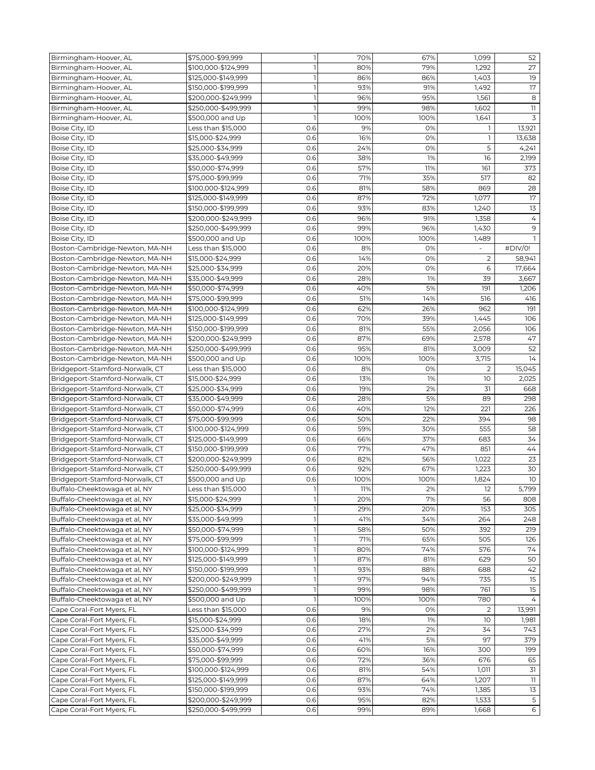| Birmingham-Hoover, AL           | \$75,000-\$99,999   | $\mathbf{1}$ | 70%  | 67%  | 1,099          | 52              |
|---------------------------------|---------------------|--------------|------|------|----------------|-----------------|
| Birmingham-Hoover, AL           | \$100,000-\$124,999 | 1            | 80%  | 79%  | 1,292          | 27              |
| Birmingham-Hoover, AL           | \$125,000-\$149,999 | 1            | 86%  | 86%  | 1,403          | 19              |
| Birmingham-Hoover, AL           | \$150,000-\$199,999 | $\mathbf{1}$ | 93%  | 91%  | 1,492          | 17              |
| Birmingham-Hoover, AL           |                     | $\mathbb{I}$ | 96%  | 95%  | 1,561          | 8               |
|                                 | \$200,000-\$249,999 |              |      |      |                |                 |
| Birmingham-Hoover, AL           | \$250,000-\$499,999 | $\mathbf{1}$ | 99%  | 98%  | 1,602          | 11              |
| Birmingham-Hoover, AL           | \$500,000 and Up    | $\mathbf{1}$ | 100% | 100% | 1,641          | 3               |
| Boise City, ID                  | Less than \$15,000  | 0.6          | 9%   | 0%   | 1              | 13,921          |
| Boise City, ID                  | \$15,000-\$24,999   | 0.6          | 16%  | 0%   | ı              | 13,638          |
| Boise City, ID                  | \$25,000-\$34,999   | 0.6          | 24%  | 0%   | 5              | 4,241           |
| Boise City, ID                  | \$35,000-\$49,999   | 0.6          | 38%  | 1%   | 16             | 2,199           |
| Boise City, ID                  | \$50,000-\$74,999   | 0.6          | 57%  | 11%  | 161            | 373             |
| Boise City, ID                  | \$75,000-\$99,999   | 0.6          | 71%  | 35%  | 517            | 82              |
| Boise City, ID                  | \$100,000-\$124,999 | 0.6          | 81%  | 58%  | 869            | 28              |
| Boise City, ID                  | \$125,000-\$149,999 | 0.6          | 87%  | 72%  | 1,077          | 17              |
| Boise City, ID                  | \$150,000-\$199,999 | 0.6          | 93%  | 83%  | 1,240          | 13              |
| Boise City, ID                  | \$200,000-\$249,999 | 0.6          | 96%  | 91%  | 1,358          | 4               |
|                                 |                     |              |      |      |                |                 |
| Boise City, ID                  | \$250,000-\$499,999 | 0.6          | 99%  | 96%  | 1,430          | 9               |
| Boise City, ID                  | \$500,000 and Up    | 0.6          | 100% | 100% | 1,489          | -1              |
| Boston-Cambridge-Newton, MA-NH  | Less than \$15,000  | 0.6          | 8%   | 0%   |                | #DIV/0!         |
| Boston-Cambridge-Newton, MA-NH  | \$15,000-\$24,999   | 0.6          | 14%  | 0%   | $\overline{c}$ | 58,941          |
| Boston-Cambridge-Newton, MA-NH  | \$25,000-\$34,999   | 0.6          | 20%  | 0%   | 6              | 17,664          |
| Boston-Cambridge-Newton, MA-NH  | \$35,000-\$49,999   | 0.6          | 28%  | 1%   | 39             | 3,667           |
| Boston-Cambridge-Newton, MA-NH  | \$50,000-\$74,999   | 0.6          | 40%  | 5%   | 191            | 1,206           |
| Boston-Cambridge-Newton, MA-NH  | \$75,000-\$99,999   | 0.6          | 51%  | 14%  | 516            | 416             |
| Boston-Cambridge-Newton, MA-NH  | \$100,000-\$124,999 | 0.6          | 62%  | 26%  | 962            | 191             |
| Boston-Cambridge-Newton, MA-NH  | \$125,000-\$149,999 | 0.6          | 70%  | 39%  | 1,445          | 106             |
| Boston-Cambridge-Newton, MA-NH  | \$150,000-\$199,999 | 0.6          | 81%  | 55%  | 2,056          | 106             |
| Boston-Cambridge-Newton, MA-NH  | \$200,000-\$249,999 | 0.6          | 87%  | 69%  | 2,578          | 47              |
|                                 |                     |              | 95%  |      |                |                 |
| Boston-Cambridge-Newton, MA-NH  | \$250,000-\$499,999 | 0.6          |      | 81%  | 3,009          | 52              |
| Boston-Cambridge-Newton, MA-NH  | \$500,000 and Up    | 0.6          | 100% | 100% | 3,715          | 14              |
| Bridgeport-Stamford-Norwalk, CT | Less than \$15,000  | 0.6          | 8%   | 0%   | $\overline{2}$ | 15,045          |
| Bridgeport-Stamford-Norwalk, CT | \$15,000-\$24,999   | 0.6          | 13%  | 1%   | 10             | 2,025           |
| Bridgeport-Stamford-Norwalk, CT | \$25,000-\$34,999   | 0.6          | 19%  | 2%   | 31             | 668             |
| Bridgeport-Stamford-Norwalk, CT | \$35,000-\$49,999   | 0.6          | 28%  | 5%   | 89             | 298             |
| Bridgeport-Stamford-Norwalk, CT | \$50,000-\$74,999   | 0.6          | 40%  | 12%  | 221            | 226             |
| Bridgeport-Stamford-Norwalk, CT | \$75,000-\$99,999   | 0.6          | 50%  | 22%  | 394            | 98              |
| Bridgeport-Stamford-Norwalk, CT | \$100,000-\$124,999 | 0.6          | 59%  | 30%  | 555            | 58              |
| Bridgeport-Stamford-Norwalk, CT | \$125,000-\$149,999 | 0.6          | 66%  | 37%  | 683            | 34              |
| Bridgeport-Stamford-Norwalk, CT | \$150,000-\$199,999 | 0.6          | 77%  | 47%  | 851            | 44              |
| Bridgeport-Stamford-Norwalk, CT | \$200,000-\$249,999 | 0.6          | 82%  | 56%  | 1,022          | 23              |
| Bridgeport-Stamford-Norwalk, CT |                     | 0.6          | 92%  | 67%  | 1,223          | 30              |
|                                 | \$250,000-\$499,999 |              |      |      |                |                 |
| Bridgeport-Stamford-Norwalk, CT | \$500,000 and Up    | 0.6          | 100% | 100% | 1,824          | 10              |
| Buffalo-Cheektowaga et al, NY   | Less than \$15,000  | 11           | 11%  | 2%   | 12             | 5,799           |
| Buffalo-Cheektowaga et al, NY   | \$15,000-\$24,999   | 1            | 20%  | 7%   | 56             | 808             |
| Buffalo-Cheektowaga et al, NY   | \$25,000-\$34,999   | 1            | 29%  | 20%  | 153            | 305             |
| Buffalo-Cheektowaga et al, NY   | \$35,000-\$49,999   | $\mathbf{1}$ | 41%  | 34%  | 264            | 248             |
| Buffalo-Cheektowaga et al, NY   | \$50,000-\$74,999   | $\mathbf{1}$ | 58%  | 50%  | 392            | 219             |
| Buffalo-Cheektowaga et al, NY   | \$75,000-\$99,999   | $\mathbf{1}$ | 71%  | 65%  | 505            | 126             |
| Buffalo-Cheektowaga et al, NY   | \$100,000-\$124,999 | $\mathbf{1}$ | 80%  | 74%  | 576            | 74              |
| Buffalo-Cheektowaga et al, NY   | \$125,000-\$149,999 | 1            | 87%  | 81%  | 629            | 50              |
| Buffalo-Cheektowaga et al, NY   | \$150,000-\$199,999 | $\mathbf{1}$ | 93%  | 88%  | 688            | 42              |
| Buffalo-Cheektowaga et al, NY   | \$200,000-\$249,999 | $\mathbb{I}$ | 97%  | 94%  | 735            | $\overline{15}$ |
| Buffalo-Cheektowaga et al, NY   | \$250,000-\$499,999 | $\mathbf{1}$ | 99%  | 98%  | 761            | 15              |
|                                 |                     |              |      |      |                |                 |
| Buffalo-Cheektowaga et al, NY   | \$500,000 and Up    | 1            | 100% | 100% | 780            | 4               |
| Cape Coral-Fort Myers, FL       | Less than \$15,000  | 0.6          | 9%   | 0%   | 2              | 13,991          |
| Cape Coral-Fort Myers, FL       | \$15,000-\$24,999   | 0.6          | 18%  | 1%   | 10             | 1,981           |
| Cape Coral-Fort Myers, FL       | \$25,000-\$34,999   | 0.6          | 27%  | 2%   | 34             | 743             |
| Cape Coral-Fort Myers, FL       | \$35,000-\$49,999   | 0.6          | 41%  | 5%   | 97             | 379             |
| Cape Coral-Fort Myers, FL       | \$50,000-\$74,999   | 0.6          | 60%  | 16%  | 300            | 199             |
| Cape Coral-Fort Myers, FL       | \$75,000-\$99,999   | 0.6          | 72%  | 36%  | 676            | 65              |
| Cape Coral-Fort Myers, FL       | \$100,000-\$124,999 | 0.6          | 81%  | 54%  | 1,011          | 31              |
| Cape Coral-Fort Myers, FL       | \$125,000-\$149,999 | 0.6          | 87%  | 64%  | 1,207          | 11              |
| Cape Coral-Fort Myers, FL       | \$150,000-\$199,999 | 0.6          | 93%  | 74%  | 1,385          | 13              |
| Cape Coral-Fort Myers, FL       | \$200,000-\$249,999 | 0.6          | 95%  | 82%  | 1,533          | 5               |
| Cape Coral-Fort Myers, FL       |                     | 0.6          | 99%  | 89%  |                | 6               |
|                                 | \$250,000-\$499,999 |              |      |      | 1,668          |                 |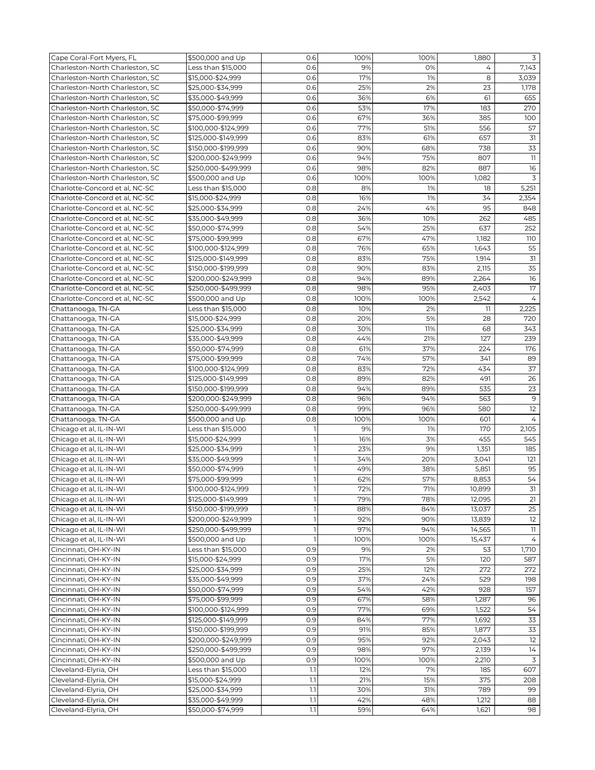| Cape Coral-Fort Myers, FL       | \$500,000 and Up    | 0.6          | 100% | 100% | 1,880  | 3              |
|---------------------------------|---------------------|--------------|------|------|--------|----------------|
| Charleston-North Charleston, SC | Less than \$15,000  | 0.6          | 9%   | 0%   | 4      | 7,143          |
| Charleston-North Charleston, SC | \$15,000-\$24,999   | 0.6          | 17%  | 1%   | 8      | 3,039          |
| Charleston-North Charleston, SC | \$25,000-\$34,999   | 0.6          | 25%  | 2%   | 23     | 1,178          |
| Charleston-North Charleston, SC | \$35,000-\$49,999   | 0.6          | 36%  | 6%   | 61     | 655            |
| Charleston-North Charleston, SC | \$50,000-\$74,999   | 0.6          | 53%  | 17%  | 183    | 270            |
| Charleston-North Charleston, SC | \$75,000-\$99,999   | 0.6          | 67%  | 36%  | 385    | 100            |
| Charleston-North Charleston, SC | \$100,000-\$124,999 | 0.6          | 77%  | 51%  | 556    | 57             |
| Charleston-North Charleston, SC | \$125,000-\$149,999 | 0.6          | 83%  | 61%  | 657    | 31             |
|                                 |                     |              | 90%  |      | 738    | 33             |
| Charleston-North Charleston, SC | \$150,000-\$199,999 | 0.6          |      | 68%  |        |                |
| Charleston-North Charleston, SC | \$200,000-\$249,999 | 0.6          | 94%  | 75%  | 807    | 11             |
| Charleston-North Charleston, SC | \$250,000-\$499,999 | 0.6          | 98%  | 82%  | 887    | 16             |
| Charleston-North Charleston, SC | \$500,000 and Up    | 0.6          | 100% | 100% | 1,082  | 3              |
| Charlotte-Concord et al, NC-SC  | Less than \$15,000  | 0.8          | 8%   | 1%   | 18     | 5,251          |
| Charlotte-Concord et al, NC-SC  | \$15,000-\$24,999   | 0.8          | 16%  | 1%   | 34     | 2,354          |
| Charlotte-Concord et al, NC-SC  | \$25,000-\$34,999   | 0.8          | 24%  | 4%   | 95     | 848            |
| Charlotte-Concord et al, NC-SC  | \$35,000-\$49,999   | 0.8          | 36%  | 10%  | 262    | 485            |
| Charlotte-Concord et al, NC-SC  | \$50,000-\$74,999   | 0.8          | 54%  | 25%  | 637    | 252            |
| Charlotte-Concord et al, NC-SC  | \$75,000-\$99,999   | 0.8          | 67%  | 47%  | 1,182  | 110            |
| Charlotte-Concord et al, NC-SC  | \$100,000-\$124,999 | 0.8          | 76%  | 65%  | 1,643  | 55             |
| Charlotte-Concord et al, NC-SC  | \$125,000-\$149,999 | 0.8          | 83%  | 75%  | 1,914  | 31             |
| Charlotte-Concord et al, NC-SC  | \$150,000-\$199,999 | 0.8          | 90%  | 83%  | 2,115  | 35             |
| Charlotte-Concord et al. NC-SC  | \$200,000-\$249,999 | 0.8          | 94%  | 89%  | 2,264  | 16             |
| Charlotte-Concord et al, NC-SC  | \$250,000-\$499,999 | 0.8          | 98%  | 95%  | 2,403  | 17             |
| Charlotte-Concord et al, NC-SC  | \$500,000 and Up    | 0.8          | 100% | 100% | 2,542  | $\overline{4}$ |
| Chattanooga, TN-GA              | Less than \$15,000  | 0.8          | 10%  | 2%   | 11     | 2,225          |
| Chattanooga, TN-GA              | \$15,000-\$24,999   | 0.8          | 20%  | 5%   | 28     | 720            |
| Chattanooga, TN-GA              | \$25,000-\$34,999   | 0.8          | 30%  | 11%  | 68     | 343            |
| Chattanooga, TN-GA              | \$35,000-\$49,999   | 0.8          | 44%  | 21%  | 127    | 239            |
| Chattanooga, TN-GA              | \$50,000-\$74,999   | 0.8          | 61%  | 37%  | 224    | 176            |
| Chattanooga, TN-GA              | \$75,000-\$99,999   | 0.8          | 74%  | 57%  | 341    | 89             |
| Chattanooga, TN-GA              | \$100,000-\$124,999 | 0.8          | 83%  | 72%  | 434    | 37             |
| Chattanooga, TN-GA              | \$125,000-\$149,999 | 0.8          | 89%  | 82%  | 491    | 26             |
| Chattanooga, TN-GA              | \$150,000-\$199,999 | 0.8          | 94%  | 89%  | 535    | 23             |
| Chattanooga, TN-GA              | \$200,000-\$249,999 | 0.8          | 96%  | 94%  | 563    | 9              |
| Chattanooga, TN-GA              | \$250,000-\$499,999 | 0.8          | 99%  | 96%  | 580    | 12             |
| Chattanooga, TN-GA              | \$500,000 and Up    | 0.8          | 100% | 100% | 601    | $\overline{4}$ |
| Chicago et al, IL-IN-WI         | Less than \$15,000  | 1            | 9%   | 1%   | 170    | 2,105          |
| Chicago et al, IL-IN-WI         | \$15,000-\$24,999   | $\mathbb{I}$ | 16%  | 3%   | 455    | 545            |
| Chicago et al, IL-IN-WI         | \$25,000-\$34,999   | $\mathbb{I}$ | 23%  | 9%   | 1,351  | 185            |
| Chicago et al, IL-IN-WI         | \$35,000-\$49,999   | $\mathbf{1}$ | 34%  | 20%  | 3,041  | 121            |
| Chicago et al, IL-IN-WI         | \$50,000-\$74,999   | 1            | 49%  | 38%  | 5,851  | 95             |
| Chicago et al, IL-IN-WI         | \$75,000-\$99,999   | $\mathbf{1}$ | 62%  | 57%  | 8,853  | 54             |
| Chicago et al, IL-IN-WI         | \$100,000-\$124,999 | $\mathbf{I}$ | 72%  | 71%  | 10,899 | 31             |
| Chicago et al, IL-IN-WI         | \$125,000-\$149,999 | 1            | 79%  | 78%  | 12,095 | 21             |
| Chicago et al, IL-IN-WI         | \$150,000-\$199,999 | $\mathbb{I}$ | 88%  | 84%  | 13,037 | 25             |
| Chicago et al, IL-IN-WI         | \$200,000-\$249,999 | 1            | 92%  | 90%  | 13,839 | 12             |
| Chicago et al, IL-IN-WI         | \$250,000-\$499,999 | $\mathbf{1}$ | 97%  | 94%  | 14,565 | 11             |
| Chicago et al, IL-IN-WI         | \$500,000 and Up    | $\mathbf{1}$ | 100% | 100% | 15,437 | $\overline{4}$ |
| Cincinnati, OH-KY-IN            | Less than \$15,000  | 0.9          | 9%   | 2%   | 53     | 1,710          |
| Cincinnati, OH-KY-IN            | \$15,000-\$24,999   | 0.9          | 17%  | 5%   | 120    | 587            |
| Cincinnati, OH-KY-IN            | \$25,000-\$34,999   | 0.9          | 25%  | 12%  | 272    | 272            |
| Cincinnati, OH-KY-IN            | \$35,000-\$49,999   | 0.9          | 37%  | 24%  | 529    | 198            |
| Cincinnati, OH-KY-IN            | \$50,000-\$74,999   | 0.9          | 54%  | 42%  | 928    | 157            |
| Cincinnati, OH-KY-IN            | \$75,000-\$99,999   | 0.9          | 67%  | 58%  | 1,287  | 96             |
| Cincinnati, OH-KY-IN            | \$100,000-\$124,999 | 0.9          | 77%  | 69%  | 1,522  | 54             |
| Cincinnati, OH-KY-IN            | \$125,000-\$149,999 | 0.9          | 84%  | 77%  | 1,692  | 33             |
| Cincinnati, OH-KY-IN            | \$150,000-\$199,999 | 0.9          | 91%  | 85%  | 1,877  | 33             |
| Cincinnati, OH-KY-IN            | \$200,000-\$249,999 | 0.9          | 95%  | 92%  | 2,043  | 12             |
| Cincinnati, OH-KY-IN            | \$250,000-\$499,999 | 0.9          | 98%  | 97%  | 2,139  | 14             |
| Cincinnati, OH-KY-IN            | \$500,000 and Up    | 0.9          | 100% | 100% | 2,210  | 3              |
| Cleveland-Elyria, OH            | Less than \$15,000  | 1.1          | 12%  | 7%   | 185    | 607            |
| Cleveland-Elyria, OH            | \$15,000-\$24,999   | 1.1          | 21%  | 15%  | 375    | 208            |
| Cleveland-Elyria, OH            | \$25,000-\$34,999   | 1.1          | 30%  | 31%  | 789    | 99             |
| Cleveland-Elyria, OH            | \$35,000-\$49,999   | 1.1          | 42%  | 48%  | 1,212  | 88             |
| Cleveland-Elyria, OH            | \$50,000-\$74,999   | 1.1          | 59%  | 64%  | 1,621  | 98             |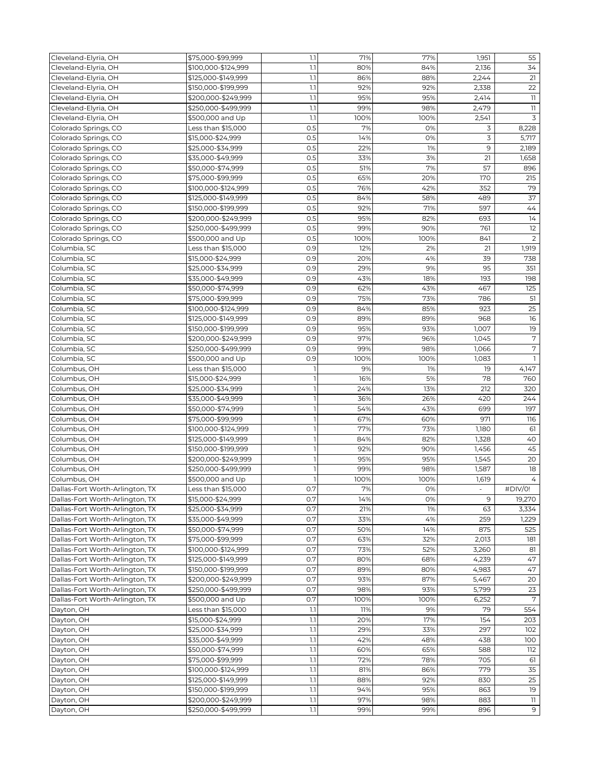| Cleveland-Elyria, OH                                               | \$75,000-\$99,999   | 1.1                     | 71%  | 77%  | 1,951 | 55             |
|--------------------------------------------------------------------|---------------------|-------------------------|------|------|-------|----------------|
| Cleveland-Elyria, OH                                               | \$100,000-\$124,999 | 1.1                     | 80%  | 84%  | 2,136 | 34             |
| Cleveland-Elyria, OH                                               | \$125,000-\$149,999 | 1.1                     | 86%  | 88%  | 2,244 | 21             |
| Cleveland-Elyria, OH                                               | \$150,000-\$199,999 | 1.1                     | 92%  | 92%  | 2,338 | 22             |
| Cleveland-Elyria, OH                                               | \$200,000-\$249,999 | 1.1                     | 95%  | 95%  | 2,414 | 11             |
| Cleveland-Elyria, OH                                               | \$250,000-\$499,999 | 1.1                     | 99%  | 98%  | 2,479 | $11$           |
| Cleveland-Elyria, OH                                               | \$500,000 and Up    | 1.1                     | 100% | 100% | 2,541 | 3              |
|                                                                    |                     |                         |      |      |       |                |
| Colorado Springs, CO                                               | Less than \$15,000  | 0.5                     | 7%   | 0%   | 3     | 8,228          |
| Colorado Springs, CO                                               | \$15,000-\$24,999   | 0.5                     | 14%  | 0%   | 3     | 5,717          |
| Colorado Springs, CO                                               | \$25,000-\$34,999   | 0.5                     | 22%  | 1%   | 9     | 2,189          |
| Colorado Springs, CO                                               | \$35,000-\$49,999   | 0.5                     | 33%  | 3%   | 21    | 1,658          |
| Colorado Springs, CO                                               | \$50,000-\$74,999   | 0.5                     | 51%  | 7%   | 57    | 896            |
| Colorado Springs, CO                                               | \$75,000-\$99,999   | 0.5                     | 65%  | 20%  | 170   | 215            |
| Colorado Springs, CO                                               | \$100,000-\$124,999 | 0.5                     | 76%  | 42%  | 352   | 79             |
| Colorado Springs, CO                                               | \$125,000-\$149,999 | 0.5                     | 84%  | 58%  | 489   | 37             |
| Colorado Springs, CO                                               | \$150,000-\$199,999 | 0.5                     | 92%  | 71%  | 597   | 44             |
| Colorado Springs, CO                                               | \$200,000-\$249,999 | 0.5                     | 95%  | 82%  | 693   | 14             |
| Colorado Springs, CO                                               | \$250,000-\$499,999 | 0.5                     | 99%  | 90%  | 761   | 12             |
| Colorado Springs, CO                                               | \$500,000 and Up    | 0.5                     | 100% | 100% | 841   | $\overline{2}$ |
| Columbia, SC                                                       | Less than \$15,000  | 0.9                     | 12%  | 2%   | 21    | 1,919          |
| Columbia, SC                                                       | \$15,000-\$24,999   | 0.9                     | 20%  | 4%   | 39    | 738            |
| Columbia, SC                                                       | \$25,000-\$34,999   | 0.9                     | 29%  | 9%   | 95    | 351            |
| Columbia, SC                                                       | \$35,000-\$49,999   | 0.9                     | 43%  | 18%  | 193   | 198            |
| Columbia, SC                                                       | \$50,000-\$74,999   | 0.9                     | 62%  | 43%  | 467   | 125            |
| Columbia, SC                                                       | \$75,000-\$99,999   | 0.9                     | 75%  | 73%  | 786   | 51             |
| Columbia, SC                                                       | \$100,000-\$124,999 | 0.9                     | 84%  | 85%  | 923   | 25             |
| Columbia, SC                                                       | \$125,000-\$149,999 | 0.9                     | 89%  | 89%  | 968   | 16             |
|                                                                    |                     | 0.9                     | 95%  | 93%  | 1,007 | 19             |
| Columbia, SC                                                       | \$150,000-\$199,999 |                         |      |      |       |                |
| Columbia, SC                                                       | \$200,000-\$249,999 | 0.9                     | 97%  | 96%  | 1,045 | 7              |
| Columbia, SC                                                       | \$250,000-\$499,999 | 0.9                     | 99%  | 98%  | 1,066 | 7              |
| Columbia, SC                                                       | \$500,000 and Up    | 0.9                     | 100% | 100% | 1,083 | $\mathbf{1}$   |
| Columbus, OH                                                       | Less than \$15,000  | $\mathbb{I}$            | 9%   | 1%   | 19    | 4,147          |
| Columbus, OH                                                       | \$15,000-\$24,999   | 1                       | 16%  | 5%   | 78    | 760            |
| Columbus, OH                                                       | \$25,000-\$34,999   | $\mathbf{1}$            | 24%  | 13%  | 212   | 320            |
| Columbus, OH                                                       | \$35,000-\$49,999   | 1                       | 36%  | 26%  | 420   | 244            |
| Columbus, OH                                                       | \$50,000-\$74,999   | 1                       | 54%  | 43%  | 699   | 197            |
| Columbus, OH                                                       | \$75,000-\$99,999   | 1                       | 67%  | 60%  | 971   | 116            |
| Columbus, OH                                                       | \$100,000-\$124,999 | $\overline{\mathbf{1}}$ | 77%  | 73%  | 1,180 | 61             |
| Columbus, OH                                                       | \$125,000-\$149,999 | $\mathbb{I}$            | 84%  | 82%  | 1,328 | 40             |
| Columbus, OH                                                       | \$150,000-\$199,999 | $\mathbf{1}$            | 92%  | 90%  | 1,456 | 45             |
| Columbus, OH                                                       | \$200,000-\$249,999 | $\mathbf{1}$            | 95%  | 95%  | 1,545 | 20             |
| Columbus, OH                                                       | \$250,000-\$499,999 | 1                       | 99%  | 98%  | 1,587 | 18             |
| Columbus, OH                                                       | \$500,000 and Up    | $\mathbf{I}$            | 100% | 100% | 1,619 | $\overline{4}$ |
| Dallas-Fort Worth-Arlington, TX                                    | Less than \$15,000  | 0.7                     | 7%   | 0%   |       | #DIV/0!        |
| Dallas-Fort Worth-Arlington, TX                                    | \$15,000-\$24,999   | 0.7                     | 14%  | 0%   | 9     | 19,270         |
| Dallas-Fort Worth-Arlington, TX                                    | \$25,000-\$34,999   | 0.7                     | 21%  | 1%   | 63    | 3,334          |
| Dallas-Fort Worth-Arlington, TX                                    | \$35,000-\$49,999   | 0.7                     | 33%  | 4%   | 259   | 1,229          |
| Dallas-Fort Worth-Arlington, TX                                    | \$50,000-\$74,999   | 0.7                     | 50%  | 14%  | 875   | 525            |
| Dallas-Fort Worth-Arlington, TX                                    | \$75,000-\$99,999   | 0.7                     | 63%  | 32%  | 2,013 | 181            |
| Dallas-Fort Worth-Arlington, TX                                    | \$100,000-\$124,999 | 0.7                     | 73%  | 52%  | 3,260 | 81             |
| Dallas-Fort Worth-Arlington, TX                                    | \$125,000-\$149,999 | 0.7                     | 80%  | 68%  | 4,239 | 47             |
|                                                                    |                     | 0.7                     | 89%  | 80%  |       | 47             |
| Dallas-Fort Worth-Arlington, TX<br>Dallas-Fort Worth-Arlington, TX | \$150,000-\$199,999 | 0.7                     |      |      | 4,983 | 20             |
|                                                                    | \$200,000-\$249,999 |                         | 93%  | 87%  | 5,467 |                |
| Dallas-Fort Worth-Arlington, TX                                    | \$250,000-\$499,999 | 0.7                     | 98%  | 93%  | 5,799 | 23             |
| Dallas-Fort Worth-Arlington, TX                                    | \$500,000 and Up    | 0.7                     | 100% | 100% | 6,252 | 7              |
| Dayton, OH                                                         | Less than \$15,000  | 1.1                     | 11%  | 9%   | 79    | 554            |
| Dayton, OH                                                         | \$15,000-\$24,999   | 1.1                     | 20%  | 17%  | 154   | 203            |
| Dayton, OH                                                         | \$25,000-\$34,999   | 1.1                     | 29%  | 33%  | 297   | 102            |
| Dayton, OH                                                         | \$35,000-\$49,999   | 1.1                     | 42%  | 48%  | 438   | 100            |
| Dayton, OH                                                         | \$50,000-\$74,999   | 1.1                     | 60%  | 65%  | 588   | 112            |
| Dayton, OH                                                         | \$75,000-\$99,999   | 1.1                     | 72%  | 78%  | 705   | 61             |
| Dayton, OH                                                         | \$100,000-\$124,999 | 1.1                     | 81%  | 86%  | 779   | 35             |
| Dayton, OH                                                         | \$125,000-\$149,999 | 1.1                     | 88%  | 92%  | 830   | 25             |
| Dayton, OH                                                         | \$150,000-\$199,999 | 1.1                     | 94%  | 95%  | 863   | 19             |
| Dayton, OH                                                         | \$200,000-\$249,999 | 1.1                     | 97%  | 98%  | 883   | 11             |
| Dayton, OH                                                         | \$250,000-\$499,999 | $1.1\,$                 | 99%  | 99%  | 896   | 9              |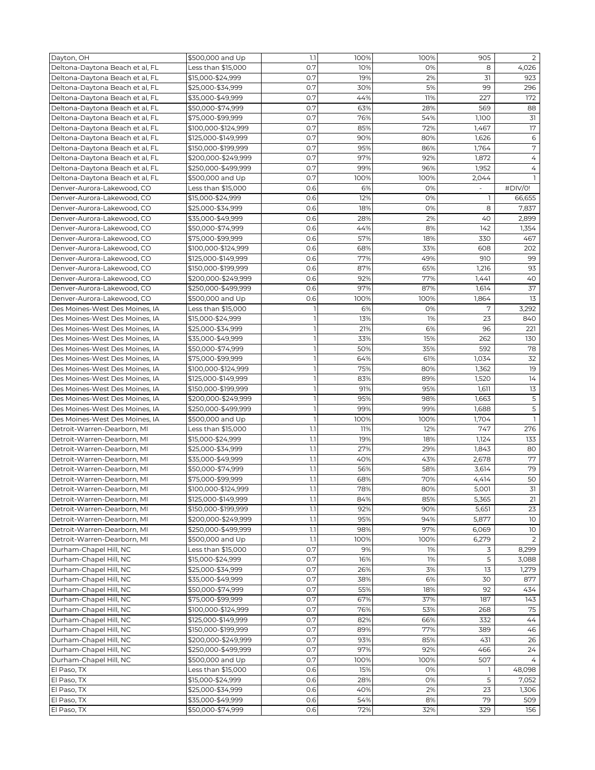| Dayton, OH                                                 | \$500,000 and Up                           | 1.1            | 100%       | 100%       | 905                      | $\overline{2}$ |
|------------------------------------------------------------|--------------------------------------------|----------------|------------|------------|--------------------------|----------------|
| Deltona-Daytona Beach et al, FL                            | Less than \$15,000                         | 0.7            | 10%        | 0%         | 8                        | 4,026          |
| Deltona-Daytona Beach et al, FL                            | \$15,000-\$24,999                          | 0.7            | 19%        | 2%         | 31                       | 923            |
| Deltona-Daytona Beach et al, FL                            | \$25,000-\$34,999                          | 0.7            | 30%        | 5%         | 99                       | 296            |
| Deltona-Daytona Beach et al, FL                            | \$35,000-\$49,999                          | O.7            | 44%        | 11%        | 227                      | 172            |
| Deltona-Daytona Beach et al, FL                            | \$50,000-\$74,999                          | 0.7            | 63%        | 28%        | 569                      | 88             |
| Deltona-Daytona Beach et al, FL                            | \$75,000-\$99,999                          | O.7            | 76%        | 54%        | 1,100                    | 31             |
| Deltona-Daytona Beach et al, FL                            | \$100,000-\$124,999                        | 0.7            | 85%        | 72%        | 1,467                    | 17             |
| Deltona-Daytona Beach et al, FL                            | \$125,000-\$149,999                        | O.7            | 90%        | 80%        | 1,626                    | 6              |
| Deltona-Daytona Beach et al, FL                            | \$150,000-\$199,999                        | 0.7            | 95%        | 86%        | 1,764                    | $\sqrt{ }$     |
| Deltona-Daytona Beach et al, FL                            | \$200,000-\$249,999                        | 0.7            | 97%        | 92%        | 1,872                    | $\overline{4}$ |
| Deltona-Daytona Beach et al, FL                            | \$250,000-\$499,999                        | 0.7            | 99%        | 96%        | 1,952                    | 4              |
| Deltona-Daytona Beach et al, FL                            | \$500,000 and Up                           | 0.7            | 100%       | 100%       | 2,044                    |                |
| Denver-Aurora-Lakewood, CO                                 | Less than \$15,000                         | 0.6            | 6%         | 0%         | $\overline{\phantom{a}}$ | #DIV/0!        |
| Denver-Aurora-Lakewood, CO                                 | \$15,000-\$24,999                          | 0.6            | 12%        | 0%         | 1                        | 66,655         |
| Denver-Aurora-Lakewood, CO                                 | \$25,000-\$34,999                          | 0.6            | 18%        | 0%         | 8                        | 7,837          |
| Denver-Aurora-Lakewood, CO                                 | \$35,000-\$49,999                          | 0.6            | 28%        | 2%         | 40                       | 2,899          |
| Denver-Aurora-Lakewood, CO                                 | \$50,000-\$74,999                          | 0.6            | 44%        | 8%         | 142                      | 1,354          |
| Denver-Aurora-Lakewood, CO                                 | \$75,000-\$99,999                          | 0.6            | 57%        | 18%        | 330                      | 467            |
| Denver-Aurora-Lakewood, CO                                 | \$100,000-\$124,999                        | 0.6            | 68%        | 33%        | 608                      | 202            |
| Denver-Aurora-Lakewood, CO                                 | \$125,000-\$149,999                        | 0.6            | 77%        | 49%        | 910                      | 99             |
| Denver-Aurora-Lakewood, CO                                 | \$150,000-\$199,999                        | 0.6            | 87%        | 65%        | 1,216                    | 93             |
| Denver-Aurora-Lakewood, CO                                 | \$200,000-\$249,999                        | 0.6            | 92%        | 77%        | 1,441                    | 40             |
| Denver-Aurora-Lakewood, CO                                 | \$250,000-\$499,999                        | 0.6            | 97%        | 87%        | 1,614                    | 37             |
| Denver-Aurora-Lakewood, CO                                 | \$500,000 and Up                           | 0.6            | 100%       | 100%       | 1,864                    | 13             |
| Des Moines-West Des Moines, IA                             | Less than \$15,000                         | 1              | 6%         | 0%         | 7                        | 3,292          |
| Des Moines-West Des Moines, IA                             | \$15,000-\$24,999                          | $\mathbf{1}$   | 13%        | 1%         | 23                       | 840            |
| Des Moines-West Des Moines, IA                             | \$25,000-\$34,999                          | 1              | 21%        | 6%         | 96                       | 221            |
| Des Moines-West Des Moines, IA                             | \$35,000-\$49,999                          | $\mathbf{1}$   | 33%        | 15%        | 262                      | 130            |
| Des Moines-West Des Moines, IA                             | \$50,000-\$74,999                          | $\mathbf{I}$   | 50%        | 35%        | 592                      | 78             |
| Des Moines-West Des Moines, IA                             | \$75,000-\$99,999                          | $\mathbf{1}$   | 64%        | 61%        | 1,034                    | 32             |
| Des Moines-West Des Moines, IA                             | \$100,000-\$124,999                        | ı              | 75%        | 80%        | 1,362                    | 19             |
| Des Moines-West Des Moines, IA                             | \$125,000-\$149,999                        | $\overline{1}$ | 83%        | 89%        | 1,520                    | 14             |
| Des Moines-West Des Moines, IA                             | \$150,000-\$199,999                        | $\mathbf{1}$   | 91%        | 95%        | 1,611                    | 13             |
| Des Moines-West Des Moines, IA                             | \$200,000-\$249,999                        | $\mathbf{1}$   | 95%        | 98%        | 1,663                    | 5              |
| Des Moines-West Des Moines, IA                             |                                            | $\mathbf{1}$   | 99%        | 99%        | 1,688                    | 5              |
| Des Moines-West Des Moines, IA                             | \$250,000-\$499,999<br>\$500,000 and Up    | $\overline{1}$ | 100%       | 100%       | 1,704                    | $\overline{1}$ |
| Detroit-Warren-Dearborn, MI                                |                                            | 1.1            | 11%        | 12%        | 747                      | 276            |
| Detroit-Warren-Dearborn, MI                                | Less than \$15,000                         | 1.1            | 19%        | 18%        | 1,124                    | 133            |
|                                                            | \$15,000-\$24,999                          | 1.1            |            |            |                          |                |
| Detroit-Warren-Dearborn, MI<br>Detroit-Warren-Dearborn, MI | \$25,000-\$34,999<br>\$35,000-\$49,999     | 1.1            | 27%<br>40% | 29%<br>43% | 1,843<br>2,678           | 80<br>77       |
|                                                            | \$50,000-\$74,999                          | 1.1            | 56%        | 58%        |                          | 79             |
| Detroit-Warren-Dearborn, MI                                | \$75,000-\$99,999                          | 1.1            | 68%        | 70%        | 3,614                    | 50             |
| Detroit-Warren-Dearborn, MI                                |                                            |                |            |            | 4,414                    | $\overline{3}$ |
| Detroit-Warren-Dearborn, MI                                | \$100,000-\$124,999<br>\$125,000-\$149,999 | 1.1<br>1.1     | 78%<br>84% | 80%<br>85% | 5,001                    | 21             |
| Detroit-Warren-Dearborn, MI                                |                                            |                |            |            | 5,365                    |                |
| Detroit-Warren-Dearborn, MI                                | \$150,000-\$199,999                        | 1.1            | 92%        | 90%<br>94% | 5,651                    | 23<br>10       |
| Detroit-Warren-Dearborn, MI                                | \$200,000-\$249,999                        | 1.1            | 95%        |            | 5,877                    |                |
| Detroit-Warren-Dearborn, MI                                | \$250,000-\$499,999                        | 1.1            | 98%        | 97%        | 6,069                    | 10             |
| Detroit-Warren-Dearborn, MI                                | \$500,000 and Up                           | 1.1            | 100%       | 100%       | 6,279                    | 2              |
| Durham-Chapel Hill, NC                                     | Less than \$15,000                         | 0.7            | 9%         | 1%         | 3                        | 8,299          |
| Durham-Chapel Hill, NC                                     | \$15,000-\$24,999                          | 0.7            | 16%        | 1%         | 5                        | 3,088          |
| Durham-Chapel Hill, NC                                     | \$25,000-\$34,999                          | 0.7            | 26%        | 3%         | 13                       | 1,279          |
| Durham-Chapel Hill, NC                                     | \$35,000-\$49,999                          | 0.7            | 38%        | 6%         | 30                       | 877            |
| Durham-Chapel Hill, NC                                     | \$50,000-\$74,999                          | 0.7            | 55%        | 18%        | 92                       | 434            |
| Durham-Chapel Hill, NC                                     | \$75,000-\$99,999                          | 0.7            | 67%        | 37%        | 187                      | 143            |
| Durham-Chapel Hill, NC                                     | \$100,000-\$124,999                        | 0.7            | 76%        | 53%        | 268                      | 75             |
| Durham-Chapel Hill, NC                                     | \$125,000-\$149,999                        | 0.7            | 82%        | 66%        | 332                      | 44             |
| Durham-Chapel Hill, NC                                     | \$150,000-\$199,999                        | 0.7            | 89%        | 77%        | 389                      | 46             |
| Durham-Chapel Hill, NC                                     | \$200,000-\$249,999                        | 0.7            | 93%        | 85%        | 431                      | 26             |
| Durham-Chapel Hill, NC                                     | \$250,000-\$499,999                        | 0.7            | 97%        | 92%        | 466                      | 24             |
| Durham-Chapel Hill, NC                                     | \$500,000 and Up                           | 0.7            | 100%       | 100%       | 507                      | $\overline{4}$ |
| El Paso, TX                                                | Less than \$15,000                         | 0.6            | 15%        | 0%         | -1                       | 48,098         |
| El Paso, TX                                                | \$15,000-\$24,999                          | 0.6            | 28%        | 0%         | 5                        | 7,052          |
| El Paso, TX                                                | \$25,000-\$34,999                          | 0.6            | 40%        | 2%         | 23                       | 1,306          |
| El Paso, TX                                                | \$35,000-\$49,999                          | 0.6            | 54%        | 8%         | 79                       | 509            |
| El Paso, TX                                                | \$50,000-\$74,999                          | 0.6            | 72%        | 32%        | 329                      | 156            |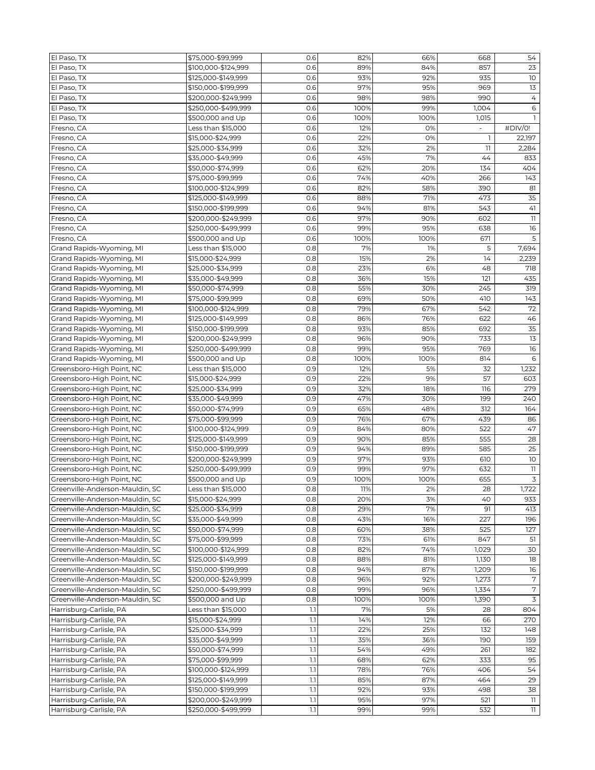| El Paso, TX                                            | \$75,000-\$99,999                      | 0.6 | 82%  | 66%  | 668                      | 54                               |
|--------------------------------------------------------|----------------------------------------|-----|------|------|--------------------------|----------------------------------|
| El Paso, TX                                            | \$100,000-\$124,999                    | 0.6 | 89%  | 84%  | 857                      | 23                               |
| El Paso, TX                                            | \$125,000-\$149,999                    | 0.6 | 93%  | 92%  | 935                      | 10                               |
| El Paso, TX                                            | \$150,000-\$199,999                    | 0.6 | 97%  | 95%  | 969                      | 13                               |
| El Paso, TX                                            | \$200,000-\$249,999                    | 0.6 | 98%  | 98%  | 990                      | $\overline{4}$                   |
| El Paso, TX                                            | \$250,000-\$499,999                    | 0.6 | 100% | 99%  | 1,004                    | 6                                |
| El Paso, TX                                            | \$500,000 and Up                       | 0.6 | 100% | 100% | 1,015                    |                                  |
| Fresno, CA                                             | Less than \$15,000                     | 0.6 | 12%  | 0%   | $\overline{\phantom{a}}$ | #DIV/0!                          |
| Fresno, CA                                             | \$15,000-\$24,999                      | 0.6 | 22%  | 0%   | -1                       | 22,197                           |
| Fresno, CA                                             | \$25,000-\$34,999                      | 0.6 | 32%  | 2%   | 11                       | 2,284                            |
| Fresno, CA                                             | \$35,000-\$49,999                      | 0.6 | 45%  | 7%   | 44                       | 833                              |
| Fresno, CA                                             | \$50,000-\$74,999                      | 0.6 | 62%  | 20%  | 134                      | 404                              |
| Fresno, CA                                             | \$75,000-\$99,999                      | 0.6 | 74%  | 40%  | 266                      | 143                              |
| Fresno, CA                                             | \$100,000-\$124,999                    | 0.6 | 82%  | 58%  | 390                      | 81                               |
| Fresno, CA                                             | \$125,000-\$149,999                    | 0.6 | 88%  | 71%  | 473                      | 35                               |
| Fresno, CA                                             | \$150,000-\$199,999                    | 0.6 | 94%  | 81%  | 543                      | 41                               |
| Fresno, CA                                             | \$200,000-\$249,999                    | 0.6 | 97%  | 90%  | 602                      | $\overline{\mathbb{I}}$          |
| Fresno, CA                                             | \$250,000-\$499,999                    | 0.6 | 99%  | 95%  | 638                      | 16                               |
| Fresno, CA                                             | \$500,000 and Up                       | 0.6 | 100% | 100% | 671                      | 5                                |
| Grand Rapids-Wyoming, MI                               | Less than \$15,000                     | 0.8 | 7%   | 1%   | 5                        | 7,694                            |
| Grand Rapids-Wyoming, MI                               | \$15,000-\$24,999                      | 0.8 | 15%  | 2%   | 14                       | 2,239                            |
| Grand Rapids-Wyoming, MI                               | \$25,000-\$34,999                      | 0.8 | 23%  | 6%   | 48                       | 718                              |
| Grand Rapids-Wyoming, MI                               | \$35,000-\$49,999                      | 0.8 | 36%  | 15%  | 121                      | 435                              |
| Grand Rapids-Wyoming, MI                               | \$50,000-\$74,999                      | 0.8 | 55%  | 30%  | 245                      | 319                              |
| Grand Rapids-Wyoming, MI                               | \$75,000-\$99,999                      | 0.8 | 69%  | 50%  | 410                      | 143                              |
| Grand Rapids-Wyoming, MI                               | \$100,000-\$124,999                    | 0.8 | 79%  | 67%  | 542                      | 72                               |
| Grand Rapids-Wyoming, MI                               | \$125,000-\$149,999                    | 0.8 | 86%  | 76%  | 622                      | 46                               |
| Grand Rapids-Wyoming, MI                               | \$150,000-\$199,999                    | 0.8 | 93%  | 85%  | 692                      | 35                               |
| Grand Rapids-Wyoming, MI                               | \$200,000-\$249,999                    | 0.8 | 96%  | 90%  | 733                      | 13                               |
| Grand Rapids-Wyoming, MI                               | \$250,000-\$499,999                    | 0.8 | 99%  | 95%  | 769                      | 16                               |
|                                                        |                                        | 0.8 | 100% | 100% | 814                      | 6                                |
| Grand Rapids-Wyoming, MI<br>Greensboro-High Point, NC  | \$500,000 and Up<br>Less than \$15,000 | 0.9 | 12%  | 5%   | 32                       | 1,232                            |
|                                                        |                                        | 0.9 | 22%  | 9%   | 57                       | 603                              |
| Greensboro-High Point, NC<br>Greensboro-High Point, NC | \$15,000-\$24,999<br>\$25,000-\$34,999 | 0.9 | 32%  | 18%  | 116                      | 279                              |
|                                                        |                                        |     |      |      |                          |                                  |
| Greensboro-High Point, NC                              | \$35,000-\$49,999                      | 0.9 | 47%  | 30%  | 199                      | 240                              |
| Greensboro-High Point, NC                              | \$50,000-\$74,999                      | 0.9 | 65%  | 48%  | 312                      | 164                              |
| Greensboro-High Point, NC                              | \$75,000-\$99,999                      | 0.9 | 76%  | 67%  | 439                      | 86                               |
| Greensboro-High Point, NC                              | \$100,000-\$124,999                    | 0.9 | 84%  | 80%  | 522                      | 47                               |
| Greensboro-High Point, NC                              | \$125,000-\$149,999                    | 0.9 | 90%  | 85%  | 555                      | 28                               |
| Greensboro-High Point, NC                              | \$150,000-\$199,999                    | 0.9 | 94%  | 89%  | 585                      | 25                               |
| Greensboro-High Point, NC                              | \$200,000-\$249,999                    | 0.9 | 97%  | 93%  | 610                      | 10                               |
| Greensboro-High Point, NC                              | \$250,000-\$499,999                    | 0.9 | 99%  | 97%  | 632                      | $\left\lceil \cdot \right\rceil$ |
| Greensboro-High Point, NC                              | \$500,000 and Up                       | 0.9 | 100% | 100% | 655                      | $\mathsf 3$                      |
| Greenville-Anderson-Mauldin, SC                        | Less than \$15,000                     | 0.8 | 11%  | 2%   | 28                       | 1,722                            |
| Greenville-Anderson-Mauldin, SC                        | \$15,000-\$24,999                      | 0.8 | 20%  | 3%   | 40                       | 933                              |
| Greenville-Anderson-Mauldin, SC                        | \$25,000-\$34,999                      | 0.8 | 29%  | 7%   | 91                       | 413                              |
| Greenville-Anderson-Mauldin, SC                        | \$35,000-\$49,999                      | 0.8 | 43%  | 16%  | 227                      | 196                              |
| Greenville-Anderson-Mauldin, SC                        | \$50,000-\$74,999                      | 0.8 | 60%  | 38%  | 525                      | 127                              |
| Greenville-Anderson-Mauldin, SC                        | \$75,000-\$99,999                      | 0.8 | 73%  | 61%  | 847                      | 51                               |
| Greenville-Anderson-Mauldin, SC                        | \$100,000-\$124,999                    | 0.8 | 82%  | 74%  | 1,029                    | 30                               |
| Greenville-Anderson-Mauldin, SC                        | \$125,000-\$149,999                    | 0.8 | 88%  | 81%  | 1,130                    | 18                               |
| Greenville-Anderson-Mauldin, SC                        | \$150,000-\$199,999                    | 0.8 | 94%  | 87%  | 1,209                    | 16                               |
| Greenville-Anderson-Mauldin, SC                        | \$200,000-\$249,999                    | 0.8 | 96%  | 92%  | 1,273                    | 7                                |
| Greenville-Anderson-Mauldin, SC                        | \$250,000-\$499,999                    | 0.8 | 99%  | 96%  | 1,334                    | 7                                |
| Greenville-Anderson-Mauldin, SC                        | \$500,000 and Up                       | 0.8 | 100% | 100% | 1,390                    | 3                                |
| Harrisburg-Carlisle, PA                                | Less than \$15,000                     | 1.1 | 7%   | 5%   | 28                       | 804                              |
| Harrisburg-Carlisle, PA                                | \$15,000-\$24,999                      | 1.1 | 14%  | 12%  | 66                       | 270                              |
| Harrisburg-Carlisle, PA                                | \$25,000-\$34,999                      | 1.1 | 22%  | 25%  | 132                      | 148                              |
| Harrisburg-Carlisle, PA                                | \$35,000-\$49,999                      | 1.1 | 35%  | 36%  | 190                      | 159                              |
| Harrisburg-Carlisle, PA                                | \$50,000-\$74,999                      | 1.1 | 54%  | 49%  | 261                      | 182                              |
| Harrisburg-Carlisle, PA                                | \$75,000-\$99,999                      | 1.1 | 68%  | 62%  | 333                      | 95                               |
| Harrisburg-Carlisle, PA                                | \$100,000-\$124,999                    | 1.1 | 78%  | 76%  | 406                      | 54                               |
| Harrisburg-Carlisle, PA                                | \$125,000-\$149,999                    | 1.1 | 85%  | 87%  | 464                      | 29                               |
| Harrisburg-Carlisle, PA                                | \$150,000-\$199,999                    | 1.1 | 92%  | 93%  | 498                      | 38                               |
| Harrisburg-Carlisle, PA                                | \$200,000-\$249,999                    | 1.1 | 95%  | 97%  | 521                      | 11                               |
| Harrisburg-Carlisle, PA                                | \$250,000-\$499,999                    | 1.1 | 99%  | 99%  | 532                      | 11                               |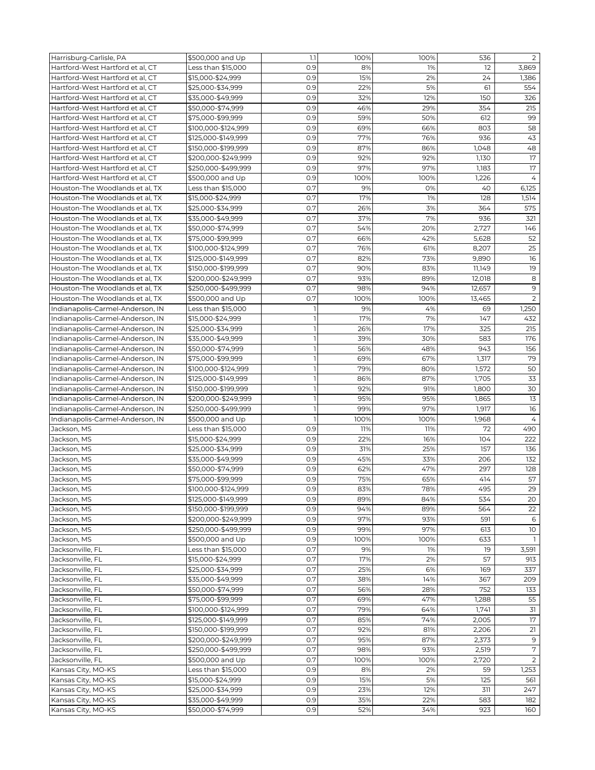| Harrisburg-Carlisle, PA          | \$500,000 and Up    | 1.1            | 100% | 100% | 536    | $\overline{2}$ |
|----------------------------------|---------------------|----------------|------|------|--------|----------------|
| Hartford-West Hartford et al, CT | Less than \$15,000  | 0.9            | 8%   | 1%   | 12     | 3,869          |
| Hartford-West Hartford et al, CT | \$15,000-\$24,999   | 0.9            | 15%  | 2%   | 24     | 1,386          |
| Hartford-West Hartford et al. CT | \$25,000-\$34,999   | 0.9            | 22%  | 5%   | 61     | 554            |
| Hartford-West Hartford et al, CT | \$35,000-\$49,999   | 0.9            | 32%  | 12%  | 150    | 326            |
|                                  | \$50,000-\$74,999   |                |      |      |        |                |
| Hartford-West Hartford et al, CT |                     | 0.9            | 46%  | 29%  | 354    | 215            |
| Hartford-West Hartford et al. CT | \$75,000-\$99,999   | 0.9            | 59%  | 50%  | 612    | 99             |
| Hartford-West Hartford et al, CT | \$100,000-\$124,999 | 0.9            | 69%  | 66%  | 803    | 58             |
| Hartford-West Hartford et al, CT | \$125,000-\$149,999 | 0.9            | 77%  | 76%  | 936    | 43             |
| Hartford-West Hartford et al, CT | \$150,000-\$199,999 | 0.9            | 87%  | 86%  | 1,048  | 48             |
| Hartford-West Hartford et al. CT | \$200,000-\$249,999 | 0.9            | 92%  | 92%  | 1,130  | 17             |
| Hartford-West Hartford et al. CT | \$250,000-\$499,999 | 0.9            | 97%  | 97%  | 1,183  | 17             |
| Hartford-West Hartford et al, CT | \$500,000 and Up    | 0.9            | 100% | 100% | 1,226  | 4              |
| Houston-The Woodlands et al, TX  | Less than \$15,000  | 0.7            | 9%   | 0%   | 40     | 6,125          |
| Houston-The Woodlands et al, TX  | \$15,000-\$24,999   | 0.7            | 17%  | 1%   | 128    | 1,514          |
| Houston-The Woodlands et al, TX  | \$25,000-\$34,999   | 0.7            | 26%  | 3%   | 364    | 575            |
| Houston-The Woodlands et al, TX  | \$35,000-\$49,999   | 0.7            | 37%  | 7%   | 936    | 321            |
| Houston-The Woodlands et al, TX  | \$50,000-\$74,999   | 0.7            | 54%  | 20%  | 2,727  | 146            |
| Houston-The Woodlands et al, TX  | \$75,000-\$99,999   | O.7            | 66%  | 42%  | 5,628  | 52             |
| Houston-The Woodlands et al, TX  | \$100,000-\$124,999 | 0.7            | 76%  | 61%  | 8,207  | 25             |
| Houston-The Woodlands et al, TX  | \$125,000-\$149,999 | 0.7            | 82%  | 73%  | 9,890  | 16             |
| Houston-The Woodlands et al, TX  | \$150,000-\$199,999 | 0.7            | 90%  | 83%  | 11,149 | 19             |
|                                  |                     |                |      |      |        |                |
| Houston-The Woodlands et al, TX  | \$200,000-\$249,999 | 0.7            | 93%  | 89%  | 12,018 | 8              |
| Houston-The Woodlands et al, TX  | \$250,000-\$499,999 | 0.7            | 98%  | 94%  | 12,657 | $\mathsf 9$    |
| Houston-The Woodlands et al, TX  | \$500,000 and Up    | O.7            | 100% | 100% | 13,465 | 2              |
| Indianapolis-Carmel-Anderson, IN | Less than \$15,000  | 1              | 9%   | 4%   | 69     | 1,250          |
| Indianapolis-Carmel-Anderson, IN | \$15,000-\$24,999   | $\mathbf{1}$   | 17%  | 7%   | 147    | 432            |
| Indianapolis-Carmel-Anderson, IN | \$25,000-\$34,999   | $\mathbf{1}$   | 26%  | 17%  | 325    | 215            |
| Indianapolis-Carmel-Anderson, IN | \$35,000-\$49,999   | 1              | 39%  | 30%  | 583    | 176            |
| Indianapolis-Carmel-Anderson, IN | \$50,000-\$74,999   | $\mathbf{1}$   | 56%  | 48%  | 943    | 156            |
| Indianapolis-Carmel-Anderson, IN | \$75,000-\$99,999   | $\mathbf{I}$   | 69%  | 67%  | 1,317  | 79             |
| Indianapolis-Carmel-Anderson, IN | \$100,000-\$124,999 | $\mathbf{1}$   | 79%  | 80%  | 1,572  | 50             |
| Indianapolis-Carmel-Anderson, IN | \$125,000-\$149,999 | $\mathbf{1}$   | 86%  | 87%  | 1,705  | 33             |
| Indianapolis-Carmel-Anderson, IN | \$150,000-\$199,999 | $\mathbf{1}$   | 92%  | 91%  | 1,800  | 30             |
| Indianapolis-Carmel-Anderson, IN | \$200,000-\$249,999 | $\mathbf{1}$   | 95%  | 95%  | 1,865  | 13             |
| Indianapolis-Carmel-Anderson, IN | \$250,000-\$499,999 | $\mathbf{1}$   | 99%  | 97%  | 1,917  | 16             |
| Indianapolis-Carmel-Anderson, IN | \$500,000 and Up    | $\overline{1}$ | 100% | 100% | 1,968  | 4              |
|                                  |                     |                |      |      |        |                |
| Jackson, MS                      | Less than \$15,000  | 0.9            | 11%  | 11%  | 72     | 490            |
| Jackson, MS                      | \$15,000-\$24,999   | 0.9            | 22%  | 16%  | 104    | 222            |
| Jackson, MS                      | \$25,000-\$34,999   | 0.9            | 31%  | 25%  | 157    | 136            |
| Jackson, MS                      | \$35,000-\$49,999   | 0.9            | 45%  | 33%  | 206    | 132            |
| Jackson, MS                      | \$50,000-\$74,999   | 0.9            | 62%  | 47%  | 297    | 128            |
| Jackson, MS                      | \$75,000-\$99,999   | 0.9            | 75%  | 65%  | 414    | 57             |
| Jackson, MS                      | \$100,000-\$124,999 | 0.9            | 83%  | 78%  | 495    | 29             |
| Jackson, MS                      | \$125,000-\$149,999 | 0.9            | 89%  | 84%  | 534    | 20             |
| Jackson, MS                      | \$150,000-\$199,999 | 0.9            | 94%  | 89%  | 564    | 22             |
| Jackson, MS                      | \$200,000-\$249,999 | 0.9            | 97%  | 93%  | 591    | 6              |
| Jackson, MS                      | \$250,000-\$499,999 | 0.9            | 99%  | 97%  | 613    | 10             |
| Jackson, MS                      | \$500,000 and Up    | 0.9            | 100% | 100% | 633    | 1.             |
| Jacksonville, FL                 | Less than \$15,000  | 0.7            | 9%   | 1%   | 19     | 3,591          |
| Jacksonville, FL                 | \$15,000-\$24,999   | 0.7            | 17%  | 2%   | 57     | 913            |
| Jacksonville, FL                 | \$25,000-\$34,999   | 0.7            | 25%  | 6%   | 169    | 337            |
| Jacksonville, FL                 | \$35,000-\$49,999   | 0.7            | 38%  | 14%  | 367    | 209            |
| Jacksonville, FL                 | \$50,000-\$74,999   | 0.7            | 56%  | 28%  | 752    | 133            |
|                                  |                     | 0.7            | 69%  | 47%  |        |                |
| Jacksonville, FL                 | \$75,000-\$99,999   |                |      |      | 1,288  | 55             |
| Jacksonville, FL                 | \$100,000-\$124,999 | 0.7            | 79%  | 64%  | 1,741  | 31             |
| Jacksonville, FL                 | \$125,000-\$149,999 | 0.7            | 85%  | 74%  | 2,005  | 17             |
| Jacksonville, FL                 | \$150,000-\$199,999 | 0.7            | 92%  | 81%  | 2,206  | 21             |
| Jacksonville, FL                 | \$200,000-\$249,999 | 0.7            | 95%  | 87%  | 2,373  | $9$            |
| Jacksonville, FL                 | \$250,000-\$499,999 | 0.7            | 98%  | 93%  | 2,519  | 7              |
| Jacksonville, FL                 | \$500,000 and Up    | 0.7            | 100% | 100% | 2,720  | $\overline{2}$ |
| Kansas City, MO-KS               | Less than \$15,000  | 0.9            | 8%   | 2%   | 59     | 1,253          |
| Kansas City, MO-KS               | \$15,000-\$24,999   | 0.9            | 15%  | 5%   | 125    | 561            |
| Kansas City, MO-KS               | \$25,000-\$34,999   | 0.9            | 23%  | 12%  | 311    | 247            |
| Kansas City, MO-KS               | \$35,000-\$49,999   | 0.9            | 35%  | 22%  | 583    | 182            |
|                                  | \$50,000-\$74,999   | 0.9            | 52%  | 34%  | 923    | 160            |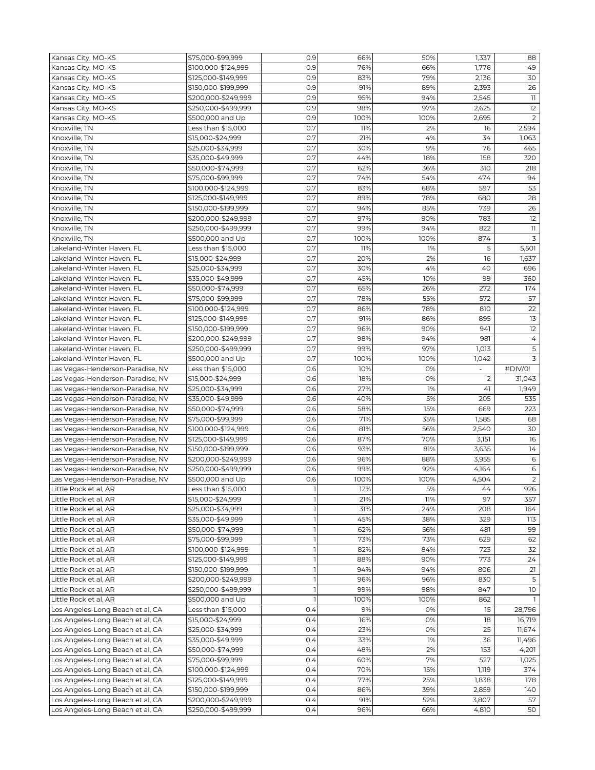| Kansas City, MO-KS               | \$75,000-\$99,999   | 0.9            | 66%  | 50%  | 1,337          | 88             |
|----------------------------------|---------------------|----------------|------|------|----------------|----------------|
| Kansas City, MO-KS               | \$100,000-\$124,999 | 0.9            | 76%  | 66%  | 1,776          | 49             |
| Kansas City, MO-KS               | \$125,000-\$149,999 | 0.9            | 83%  | 79%  | 2,136          | 30             |
| Kansas City, MO-KS               | \$150,000-\$199,999 | 0.9            | 91%  | 89%  | 2,393          | 26             |
| Kansas City, MO-KS               | \$200,000-\$249,999 | 0.9            | 95%  | 94%  | 2,545          | 11             |
| Kansas City, MO-KS               | \$250,000-\$499,999 | 0.9            | 98%  | 97%  | 2,625          | 12             |
| Kansas City, MO-KS               | \$500,000 and Up    | 0.9            | 100% | 100% | 2,695          | 2              |
| Knoxville, TN                    | Less than \$15,000  | 0.7            | 11%  | 2%   | 16             | 2,594          |
|                                  |                     | O.7            | 21%  | 4%   | 34             |                |
| Knoxville, TN                    | \$15,000-\$24,999   |                |      |      |                | 1,063          |
| Knoxville, TN                    | \$25,000-\$34,999   | 0.7            | 30%  | 9%   | 76             | 465            |
| Knoxville, TN                    | \$35,000-\$49,999   | O.7            | 44%  | 18%  | 158            | 320            |
| Knoxville, TN                    | \$50,000-\$74,999   | 0.7            | 62%  | 36%  | 310            | 218            |
| Knoxville, TN                    | \$75,000-\$99,999   | O.7            | 74%  | 54%  | 474            | 94             |
| Knoxville, TN                    | \$100,000-\$124,999 | 0.7            | 83%  | 68%  | 597            | 53             |
| Knoxville, TN                    | \$125,000-\$149,999 | 0.7            | 89%  | 78%  | 680            | 28             |
| Knoxville, TN                    | \$150,000-\$199,999 | 0.7            | 94%  | 85%  | 739            | 26             |
| Knoxville, TN                    | \$200,000-\$249,999 | 0.7            | 97%  | 90%  | 783            | 12             |
| Knoxville, TN                    | \$250,000-\$499,999 | 0.7            | 99%  | 94%  | 822            | $11$           |
| Knoxville, TN                    | \$500,000 and Up    | 0.7            | 100% | 100% | 874            | $\mathsf 3$    |
| Lakeland-Winter Haven, FL        | Less than \$15,000  | 0.7            | 11%  | 1%   | 5              | 5,501          |
| Lakeland-Winter Haven, FL        | \$15,000-\$24,999   | 0.7            | 20%  | 2%   | 16             | 1,637          |
| Lakeland-Winter Haven, FL        | \$25,000-\$34,999   | 0.7            | 30%  | 4%   | 40             | 696            |
| Lakeland-Winter Haven, FL        | \$35,000-\$49,999   | 0.7            | 45%  | 10%  | 99             | 360            |
| Lakeland-Winter Haven, FL        | \$50,000-\$74,999   | 0.7            | 65%  | 26%  | 272            | 174            |
| Lakeland-Winter Haven, FL        | \$75,000-\$99,999   | 0.7            | 78%  | 55%  | 572            | 57             |
| Lakeland-Winter Haven, FL        |                     | 0.7            |      | 78%  | 810            | 22             |
|                                  | \$100,000-\$124,999 |                | 86%  |      |                |                |
| Lakeland-Winter Haven, FL        | \$125,000-\$149,999 | O.7            | 91%  | 86%  | 895            | 13             |
| Lakeland-Winter Haven, FL        | \$150,000-\$199,999 | 0.7            | 96%  | 90%  | 941            | 12             |
| Lakeland-Winter Haven, FL        | \$200,000-\$249,999 | 0.7            | 98%  | 94%  | 981            | 4              |
| Lakeland-Winter Haven, FL        | \$250,000-\$499,999 | 0.7            | 99%  | 97%  | 1,013          | 5              |
| Lakeland-Winter Haven, FL        | \$500,000 and Up    | 0.7            | 100% | 100% | 1,042          | 3              |
| Las Vegas-Henderson-Paradise, NV | Less than \$15,000  | 0.6            | 10%  | 0%   | $\overline{a}$ | #DIV/0!        |
| Las Vegas-Henderson-Paradise, NV | \$15,000-\$24,999   | 0.6            | 18%  | 0%   | 2              | 31,043         |
| Las Vegas-Henderson-Paradise, NV | \$25,000-\$34,999   | 0.6            | 27%  | 1%   | 41             | 1,949          |
| Las Vegas-Henderson-Paradise, NV | \$35,000-\$49,999   | 0.6            | 40%  | 5%   | 205            | 535            |
| Las Vegas-Henderson-Paradise, NV | \$50,000-\$74,999   | 0.6            | 58%  | 15%  | 669            | 223            |
| Las Vegas-Henderson-Paradise, NV | \$75,000-\$99,999   | 0.6            | 71%  | 35%  | 1,585          | 68             |
| Las Vegas-Henderson-Paradise, NV | \$100,000-\$124,999 | 0.6            | 81%  | 56%  | 2,540          | 30             |
| Las Vegas-Henderson-Paradise, NV | \$125,000-\$149,999 | 0.6            | 87%  | 70%  | 3,151          | 16             |
| Las Vegas-Henderson-Paradise, NV | \$150,000-\$199,999 | 0.6            | 93%  | 81%  | 3,635          | 14             |
| Las Vegas-Henderson-Paradise, NV | \$200,000-\$249,999 | 0.6            | 96%  | 88%  | 3,955          | 6              |
| Las Vegas-Henderson-Paradise, NV | \$250,000-\$499,999 | 0.6            | 99%  | 92%  | 4,164          | 6              |
| Las Vegas-Henderson-Paradise, NV | \$500,000 and Up    | 0.6            | 100% | 100% | 4,504          | $\overline{2}$ |
| Little Rock et al, AR            | Less than \$15,000  | 1              | 12%  | 5%   | 44             | 926            |
| Little Rock et al, AR            | \$15,000-\$24,999   | $\mathbf{1}$   | 21%  | 11%  | 97             | 357            |
| Little Rock et al, AR            | \$25,000-\$34,999   | 1              | 31%  | 24%  | 208            | 164            |
| Little Rock et al, AR            | \$35,000-\$49,999   | $\overline{1}$ | 45%  | 38%  | 329            | 113            |
|                                  |                     |                |      |      |                |                |
| Little Rock et al, AR            | \$50,000-\$74,999   | $\mathbf{1}$   | 62%  | 56%  | 481            | 99             |
| Little Rock et al, AR            | \$75,000-\$99,999   | $\mathbf{1}$   | 73%  | 73%  | 629            | 62             |
| Little Rock et al, AR            | \$100,000-\$124,999 | $\mathbf{1}$   | 82%  | 84%  | 723            | 32             |
| Little Rock et al, AR            | \$125,000-\$149,999 | 1              | 88%  | 90%  | 773            | 24             |
| Little Rock et al, AR            | \$150,000-\$199,999 | $\mathbb{I}$   | 94%  | 94%  | 806            | 21             |
| Little Rock et al, AR            | \$200,000-\$249,999 | $\mathbf{1}$   | 96%  | 96%  | 830            | 5              |
| Little Rock et al. AR            | \$250,000-\$499,999 | $\overline{1}$ | 99%  | 98%  | 847            | 10             |
| Little Rock et al, AR            | \$500,000 and Up    | $\mathbf{1}$   | 100% | 100% | 862            |                |
| Los Angeles-Long Beach et al, CA | Less than \$15,000  | 0.4            | 9%   | 0%   | 15             | 28,796         |
| Los Angeles-Long Beach et al, CA | \$15,000-\$24,999   | 0.4            | 16%  | 0%   | 18             | 16,719         |
| Los Angeles-Long Beach et al, CA | \$25,000-\$34,999   | 0.4            | 23%  | 0%   | 25             | 11,674         |
| Los Angeles-Long Beach et al, CA | \$35,000-\$49,999   | 0.4            | 33%  | 1%   | 36             | 11,496         |
| Los Angeles-Long Beach et al, CA | \$50,000-\$74,999   | 0.4            | 48%  | 2%   | 153            | 4,201          |
| Los Angeles-Long Beach et al, CA | \$75,000-\$99,999   | 0.4            | 60%  | 7%   | 527            | 1,025          |
| Los Angeles-Long Beach et al, CA | \$100,000-\$124,999 | 0.4            | 70%  | 15%  | 1,119          | 374            |
| Los Angeles-Long Beach et al, CA | \$125,000-\$149,999 | 0.4            | 77%  | 25%  | 1,838          | 178            |
| Los Angeles-Long Beach et al, CA | \$150,000-\$199,999 | 0.4            | 86%  | 39%  | 2,859          | 140            |
| Los Angeles-Long Beach et al, CA | \$200,000-\$249,999 | 0.4            | 91%  | 52%  | 3,807          | 57             |
|                                  |                     |                |      |      |                |                |
| Los Angeles-Long Beach et al, CA | \$250,000-\$499,999 | 0.4            | 96%  | 66%  | 4,810          | 50             |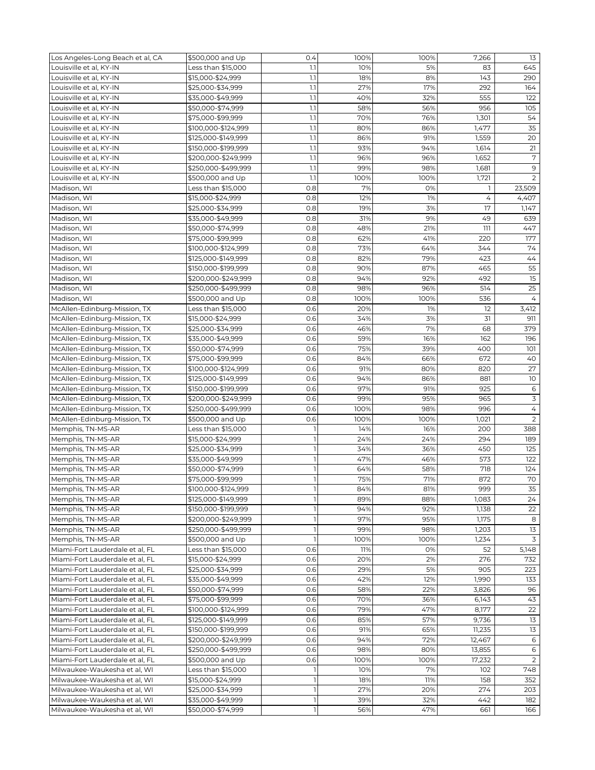| Los Angeles-Long Beach et al, CA | \$500,000 and Up    | 0.4          | 100% | 100% | 7,266  | 13                  |
|----------------------------------|---------------------|--------------|------|------|--------|---------------------|
| Louisville et al, KY-IN          | Less than \$15,000  | 1.1          | 10%  | 5%   | 83     | 645                 |
| Louisville et al, KY-IN          | \$15,000-\$24,999   | 1.1          | 18%  | 8%   | 143    | 290                 |
| Louisville et al, KY-IN          | \$25,000-\$34,999   | 1.1          | 27%  | 17%  | 292    | 164                 |
| Louisville et al, KY-IN          | \$35,000-\$49,999   | 1.1          | 40%  | 32%  | 555    | 122                 |
|                                  |                     | 1.1          | 58%  | 56%  | 956    | 105                 |
| Louisville et al, KY-IN          | \$50,000-\$74,999   |              |      |      |        |                     |
| Louisville et al, KY-IN          | \$75,000-\$99,999   | 1.1          | 70%  | 76%  | 1,301  | 54                  |
| Louisville et al, KY-IN          | \$100,000-\$124,999 | 1.1          | 80%  | 86%  | 1,477  | 35                  |
| Louisville et al, KY-IN          | \$125,000-\$149,999 | 1.1          | 86%  | 91%  | 1,559  | 20                  |
| Louisville et al, KY-IN          | \$150,000-\$199,999 | 1.1          | 93%  | 94%  | 1,614  | 21                  |
| Louisville et al, KY-IN          | \$200,000-\$249,999 | 1.1          | 96%  | 96%  | 1,652  | 7                   |
| Louisville et al, KY-IN          | \$250,000-\$499,999 | 1.1          | 99%  | 98%  | 1,681  | 9                   |
| Louisville et al, KY-IN          | \$500,000 and Up    | 1.1          | 100% | 100% | 1,721  | 2                   |
| Madison, WI                      | Less than \$15,000  | 0.8          | 7%   | 0%   | -1     | 23,509              |
| Madison, WI                      | \$15,000-\$24,999   | 0.8          | 12%  | 1%   | 4      | 4,407               |
| Madison, WI                      | \$25,000-\$34,999   | 0.8          | 19%  | 3%   | 17     | 1,147               |
| Madison, WI                      | \$35,000-\$49,999   | 0.8          | 31%  | 9%   | 49     | 639                 |
| Madison, WI                      | \$50,000-\$74,999   | 0.8          | 48%  | 21%  | 111    | 447                 |
| Madison, WI                      | \$75,000-\$99,999   | 0.8          | 62%  | 41%  | 220    | 177                 |
| Madison, WI                      | \$100,000-\$124,999 | 0.8          | 73%  | 64%  | 344    | 74                  |
| Madison, WI                      | \$125,000-\$149,999 | 0.8          | 82%  | 79%  | 423    | 44                  |
|                                  |                     |              |      |      |        | 55                  |
| Madison, WI                      | \$150,000-\$199,999 | 0.8          | 90%  | 87%  | 465    |                     |
| Madison, WI                      | \$200,000-\$249,999 | 0.8          | 94%  | 92%  | 492    | 15                  |
| Madison, WI                      | \$250,000-\$499,999 | 0.8          | 98%  | 96%  | 514    | 25                  |
| Madison, WI                      | \$500,000 and Up    | 0.8          | 100% | 100% | 536    | $\overline{4}$      |
| McAllen-Edinburg-Mission, TX     | Less than \$15,000  | 0.6          | 20%  | 1%   | 12     | 3,412               |
| McAllen-Edinburg-Mission, TX     | \$15,000-\$24,999   | 0.6          | 34%  | 3%   | 31     | 911                 |
| McAllen-Edinburg-Mission, TX     | \$25,000-\$34,999   | 0.6          | 46%  | 7%   | 68     | 379                 |
| McAllen-Edinburg-Mission, TX     | \$35,000-\$49,999   | 0.6          | 59%  | 16%  | 162    | 196                 |
| McAllen-Edinburg-Mission, TX     | \$50,000-\$74,999   | 0.6          | 75%  | 39%  | 400    | 101                 |
| McAllen-Edinburg-Mission, TX     | \$75,000-\$99,999   | 0.6          | 84%  | 66%  | 672    | 40                  |
| McAllen-Edinburg-Mission, TX     | \$100,000-\$124,999 | 0.6          | 91%  | 80%  | 820    | 27                  |
| McAllen-Edinburg-Mission, TX     | \$125,000-\$149,999 | 0.6          | 94%  | 86%  | 881    | 10                  |
| McAllen-Edinburg-Mission, TX     | \$150,000-\$199,999 | 0.6          | 97%  | 91%  | 925    | 6                   |
| McAllen-Edinburg-Mission, TX     | \$200,000-\$249,999 | 0.6          | 99%  | 95%  | 965    | 3                   |
|                                  |                     |              |      |      | 996    |                     |
| McAllen-Edinburg-Mission, TX     | \$250,000-\$499,999 | 0.6          | 100% | 98%  |        | 4<br>$\overline{2}$ |
| McAllen-Edinburg-Mission, TX     | \$500,000 and Up    | 0.6          | 100% | 100% | 1,021  |                     |
| Memphis, TN-MS-AR                | Less than \$15,000  | 1            | 14%  | 16%  | 200    | 388                 |
| Memphis, TN-MS-AR                | \$15,000-\$24,999   | $\mathbb{I}$ | 24%  | 24%  | 294    | 189                 |
| Memphis, TN-MS-AR                | \$25,000-\$34,999   | $\mathbb{I}$ | 34%  | 36%  | 450    | 125                 |
| Memphis, TN-MS-AR                | \$35,000-\$49,999   | $\mathbf{I}$ | 47%  | 46%  | 573    | 122                 |
| Memphis, TN-MS-AR                | \$50,000-\$74,999   | 1            | 64%  | 58%  | 718    | 124                 |
| Memphis, TN-MS-AR                | \$75,000-\$99,999   | $\mathbf{1}$ | 75%  | 71%  | 872    | 70                  |
| Memphis, TN-MS-AR                | \$100,000-\$124,999 | $\perp$      | 84%  | 81%  | 999    | 35                  |
| Memphis, TN-MS-AR                | \$125,000-\$149,999 | 1            | 89%  | 88%  | 1,083  | 24                  |
| Memphis, TN-MS-AR                | \$150,000-\$199,999 | 1            | 94%  | 92%  | 1,138  | 22                  |
| Memphis, TN-MS-AR                | \$200,000-\$249,999 | 1            | 97%  | 95%  | 1,175  | 8                   |
| Memphis, TN-MS-AR                | \$250,000-\$499,999 | $\mathbb{I}$ | 99%  | 98%  | 1,203  | 13                  |
| Memphis, TN-MS-AR                | \$500,000 and Up    | $\mathbf{1}$ | 100% | 100% | 1,234  | $\overline{3}$      |
| Miami-Fort Lauderdale et al, FL  | Less than \$15,000  | 0.6          | 11%  | 0%   | 52     | 5,148               |
| Miami-Fort Lauderdale et al, FL  | \$15,000-\$24,999   | 0.6          | 20%  | 2%   | 276    | 732                 |
|                                  |                     | 0.6          | 29%  | 5%   | 905    | 223                 |
| Miami-Fort Lauderdale et al, FL  | \$25,000-\$34,999   |              |      |      |        |                     |
| Miami-Fort Lauderdale et al, FL  | \$35,000-\$49,999   | 0.6          | 42%  | 12%  | 1,990  | 133                 |
| Miami-Fort Lauderdale et al, FL  | \$50,000-\$74,999   | 0.6          | 58%  | 22%  | 3,826  | 96                  |
| Miami-Fort Lauderdale et al, FL  | \$75,000-\$99,999   | 0.6          | 70%  | 36%  | 6,143  | 43                  |
| Miami-Fort Lauderdale et al, FL  | \$100,000-\$124,999 | 0.6          | 79%  | 47%  | 8,177  | 22                  |
| Miami-Fort Lauderdale et al, FL  | \$125,000-\$149,999 | 0.6          | 85%  | 57%  | 9,736  | 13                  |
| Miami-Fort Lauderdale et al, FL  | \$150,000-\$199,999 | 0.6          | 91%  | 65%  | 11,235 | 13                  |
| Miami-Fort Lauderdale et al, FL  | \$200,000-\$249,999 | 0.6          | 94%  | 72%  | 12,467 | 6                   |
| Miami-Fort Lauderdale et al, FL  | \$250,000-\$499,999 | 0.6          | 98%  | 80%  | 13,855 | 6                   |
| Miami-Fort Lauderdale et al, FL  | \$500,000 and Up    | 0.6          | 100% | 100% | 17,232 | 2                   |
| Milwaukee-Waukesha et al, WI     | Less than \$15,000  | ı            | 10%  | 7%   | 102    | 748                 |
| Milwaukee-Waukesha et al, WI     | \$15,000-\$24,999   | 1            | 18%  | 11%  | 158    | 352                 |
| Milwaukee-Waukesha et al, WI     | \$25,000-\$34,999   | 1            | 27%  | 20%  | 274    | 203                 |
| Milwaukee-Waukesha et al, WI     | \$35,000-\$49,999   | 1            | 39%  | 32%  | 442    | 182                 |
| Milwaukee-Waukesha et al, WI     | \$50,000-\$74,999   | $\mathbf{1}$ | 56%  | 47%  | 661    | 166                 |
|                                  |                     |              |      |      |        |                     |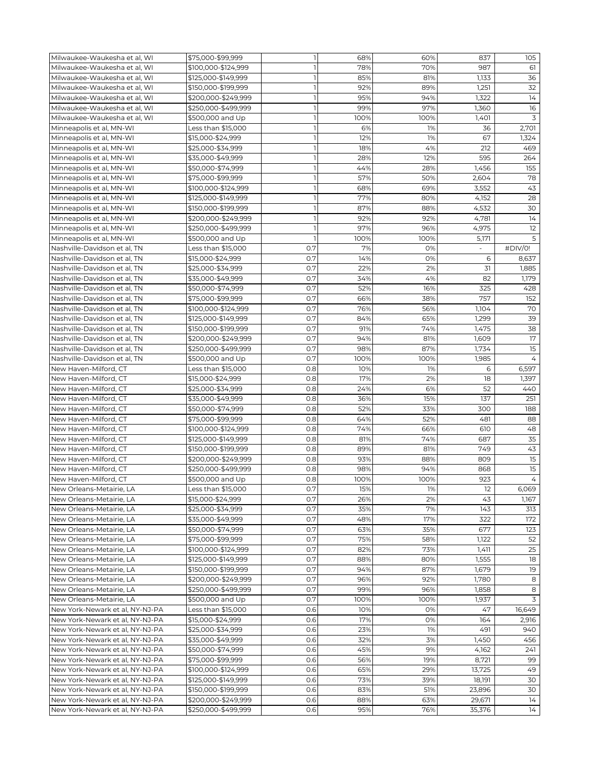| $\overline{1}$<br>78%<br>70%<br>987<br>61<br>Milwaukee-Waukesha et al, WI<br>\$100,000-\$124,999<br>Milwaukee-Waukesha et al, WI<br>1<br>85%<br>1,133<br>36<br>\$125,000-\$149,999<br>81%<br>Milwaukee-Waukesha et al. WI<br>32<br>\$150,000-\$199,999<br>1<br>92%<br>89%<br>1,251<br>$\mathbf{1}$<br>14<br>95%<br>94%<br>1,322<br>Milwaukee-Waukesha et al, WI<br>\$200,000-\$249,999<br>16<br>$\mathbf{1}$<br>97%<br>Milwaukee-Waukesha et al, WI<br>\$250,000-\$499,999<br>99%<br>1,360<br>1<br>3<br>Milwaukee-Waukesha et al, WI<br>\$500,000 and Up<br>100%<br>100%<br>1,401<br>$\mathbf{1}$<br>Minneapolis et al, MN-WI<br>Less than \$15,000<br>6%<br>1%<br>36<br>2,701<br>$\mathbf{1}$<br>12%<br>1%<br>67<br>1,324<br>Minneapolis et al, MN-WI<br>\$15,000-\$24,999<br>$\mathbf{1}$<br>4%<br>212<br>469<br>\$25,000-\$34,999<br>18%<br>Minneapolis et al, MN-WI<br>$\mathbf{1}$<br>12%<br>595<br>264<br>Minneapolis et al, MN-WI<br>\$35,000-\$49,999<br>28%<br>$\mathbf{1}$<br>44%<br>1,456<br>155<br>Minneapolis et al, MN-WI<br>\$50,000-\$74,999<br>28%<br>57%<br>78<br>Minneapolis et al, MN-WI<br>\$75,000-\$99,999<br>1<br>50%<br>2,604<br>$\mathbb{I}$<br>43<br>Minneapolis et al, MN-WI<br>\$100,000-\$124,999<br>68%<br>69%<br>3,552<br>Minneapolis et al, MN-WI<br>\$125,000-\$149,999<br>1<br>77%<br>28<br>80%<br>4,152<br>$\mathbf{1}$<br>30<br>87%<br>88%<br>4,532<br>Minneapolis et al, MN-WI<br>\$150,000-\$199,999<br>$\mathbf{1}$<br>92%<br>92%<br>4,781<br>14<br>Minneapolis et al, MN-WI<br>\$200,000-\$249,999<br>12<br>$\mathbf{1}$<br>97%<br>4,975<br>Minneapolis et al, MN-WI<br>\$250,000-\$499,999<br>96%<br>5<br>$\mathbf{1}$<br>100%<br>100%<br>5,171<br>Minneapolis et al, MN-WI<br>\$500,000 and Up<br>0.7<br>7%<br>0%<br>#DIV/0!<br>Nashville-Davidson et al. TN<br>Less than \$15,000<br>Nashville-Davidson et al. TN<br>\$15,000-\$24,999<br>0.7<br>14%<br>6<br>0%<br>8,637<br>Nashville-Davidson et al. TN<br>\$25,000-\$34,999<br>0.7<br>22%<br>2%<br>31<br>1,885<br>Nashville-Davidson et al, TN<br>0.7<br>34%<br>4%<br>\$35,000-\$49,999<br>82<br>1,179<br>0.7<br>52%<br>16%<br>325<br>Nashville-Davidson et al, TN<br>428<br>\$50,000-\$74,999<br>0.7<br>757<br>Nashville-Davidson et al, TN<br>152<br>\$75,000-\$99,999<br>66%<br>38%<br>70<br>0.7<br>76%<br>56%<br>Nashville-Davidson et al. TN<br>\$100,000-\$124,999<br>1,104<br>0.7<br>39<br>Nashville-Davidson et al, TN<br>84%<br>65%<br>1,299<br>\$125,000-\$149,999<br>Nashville-Davidson et al, TN<br>0.7<br>91%<br>74%<br>1,475<br>38<br>\$150,000-\$199,999<br>Nashville-Davidson et al, TN<br>0.7<br>17<br>\$200,000-\$249,999<br>94%<br>81%<br>1,609<br>0.7<br>15<br>Nashville-Davidson et al, TN<br>98%<br>87%<br>1,734<br>\$250,000-\$499,999<br>0.7<br>$\overline{4}$<br>Nashville-Davidson et al, TN<br>\$500,000 and Up<br>100%<br>100%<br>1,985<br>New Haven-Milford, CT<br>Less than \$15,000<br>0.8<br>10%<br>1%<br>6,597<br>6<br>17%<br>18<br>New Haven-Milford, CT<br>\$15,000-\$24,999<br>0.8<br>2%<br>1,397<br>New Haven-Milford, CT<br>0.8<br>24%<br>6%<br>52<br>440<br>\$25,000-\$34,999<br>New Haven-Milford, CT<br>36%<br>15%<br>137<br>251<br>\$35,000-\$49,999<br>0.8<br>New Haven-Milford, CT<br>52%<br>33%<br>188<br>\$50,000-\$74,999<br>0.8<br>300<br>64%<br>52%<br>New Haven-Milford, CT<br>\$75,000-\$99,999<br>0.8<br>481<br>88<br>New Haven-Milford, CT<br>74%<br>48<br>\$100,000-\$124,999<br>0.8<br>66%<br>610<br>35<br>New Haven-Milford, CT<br>\$125,000-\$149,999<br>0.8<br>81%<br>74%<br>687<br>43<br>New Haven-Milford, CT<br>\$150,000-\$199,999<br>0.8<br>89%<br>81%<br>749<br>15<br>0.8<br>93%<br>88%<br>New Haven-Milford, CT<br>\$200,000-\$249,999<br>809<br>15<br>0.8<br>98%<br>94%<br>New Haven-Milford, CT<br>\$250.000-\$499.999<br>868<br>New Haven-Milford, CT<br>923<br>4<br>\$500,000 and Up<br>0.8<br>100%<br>100%<br>New Orleans-Metairie, LA<br>Less than \$15,000<br>0.7<br>15%<br>1%<br>12<br>6,069<br>O.7<br>2%<br>43<br>1,167<br>New Orleans-Metairie, LA<br>\$15,000-\$24,999<br>26%<br>New Orleans-Metairie, LA<br>\$25,000-\$34,999<br>0.7<br>35%<br>7%<br>143<br>313<br>New Orleans-Metairie, LA<br>0.7<br>17%<br>\$35,000-\$49,999<br>48%<br>322<br>172<br>0.7<br>New Orleans-Metairie, LA<br>\$50,000-\$74,999<br>63%<br>35%<br>677<br>123<br>0.7<br>75%<br>New Orleans-Metairie, LA<br>\$75,000-\$99,999<br>58%<br>1,122<br>52<br>25<br>0.7<br>73%<br>New Orleans-Metairie, LA<br>\$100,000-\$124,999<br>82%<br>1,411<br>0.7<br>1,555<br>18<br>New Orleans-Metairie, LA<br>\$125,000-\$149,999<br>88%<br>80%<br>New Orleans-Metairie, LA<br>O.7<br>94%<br>87%<br>19<br>\$150,000-\$199,999<br>1,679<br>New Orleans-Metairie, LA<br>\$200,000-\$249,999<br>0.7<br>96%<br>92%<br>1,780<br>8<br>New Orleans-Metairie, LA<br>\$250,000-\$499,999<br>0.7<br>99%<br>96%<br>1,858<br>8<br>0.7<br>3<br>New Orleans-Metairie, LA<br>\$500,000 and Up<br>100%<br>100%<br>1,937<br>New York-Newark et al, NY-NJ-PA<br>Less than \$15,000<br>0.6<br>10%<br>0%<br>47<br>16,649<br>New York-Newark et al, NY-NJ-PA<br>\$15,000-\$24,999<br>0.6<br>17%<br>0%<br>164<br>2,916<br>23%<br>New York-Newark et al, NY-NJ-PA<br>\$25,000-\$34,999<br>0.6<br>1%<br>491<br>940<br>0.6<br>32%<br>3%<br>1,450<br>456<br>New York-Newark et al, NY-NJ-PA<br>\$35,000-\$49,999<br>New York-Newark et al, NY-NJ-PA<br>\$50,000-\$74,999<br>0.6<br>45%<br>9%<br>4,162<br>241<br>New York-Newark et al, NY-NJ-PA<br>\$75,000-\$99,999<br>0.6<br>56%<br>19%<br>8,721<br>99<br>49<br>New York-Newark et al, NY-NJ-PA<br>\$100,000-\$124,999<br>0.6<br>65%<br>29%<br>13,725<br>30<br>New York-Newark et al, NY-NJ-PA<br>\$125,000-\$149,999<br>0.6<br>73%<br>39%<br>18,191<br>New York-Newark et al, NY-NJ-PA<br>30<br>\$150,000-\$199,999<br>0.6<br>83%<br>51%<br>23,896<br>New York-Newark et al, NY-NJ-PA<br>\$200,000-\$249,999<br>63%<br>14<br>0.6<br>88%<br>29,671<br>0.6<br>New York-Newark et al, NY-NJ-PA<br>\$250,000-\$499,999<br>95%<br>76%<br>35,376<br>14 | Milwaukee-Waukesha et al, WI | \$75,000-\$99,999 | $\mathbf{1}$ | 68% | 60% | 837 | 105 |
|-----------------------------------------------------------------------------------------------------------------------------------------------------------------------------------------------------------------------------------------------------------------------------------------------------------------------------------------------------------------------------------------------------------------------------------------------------------------------------------------------------------------------------------------------------------------------------------------------------------------------------------------------------------------------------------------------------------------------------------------------------------------------------------------------------------------------------------------------------------------------------------------------------------------------------------------------------------------------------------------------------------------------------------------------------------------------------------------------------------------------------------------------------------------------------------------------------------------------------------------------------------------------------------------------------------------------------------------------------------------------------------------------------------------------------------------------------------------------------------------------------------------------------------------------------------------------------------------------------------------------------------------------------------------------------------------------------------------------------------------------------------------------------------------------------------------------------------------------------------------------------------------------------------------------------------------------------------------------------------------------------------------------------------------------------------------------------------------------------------------------------------------------------------------------------------------------------------------------------------------------------------------------------------------------------------------------------------------------------------------------------------------------------------------------------------------------------------------------------------------------------------------------------------------------------------------------------------------------------------------------------------------------------------------------------------------------------------------------------------------------------------------------------------------------------------------------------------------------------------------------------------------------------------------------------------------------------------------------------------------------------------------------------------------------------------------------------------------------------------------------------------------------------------------------------------------------------------------------------------------------------------------------------------------------------------------------------------------------------------------------------------------------------------------------------------------------------------------------------------------------------------------------------------------------------------------------------------------------------------------------------------------------------------------------------------------------------------------------------------------------------------------------------------------------------------------------------------------------------------------------------------------------------------------------------------------------------------------------------------------------------------------------------------------------------------------------------------------------------------------------------------------------------------------------------------------------------------------------------------------------------------------------------------------------------------------------------------------------------------------------------------------------------------------------------------------------------------------------------------------------------------------------------------------------------------------------------------------------------------------------------------------------------------------------------------------------------------------------------------------------------------------------------------------------------------------------------------------------------------------------------------------------------------------------------------------------------------------------------------------------------------------------------------------------------------------------------------------------------------------------------------------------------------------------------------------------------------------------------------------------------------------------------------------------------------------------------------------------------------------------------------------------------------------------------------------------------------------------------------------------------------------------------------------------------------------------------------------------------------------------------------------------------------------------------------------------------------------------------------------------------------------------------------------------------------------------------------------------------------------------------------------------------------------------------------------------------------------------------------------------------------------|------------------------------|-------------------|--------------|-----|-----|-----|-----|
|                                                                                                                                                                                                                                                                                                                                                                                                                                                                                                                                                                                                                                                                                                                                                                                                                                                                                                                                                                                                                                                                                                                                                                                                                                                                                                                                                                                                                                                                                                                                                                                                                                                                                                                                                                                                                                                                                                                                                                                                                                                                                                                                                                                                                                                                                                                                                                                                                                                                                                                                                                                                                                                                                                                                                                                                                                                                                                                                                                                                                                                                                                                                                                                                                                                                                                                                                                                                                                                                                                                                                                                                                                                                                                                                                                                                                                                                                                                                                                                                                                                                                                                                                                                                                                                                                                                                                                                                                                                                                                                                                                                                                                                                                                                                                                                                                                                                                                                                                                                                                                                                                                                                                                                                                                                                                                                                                                                                                                                                                                                                                                                                                                                                                                                                                                                                                                                                                                                                                                                                                 |                              |                   |              |     |     |     |     |
|                                                                                                                                                                                                                                                                                                                                                                                                                                                                                                                                                                                                                                                                                                                                                                                                                                                                                                                                                                                                                                                                                                                                                                                                                                                                                                                                                                                                                                                                                                                                                                                                                                                                                                                                                                                                                                                                                                                                                                                                                                                                                                                                                                                                                                                                                                                                                                                                                                                                                                                                                                                                                                                                                                                                                                                                                                                                                                                                                                                                                                                                                                                                                                                                                                                                                                                                                                                                                                                                                                                                                                                                                                                                                                                                                                                                                                                                                                                                                                                                                                                                                                                                                                                                                                                                                                                                                                                                                                                                                                                                                                                                                                                                                                                                                                                                                                                                                                                                                                                                                                                                                                                                                                                                                                                                                                                                                                                                                                                                                                                                                                                                                                                                                                                                                                                                                                                                                                                                                                                                                 |                              |                   |              |     |     |     |     |
|                                                                                                                                                                                                                                                                                                                                                                                                                                                                                                                                                                                                                                                                                                                                                                                                                                                                                                                                                                                                                                                                                                                                                                                                                                                                                                                                                                                                                                                                                                                                                                                                                                                                                                                                                                                                                                                                                                                                                                                                                                                                                                                                                                                                                                                                                                                                                                                                                                                                                                                                                                                                                                                                                                                                                                                                                                                                                                                                                                                                                                                                                                                                                                                                                                                                                                                                                                                                                                                                                                                                                                                                                                                                                                                                                                                                                                                                                                                                                                                                                                                                                                                                                                                                                                                                                                                                                                                                                                                                                                                                                                                                                                                                                                                                                                                                                                                                                                                                                                                                                                                                                                                                                                                                                                                                                                                                                                                                                                                                                                                                                                                                                                                                                                                                                                                                                                                                                                                                                                                                                 |                              |                   |              |     |     |     |     |
|                                                                                                                                                                                                                                                                                                                                                                                                                                                                                                                                                                                                                                                                                                                                                                                                                                                                                                                                                                                                                                                                                                                                                                                                                                                                                                                                                                                                                                                                                                                                                                                                                                                                                                                                                                                                                                                                                                                                                                                                                                                                                                                                                                                                                                                                                                                                                                                                                                                                                                                                                                                                                                                                                                                                                                                                                                                                                                                                                                                                                                                                                                                                                                                                                                                                                                                                                                                                                                                                                                                                                                                                                                                                                                                                                                                                                                                                                                                                                                                                                                                                                                                                                                                                                                                                                                                                                                                                                                                                                                                                                                                                                                                                                                                                                                                                                                                                                                                                                                                                                                                                                                                                                                                                                                                                                                                                                                                                                                                                                                                                                                                                                                                                                                                                                                                                                                                                                                                                                                                                                 |                              |                   |              |     |     |     |     |
|                                                                                                                                                                                                                                                                                                                                                                                                                                                                                                                                                                                                                                                                                                                                                                                                                                                                                                                                                                                                                                                                                                                                                                                                                                                                                                                                                                                                                                                                                                                                                                                                                                                                                                                                                                                                                                                                                                                                                                                                                                                                                                                                                                                                                                                                                                                                                                                                                                                                                                                                                                                                                                                                                                                                                                                                                                                                                                                                                                                                                                                                                                                                                                                                                                                                                                                                                                                                                                                                                                                                                                                                                                                                                                                                                                                                                                                                                                                                                                                                                                                                                                                                                                                                                                                                                                                                                                                                                                                                                                                                                                                                                                                                                                                                                                                                                                                                                                                                                                                                                                                                                                                                                                                                                                                                                                                                                                                                                                                                                                                                                                                                                                                                                                                                                                                                                                                                                                                                                                                                                 |                              |                   |              |     |     |     |     |
|                                                                                                                                                                                                                                                                                                                                                                                                                                                                                                                                                                                                                                                                                                                                                                                                                                                                                                                                                                                                                                                                                                                                                                                                                                                                                                                                                                                                                                                                                                                                                                                                                                                                                                                                                                                                                                                                                                                                                                                                                                                                                                                                                                                                                                                                                                                                                                                                                                                                                                                                                                                                                                                                                                                                                                                                                                                                                                                                                                                                                                                                                                                                                                                                                                                                                                                                                                                                                                                                                                                                                                                                                                                                                                                                                                                                                                                                                                                                                                                                                                                                                                                                                                                                                                                                                                                                                                                                                                                                                                                                                                                                                                                                                                                                                                                                                                                                                                                                                                                                                                                                                                                                                                                                                                                                                                                                                                                                                                                                                                                                                                                                                                                                                                                                                                                                                                                                                                                                                                                                                 |                              |                   |              |     |     |     |     |
|                                                                                                                                                                                                                                                                                                                                                                                                                                                                                                                                                                                                                                                                                                                                                                                                                                                                                                                                                                                                                                                                                                                                                                                                                                                                                                                                                                                                                                                                                                                                                                                                                                                                                                                                                                                                                                                                                                                                                                                                                                                                                                                                                                                                                                                                                                                                                                                                                                                                                                                                                                                                                                                                                                                                                                                                                                                                                                                                                                                                                                                                                                                                                                                                                                                                                                                                                                                                                                                                                                                                                                                                                                                                                                                                                                                                                                                                                                                                                                                                                                                                                                                                                                                                                                                                                                                                                                                                                                                                                                                                                                                                                                                                                                                                                                                                                                                                                                                                                                                                                                                                                                                                                                                                                                                                                                                                                                                                                                                                                                                                                                                                                                                                                                                                                                                                                                                                                                                                                                                                                 |                              |                   |              |     |     |     |     |
|                                                                                                                                                                                                                                                                                                                                                                                                                                                                                                                                                                                                                                                                                                                                                                                                                                                                                                                                                                                                                                                                                                                                                                                                                                                                                                                                                                                                                                                                                                                                                                                                                                                                                                                                                                                                                                                                                                                                                                                                                                                                                                                                                                                                                                                                                                                                                                                                                                                                                                                                                                                                                                                                                                                                                                                                                                                                                                                                                                                                                                                                                                                                                                                                                                                                                                                                                                                                                                                                                                                                                                                                                                                                                                                                                                                                                                                                                                                                                                                                                                                                                                                                                                                                                                                                                                                                                                                                                                                                                                                                                                                                                                                                                                                                                                                                                                                                                                                                                                                                                                                                                                                                                                                                                                                                                                                                                                                                                                                                                                                                                                                                                                                                                                                                                                                                                                                                                                                                                                                                                 |                              |                   |              |     |     |     |     |
|                                                                                                                                                                                                                                                                                                                                                                                                                                                                                                                                                                                                                                                                                                                                                                                                                                                                                                                                                                                                                                                                                                                                                                                                                                                                                                                                                                                                                                                                                                                                                                                                                                                                                                                                                                                                                                                                                                                                                                                                                                                                                                                                                                                                                                                                                                                                                                                                                                                                                                                                                                                                                                                                                                                                                                                                                                                                                                                                                                                                                                                                                                                                                                                                                                                                                                                                                                                                                                                                                                                                                                                                                                                                                                                                                                                                                                                                                                                                                                                                                                                                                                                                                                                                                                                                                                                                                                                                                                                                                                                                                                                                                                                                                                                                                                                                                                                                                                                                                                                                                                                                                                                                                                                                                                                                                                                                                                                                                                                                                                                                                                                                                                                                                                                                                                                                                                                                                                                                                                                                                 |                              |                   |              |     |     |     |     |
|                                                                                                                                                                                                                                                                                                                                                                                                                                                                                                                                                                                                                                                                                                                                                                                                                                                                                                                                                                                                                                                                                                                                                                                                                                                                                                                                                                                                                                                                                                                                                                                                                                                                                                                                                                                                                                                                                                                                                                                                                                                                                                                                                                                                                                                                                                                                                                                                                                                                                                                                                                                                                                                                                                                                                                                                                                                                                                                                                                                                                                                                                                                                                                                                                                                                                                                                                                                                                                                                                                                                                                                                                                                                                                                                                                                                                                                                                                                                                                                                                                                                                                                                                                                                                                                                                                                                                                                                                                                                                                                                                                                                                                                                                                                                                                                                                                                                                                                                                                                                                                                                                                                                                                                                                                                                                                                                                                                                                                                                                                                                                                                                                                                                                                                                                                                                                                                                                                                                                                                                                 |                              |                   |              |     |     |     |     |
|                                                                                                                                                                                                                                                                                                                                                                                                                                                                                                                                                                                                                                                                                                                                                                                                                                                                                                                                                                                                                                                                                                                                                                                                                                                                                                                                                                                                                                                                                                                                                                                                                                                                                                                                                                                                                                                                                                                                                                                                                                                                                                                                                                                                                                                                                                                                                                                                                                                                                                                                                                                                                                                                                                                                                                                                                                                                                                                                                                                                                                                                                                                                                                                                                                                                                                                                                                                                                                                                                                                                                                                                                                                                                                                                                                                                                                                                                                                                                                                                                                                                                                                                                                                                                                                                                                                                                                                                                                                                                                                                                                                                                                                                                                                                                                                                                                                                                                                                                                                                                                                                                                                                                                                                                                                                                                                                                                                                                                                                                                                                                                                                                                                                                                                                                                                                                                                                                                                                                                                                                 |                              |                   |              |     |     |     |     |
|                                                                                                                                                                                                                                                                                                                                                                                                                                                                                                                                                                                                                                                                                                                                                                                                                                                                                                                                                                                                                                                                                                                                                                                                                                                                                                                                                                                                                                                                                                                                                                                                                                                                                                                                                                                                                                                                                                                                                                                                                                                                                                                                                                                                                                                                                                                                                                                                                                                                                                                                                                                                                                                                                                                                                                                                                                                                                                                                                                                                                                                                                                                                                                                                                                                                                                                                                                                                                                                                                                                                                                                                                                                                                                                                                                                                                                                                                                                                                                                                                                                                                                                                                                                                                                                                                                                                                                                                                                                                                                                                                                                                                                                                                                                                                                                                                                                                                                                                                                                                                                                                                                                                                                                                                                                                                                                                                                                                                                                                                                                                                                                                                                                                                                                                                                                                                                                                                                                                                                                                                 |                              |                   |              |     |     |     |     |
|                                                                                                                                                                                                                                                                                                                                                                                                                                                                                                                                                                                                                                                                                                                                                                                                                                                                                                                                                                                                                                                                                                                                                                                                                                                                                                                                                                                                                                                                                                                                                                                                                                                                                                                                                                                                                                                                                                                                                                                                                                                                                                                                                                                                                                                                                                                                                                                                                                                                                                                                                                                                                                                                                                                                                                                                                                                                                                                                                                                                                                                                                                                                                                                                                                                                                                                                                                                                                                                                                                                                                                                                                                                                                                                                                                                                                                                                                                                                                                                                                                                                                                                                                                                                                                                                                                                                                                                                                                                                                                                                                                                                                                                                                                                                                                                                                                                                                                                                                                                                                                                                                                                                                                                                                                                                                                                                                                                                                                                                                                                                                                                                                                                                                                                                                                                                                                                                                                                                                                                                                 |                              |                   |              |     |     |     |     |
|                                                                                                                                                                                                                                                                                                                                                                                                                                                                                                                                                                                                                                                                                                                                                                                                                                                                                                                                                                                                                                                                                                                                                                                                                                                                                                                                                                                                                                                                                                                                                                                                                                                                                                                                                                                                                                                                                                                                                                                                                                                                                                                                                                                                                                                                                                                                                                                                                                                                                                                                                                                                                                                                                                                                                                                                                                                                                                                                                                                                                                                                                                                                                                                                                                                                                                                                                                                                                                                                                                                                                                                                                                                                                                                                                                                                                                                                                                                                                                                                                                                                                                                                                                                                                                                                                                                                                                                                                                                                                                                                                                                                                                                                                                                                                                                                                                                                                                                                                                                                                                                                                                                                                                                                                                                                                                                                                                                                                                                                                                                                                                                                                                                                                                                                                                                                                                                                                                                                                                                                                 |                              |                   |              |     |     |     |     |
|                                                                                                                                                                                                                                                                                                                                                                                                                                                                                                                                                                                                                                                                                                                                                                                                                                                                                                                                                                                                                                                                                                                                                                                                                                                                                                                                                                                                                                                                                                                                                                                                                                                                                                                                                                                                                                                                                                                                                                                                                                                                                                                                                                                                                                                                                                                                                                                                                                                                                                                                                                                                                                                                                                                                                                                                                                                                                                                                                                                                                                                                                                                                                                                                                                                                                                                                                                                                                                                                                                                                                                                                                                                                                                                                                                                                                                                                                                                                                                                                                                                                                                                                                                                                                                                                                                                                                                                                                                                                                                                                                                                                                                                                                                                                                                                                                                                                                                                                                                                                                                                                                                                                                                                                                                                                                                                                                                                                                                                                                                                                                                                                                                                                                                                                                                                                                                                                                                                                                                                                                 |                              |                   |              |     |     |     |     |
|                                                                                                                                                                                                                                                                                                                                                                                                                                                                                                                                                                                                                                                                                                                                                                                                                                                                                                                                                                                                                                                                                                                                                                                                                                                                                                                                                                                                                                                                                                                                                                                                                                                                                                                                                                                                                                                                                                                                                                                                                                                                                                                                                                                                                                                                                                                                                                                                                                                                                                                                                                                                                                                                                                                                                                                                                                                                                                                                                                                                                                                                                                                                                                                                                                                                                                                                                                                                                                                                                                                                                                                                                                                                                                                                                                                                                                                                                                                                                                                                                                                                                                                                                                                                                                                                                                                                                                                                                                                                                                                                                                                                                                                                                                                                                                                                                                                                                                                                                                                                                                                                                                                                                                                                                                                                                                                                                                                                                                                                                                                                                                                                                                                                                                                                                                                                                                                                                                                                                                                                                 |                              |                   |              |     |     |     |     |
|                                                                                                                                                                                                                                                                                                                                                                                                                                                                                                                                                                                                                                                                                                                                                                                                                                                                                                                                                                                                                                                                                                                                                                                                                                                                                                                                                                                                                                                                                                                                                                                                                                                                                                                                                                                                                                                                                                                                                                                                                                                                                                                                                                                                                                                                                                                                                                                                                                                                                                                                                                                                                                                                                                                                                                                                                                                                                                                                                                                                                                                                                                                                                                                                                                                                                                                                                                                                                                                                                                                                                                                                                                                                                                                                                                                                                                                                                                                                                                                                                                                                                                                                                                                                                                                                                                                                                                                                                                                                                                                                                                                                                                                                                                                                                                                                                                                                                                                                                                                                                                                                                                                                                                                                                                                                                                                                                                                                                                                                                                                                                                                                                                                                                                                                                                                                                                                                                                                                                                                                                 |                              |                   |              |     |     |     |     |
|                                                                                                                                                                                                                                                                                                                                                                                                                                                                                                                                                                                                                                                                                                                                                                                                                                                                                                                                                                                                                                                                                                                                                                                                                                                                                                                                                                                                                                                                                                                                                                                                                                                                                                                                                                                                                                                                                                                                                                                                                                                                                                                                                                                                                                                                                                                                                                                                                                                                                                                                                                                                                                                                                                                                                                                                                                                                                                                                                                                                                                                                                                                                                                                                                                                                                                                                                                                                                                                                                                                                                                                                                                                                                                                                                                                                                                                                                                                                                                                                                                                                                                                                                                                                                                                                                                                                                                                                                                                                                                                                                                                                                                                                                                                                                                                                                                                                                                                                                                                                                                                                                                                                                                                                                                                                                                                                                                                                                                                                                                                                                                                                                                                                                                                                                                                                                                                                                                                                                                                                                 |                              |                   |              |     |     |     |     |
|                                                                                                                                                                                                                                                                                                                                                                                                                                                                                                                                                                                                                                                                                                                                                                                                                                                                                                                                                                                                                                                                                                                                                                                                                                                                                                                                                                                                                                                                                                                                                                                                                                                                                                                                                                                                                                                                                                                                                                                                                                                                                                                                                                                                                                                                                                                                                                                                                                                                                                                                                                                                                                                                                                                                                                                                                                                                                                                                                                                                                                                                                                                                                                                                                                                                                                                                                                                                                                                                                                                                                                                                                                                                                                                                                                                                                                                                                                                                                                                                                                                                                                                                                                                                                                                                                                                                                                                                                                                                                                                                                                                                                                                                                                                                                                                                                                                                                                                                                                                                                                                                                                                                                                                                                                                                                                                                                                                                                                                                                                                                                                                                                                                                                                                                                                                                                                                                                                                                                                                                                 |                              |                   |              |     |     |     |     |
|                                                                                                                                                                                                                                                                                                                                                                                                                                                                                                                                                                                                                                                                                                                                                                                                                                                                                                                                                                                                                                                                                                                                                                                                                                                                                                                                                                                                                                                                                                                                                                                                                                                                                                                                                                                                                                                                                                                                                                                                                                                                                                                                                                                                                                                                                                                                                                                                                                                                                                                                                                                                                                                                                                                                                                                                                                                                                                                                                                                                                                                                                                                                                                                                                                                                                                                                                                                                                                                                                                                                                                                                                                                                                                                                                                                                                                                                                                                                                                                                                                                                                                                                                                                                                                                                                                                                                                                                                                                                                                                                                                                                                                                                                                                                                                                                                                                                                                                                                                                                                                                                                                                                                                                                                                                                                                                                                                                                                                                                                                                                                                                                                                                                                                                                                                                                                                                                                                                                                                                                                 |                              |                   |              |     |     |     |     |
|                                                                                                                                                                                                                                                                                                                                                                                                                                                                                                                                                                                                                                                                                                                                                                                                                                                                                                                                                                                                                                                                                                                                                                                                                                                                                                                                                                                                                                                                                                                                                                                                                                                                                                                                                                                                                                                                                                                                                                                                                                                                                                                                                                                                                                                                                                                                                                                                                                                                                                                                                                                                                                                                                                                                                                                                                                                                                                                                                                                                                                                                                                                                                                                                                                                                                                                                                                                                                                                                                                                                                                                                                                                                                                                                                                                                                                                                                                                                                                                                                                                                                                                                                                                                                                                                                                                                                                                                                                                                                                                                                                                                                                                                                                                                                                                                                                                                                                                                                                                                                                                                                                                                                                                                                                                                                                                                                                                                                                                                                                                                                                                                                                                                                                                                                                                                                                                                                                                                                                                                                 |                              |                   |              |     |     |     |     |
|                                                                                                                                                                                                                                                                                                                                                                                                                                                                                                                                                                                                                                                                                                                                                                                                                                                                                                                                                                                                                                                                                                                                                                                                                                                                                                                                                                                                                                                                                                                                                                                                                                                                                                                                                                                                                                                                                                                                                                                                                                                                                                                                                                                                                                                                                                                                                                                                                                                                                                                                                                                                                                                                                                                                                                                                                                                                                                                                                                                                                                                                                                                                                                                                                                                                                                                                                                                                                                                                                                                                                                                                                                                                                                                                                                                                                                                                                                                                                                                                                                                                                                                                                                                                                                                                                                                                                                                                                                                                                                                                                                                                                                                                                                                                                                                                                                                                                                                                                                                                                                                                                                                                                                                                                                                                                                                                                                                                                                                                                                                                                                                                                                                                                                                                                                                                                                                                                                                                                                                                                 |                              |                   |              |     |     |     |     |
|                                                                                                                                                                                                                                                                                                                                                                                                                                                                                                                                                                                                                                                                                                                                                                                                                                                                                                                                                                                                                                                                                                                                                                                                                                                                                                                                                                                                                                                                                                                                                                                                                                                                                                                                                                                                                                                                                                                                                                                                                                                                                                                                                                                                                                                                                                                                                                                                                                                                                                                                                                                                                                                                                                                                                                                                                                                                                                                                                                                                                                                                                                                                                                                                                                                                                                                                                                                                                                                                                                                                                                                                                                                                                                                                                                                                                                                                                                                                                                                                                                                                                                                                                                                                                                                                                                                                                                                                                                                                                                                                                                                                                                                                                                                                                                                                                                                                                                                                                                                                                                                                                                                                                                                                                                                                                                                                                                                                                                                                                                                                                                                                                                                                                                                                                                                                                                                                                                                                                                                                                 |                              |                   |              |     |     |     |     |
|                                                                                                                                                                                                                                                                                                                                                                                                                                                                                                                                                                                                                                                                                                                                                                                                                                                                                                                                                                                                                                                                                                                                                                                                                                                                                                                                                                                                                                                                                                                                                                                                                                                                                                                                                                                                                                                                                                                                                                                                                                                                                                                                                                                                                                                                                                                                                                                                                                                                                                                                                                                                                                                                                                                                                                                                                                                                                                                                                                                                                                                                                                                                                                                                                                                                                                                                                                                                                                                                                                                                                                                                                                                                                                                                                                                                                                                                                                                                                                                                                                                                                                                                                                                                                                                                                                                                                                                                                                                                                                                                                                                                                                                                                                                                                                                                                                                                                                                                                                                                                                                                                                                                                                                                                                                                                                                                                                                                                                                                                                                                                                                                                                                                                                                                                                                                                                                                                                                                                                                                                 |                              |                   |              |     |     |     |     |
|                                                                                                                                                                                                                                                                                                                                                                                                                                                                                                                                                                                                                                                                                                                                                                                                                                                                                                                                                                                                                                                                                                                                                                                                                                                                                                                                                                                                                                                                                                                                                                                                                                                                                                                                                                                                                                                                                                                                                                                                                                                                                                                                                                                                                                                                                                                                                                                                                                                                                                                                                                                                                                                                                                                                                                                                                                                                                                                                                                                                                                                                                                                                                                                                                                                                                                                                                                                                                                                                                                                                                                                                                                                                                                                                                                                                                                                                                                                                                                                                                                                                                                                                                                                                                                                                                                                                                                                                                                                                                                                                                                                                                                                                                                                                                                                                                                                                                                                                                                                                                                                                                                                                                                                                                                                                                                                                                                                                                                                                                                                                                                                                                                                                                                                                                                                                                                                                                                                                                                                                                 |                              |                   |              |     |     |     |     |
|                                                                                                                                                                                                                                                                                                                                                                                                                                                                                                                                                                                                                                                                                                                                                                                                                                                                                                                                                                                                                                                                                                                                                                                                                                                                                                                                                                                                                                                                                                                                                                                                                                                                                                                                                                                                                                                                                                                                                                                                                                                                                                                                                                                                                                                                                                                                                                                                                                                                                                                                                                                                                                                                                                                                                                                                                                                                                                                                                                                                                                                                                                                                                                                                                                                                                                                                                                                                                                                                                                                                                                                                                                                                                                                                                                                                                                                                                                                                                                                                                                                                                                                                                                                                                                                                                                                                                                                                                                                                                                                                                                                                                                                                                                                                                                                                                                                                                                                                                                                                                                                                                                                                                                                                                                                                                                                                                                                                                                                                                                                                                                                                                                                                                                                                                                                                                                                                                                                                                                                                                 |                              |                   |              |     |     |     |     |
|                                                                                                                                                                                                                                                                                                                                                                                                                                                                                                                                                                                                                                                                                                                                                                                                                                                                                                                                                                                                                                                                                                                                                                                                                                                                                                                                                                                                                                                                                                                                                                                                                                                                                                                                                                                                                                                                                                                                                                                                                                                                                                                                                                                                                                                                                                                                                                                                                                                                                                                                                                                                                                                                                                                                                                                                                                                                                                                                                                                                                                                                                                                                                                                                                                                                                                                                                                                                                                                                                                                                                                                                                                                                                                                                                                                                                                                                                                                                                                                                                                                                                                                                                                                                                                                                                                                                                                                                                                                                                                                                                                                                                                                                                                                                                                                                                                                                                                                                                                                                                                                                                                                                                                                                                                                                                                                                                                                                                                                                                                                                                                                                                                                                                                                                                                                                                                                                                                                                                                                                                 |                              |                   |              |     |     |     |     |
|                                                                                                                                                                                                                                                                                                                                                                                                                                                                                                                                                                                                                                                                                                                                                                                                                                                                                                                                                                                                                                                                                                                                                                                                                                                                                                                                                                                                                                                                                                                                                                                                                                                                                                                                                                                                                                                                                                                                                                                                                                                                                                                                                                                                                                                                                                                                                                                                                                                                                                                                                                                                                                                                                                                                                                                                                                                                                                                                                                                                                                                                                                                                                                                                                                                                                                                                                                                                                                                                                                                                                                                                                                                                                                                                                                                                                                                                                                                                                                                                                                                                                                                                                                                                                                                                                                                                                                                                                                                                                                                                                                                                                                                                                                                                                                                                                                                                                                                                                                                                                                                                                                                                                                                                                                                                                                                                                                                                                                                                                                                                                                                                                                                                                                                                                                                                                                                                                                                                                                                                                 |                              |                   |              |     |     |     |     |
|                                                                                                                                                                                                                                                                                                                                                                                                                                                                                                                                                                                                                                                                                                                                                                                                                                                                                                                                                                                                                                                                                                                                                                                                                                                                                                                                                                                                                                                                                                                                                                                                                                                                                                                                                                                                                                                                                                                                                                                                                                                                                                                                                                                                                                                                                                                                                                                                                                                                                                                                                                                                                                                                                                                                                                                                                                                                                                                                                                                                                                                                                                                                                                                                                                                                                                                                                                                                                                                                                                                                                                                                                                                                                                                                                                                                                                                                                                                                                                                                                                                                                                                                                                                                                                                                                                                                                                                                                                                                                                                                                                                                                                                                                                                                                                                                                                                                                                                                                                                                                                                                                                                                                                                                                                                                                                                                                                                                                                                                                                                                                                                                                                                                                                                                                                                                                                                                                                                                                                                                                 |                              |                   |              |     |     |     |     |
|                                                                                                                                                                                                                                                                                                                                                                                                                                                                                                                                                                                                                                                                                                                                                                                                                                                                                                                                                                                                                                                                                                                                                                                                                                                                                                                                                                                                                                                                                                                                                                                                                                                                                                                                                                                                                                                                                                                                                                                                                                                                                                                                                                                                                                                                                                                                                                                                                                                                                                                                                                                                                                                                                                                                                                                                                                                                                                                                                                                                                                                                                                                                                                                                                                                                                                                                                                                                                                                                                                                                                                                                                                                                                                                                                                                                                                                                                                                                                                                                                                                                                                                                                                                                                                                                                                                                                                                                                                                                                                                                                                                                                                                                                                                                                                                                                                                                                                                                                                                                                                                                                                                                                                                                                                                                                                                                                                                                                                                                                                                                                                                                                                                                                                                                                                                                                                                                                                                                                                                                                 |                              |                   |              |     |     |     |     |
|                                                                                                                                                                                                                                                                                                                                                                                                                                                                                                                                                                                                                                                                                                                                                                                                                                                                                                                                                                                                                                                                                                                                                                                                                                                                                                                                                                                                                                                                                                                                                                                                                                                                                                                                                                                                                                                                                                                                                                                                                                                                                                                                                                                                                                                                                                                                                                                                                                                                                                                                                                                                                                                                                                                                                                                                                                                                                                                                                                                                                                                                                                                                                                                                                                                                                                                                                                                                                                                                                                                                                                                                                                                                                                                                                                                                                                                                                                                                                                                                                                                                                                                                                                                                                                                                                                                                                                                                                                                                                                                                                                                                                                                                                                                                                                                                                                                                                                                                                                                                                                                                                                                                                                                                                                                                                                                                                                                                                                                                                                                                                                                                                                                                                                                                                                                                                                                                                                                                                                                                                 |                              |                   |              |     |     |     |     |
|                                                                                                                                                                                                                                                                                                                                                                                                                                                                                                                                                                                                                                                                                                                                                                                                                                                                                                                                                                                                                                                                                                                                                                                                                                                                                                                                                                                                                                                                                                                                                                                                                                                                                                                                                                                                                                                                                                                                                                                                                                                                                                                                                                                                                                                                                                                                                                                                                                                                                                                                                                                                                                                                                                                                                                                                                                                                                                                                                                                                                                                                                                                                                                                                                                                                                                                                                                                                                                                                                                                                                                                                                                                                                                                                                                                                                                                                                                                                                                                                                                                                                                                                                                                                                                                                                                                                                                                                                                                                                                                                                                                                                                                                                                                                                                                                                                                                                                                                                                                                                                                                                                                                                                                                                                                                                                                                                                                                                                                                                                                                                                                                                                                                                                                                                                                                                                                                                                                                                                                                                 |                              |                   |              |     |     |     |     |
|                                                                                                                                                                                                                                                                                                                                                                                                                                                                                                                                                                                                                                                                                                                                                                                                                                                                                                                                                                                                                                                                                                                                                                                                                                                                                                                                                                                                                                                                                                                                                                                                                                                                                                                                                                                                                                                                                                                                                                                                                                                                                                                                                                                                                                                                                                                                                                                                                                                                                                                                                                                                                                                                                                                                                                                                                                                                                                                                                                                                                                                                                                                                                                                                                                                                                                                                                                                                                                                                                                                                                                                                                                                                                                                                                                                                                                                                                                                                                                                                                                                                                                                                                                                                                                                                                                                                                                                                                                                                                                                                                                                                                                                                                                                                                                                                                                                                                                                                                                                                                                                                                                                                                                                                                                                                                                                                                                                                                                                                                                                                                                                                                                                                                                                                                                                                                                                                                                                                                                                                                 |                              |                   |              |     |     |     |     |
|                                                                                                                                                                                                                                                                                                                                                                                                                                                                                                                                                                                                                                                                                                                                                                                                                                                                                                                                                                                                                                                                                                                                                                                                                                                                                                                                                                                                                                                                                                                                                                                                                                                                                                                                                                                                                                                                                                                                                                                                                                                                                                                                                                                                                                                                                                                                                                                                                                                                                                                                                                                                                                                                                                                                                                                                                                                                                                                                                                                                                                                                                                                                                                                                                                                                                                                                                                                                                                                                                                                                                                                                                                                                                                                                                                                                                                                                                                                                                                                                                                                                                                                                                                                                                                                                                                                                                                                                                                                                                                                                                                                                                                                                                                                                                                                                                                                                                                                                                                                                                                                                                                                                                                                                                                                                                                                                                                                                                                                                                                                                                                                                                                                                                                                                                                                                                                                                                                                                                                                                                 |                              |                   |              |     |     |     |     |
|                                                                                                                                                                                                                                                                                                                                                                                                                                                                                                                                                                                                                                                                                                                                                                                                                                                                                                                                                                                                                                                                                                                                                                                                                                                                                                                                                                                                                                                                                                                                                                                                                                                                                                                                                                                                                                                                                                                                                                                                                                                                                                                                                                                                                                                                                                                                                                                                                                                                                                                                                                                                                                                                                                                                                                                                                                                                                                                                                                                                                                                                                                                                                                                                                                                                                                                                                                                                                                                                                                                                                                                                                                                                                                                                                                                                                                                                                                                                                                                                                                                                                                                                                                                                                                                                                                                                                                                                                                                                                                                                                                                                                                                                                                                                                                                                                                                                                                                                                                                                                                                                                                                                                                                                                                                                                                                                                                                                                                                                                                                                                                                                                                                                                                                                                                                                                                                                                                                                                                                                                 |                              |                   |              |     |     |     |     |
|                                                                                                                                                                                                                                                                                                                                                                                                                                                                                                                                                                                                                                                                                                                                                                                                                                                                                                                                                                                                                                                                                                                                                                                                                                                                                                                                                                                                                                                                                                                                                                                                                                                                                                                                                                                                                                                                                                                                                                                                                                                                                                                                                                                                                                                                                                                                                                                                                                                                                                                                                                                                                                                                                                                                                                                                                                                                                                                                                                                                                                                                                                                                                                                                                                                                                                                                                                                                                                                                                                                                                                                                                                                                                                                                                                                                                                                                                                                                                                                                                                                                                                                                                                                                                                                                                                                                                                                                                                                                                                                                                                                                                                                                                                                                                                                                                                                                                                                                                                                                                                                                                                                                                                                                                                                                                                                                                                                                                                                                                                                                                                                                                                                                                                                                                                                                                                                                                                                                                                                                                 |                              |                   |              |     |     |     |     |
|                                                                                                                                                                                                                                                                                                                                                                                                                                                                                                                                                                                                                                                                                                                                                                                                                                                                                                                                                                                                                                                                                                                                                                                                                                                                                                                                                                                                                                                                                                                                                                                                                                                                                                                                                                                                                                                                                                                                                                                                                                                                                                                                                                                                                                                                                                                                                                                                                                                                                                                                                                                                                                                                                                                                                                                                                                                                                                                                                                                                                                                                                                                                                                                                                                                                                                                                                                                                                                                                                                                                                                                                                                                                                                                                                                                                                                                                                                                                                                                                                                                                                                                                                                                                                                                                                                                                                                                                                                                                                                                                                                                                                                                                                                                                                                                                                                                                                                                                                                                                                                                                                                                                                                                                                                                                                                                                                                                                                                                                                                                                                                                                                                                                                                                                                                                                                                                                                                                                                                                                                 |                              |                   |              |     |     |     |     |
|                                                                                                                                                                                                                                                                                                                                                                                                                                                                                                                                                                                                                                                                                                                                                                                                                                                                                                                                                                                                                                                                                                                                                                                                                                                                                                                                                                                                                                                                                                                                                                                                                                                                                                                                                                                                                                                                                                                                                                                                                                                                                                                                                                                                                                                                                                                                                                                                                                                                                                                                                                                                                                                                                                                                                                                                                                                                                                                                                                                                                                                                                                                                                                                                                                                                                                                                                                                                                                                                                                                                                                                                                                                                                                                                                                                                                                                                                                                                                                                                                                                                                                                                                                                                                                                                                                                                                                                                                                                                                                                                                                                                                                                                                                                                                                                                                                                                                                                                                                                                                                                                                                                                                                                                                                                                                                                                                                                                                                                                                                                                                                                                                                                                                                                                                                                                                                                                                                                                                                                                                 |                              |                   |              |     |     |     |     |
|                                                                                                                                                                                                                                                                                                                                                                                                                                                                                                                                                                                                                                                                                                                                                                                                                                                                                                                                                                                                                                                                                                                                                                                                                                                                                                                                                                                                                                                                                                                                                                                                                                                                                                                                                                                                                                                                                                                                                                                                                                                                                                                                                                                                                                                                                                                                                                                                                                                                                                                                                                                                                                                                                                                                                                                                                                                                                                                                                                                                                                                                                                                                                                                                                                                                                                                                                                                                                                                                                                                                                                                                                                                                                                                                                                                                                                                                                                                                                                                                                                                                                                                                                                                                                                                                                                                                                                                                                                                                                                                                                                                                                                                                                                                                                                                                                                                                                                                                                                                                                                                                                                                                                                                                                                                                                                                                                                                                                                                                                                                                                                                                                                                                                                                                                                                                                                                                                                                                                                                                                 |                              |                   |              |     |     |     |     |
|                                                                                                                                                                                                                                                                                                                                                                                                                                                                                                                                                                                                                                                                                                                                                                                                                                                                                                                                                                                                                                                                                                                                                                                                                                                                                                                                                                                                                                                                                                                                                                                                                                                                                                                                                                                                                                                                                                                                                                                                                                                                                                                                                                                                                                                                                                                                                                                                                                                                                                                                                                                                                                                                                                                                                                                                                                                                                                                                                                                                                                                                                                                                                                                                                                                                                                                                                                                                                                                                                                                                                                                                                                                                                                                                                                                                                                                                                                                                                                                                                                                                                                                                                                                                                                                                                                                                                                                                                                                                                                                                                                                                                                                                                                                                                                                                                                                                                                                                                                                                                                                                                                                                                                                                                                                                                                                                                                                                                                                                                                                                                                                                                                                                                                                                                                                                                                                                                                                                                                                                                 |                              |                   |              |     |     |     |     |
|                                                                                                                                                                                                                                                                                                                                                                                                                                                                                                                                                                                                                                                                                                                                                                                                                                                                                                                                                                                                                                                                                                                                                                                                                                                                                                                                                                                                                                                                                                                                                                                                                                                                                                                                                                                                                                                                                                                                                                                                                                                                                                                                                                                                                                                                                                                                                                                                                                                                                                                                                                                                                                                                                                                                                                                                                                                                                                                                                                                                                                                                                                                                                                                                                                                                                                                                                                                                                                                                                                                                                                                                                                                                                                                                                                                                                                                                                                                                                                                                                                                                                                                                                                                                                                                                                                                                                                                                                                                                                                                                                                                                                                                                                                                                                                                                                                                                                                                                                                                                                                                                                                                                                                                                                                                                                                                                                                                                                                                                                                                                                                                                                                                                                                                                                                                                                                                                                                                                                                                                                 |                              |                   |              |     |     |     |     |
|                                                                                                                                                                                                                                                                                                                                                                                                                                                                                                                                                                                                                                                                                                                                                                                                                                                                                                                                                                                                                                                                                                                                                                                                                                                                                                                                                                                                                                                                                                                                                                                                                                                                                                                                                                                                                                                                                                                                                                                                                                                                                                                                                                                                                                                                                                                                                                                                                                                                                                                                                                                                                                                                                                                                                                                                                                                                                                                                                                                                                                                                                                                                                                                                                                                                                                                                                                                                                                                                                                                                                                                                                                                                                                                                                                                                                                                                                                                                                                                                                                                                                                                                                                                                                                                                                                                                                                                                                                                                                                                                                                                                                                                                                                                                                                                                                                                                                                                                                                                                                                                                                                                                                                                                                                                                                                                                                                                                                                                                                                                                                                                                                                                                                                                                                                                                                                                                                                                                                                                                                 |                              |                   |              |     |     |     |     |
|                                                                                                                                                                                                                                                                                                                                                                                                                                                                                                                                                                                                                                                                                                                                                                                                                                                                                                                                                                                                                                                                                                                                                                                                                                                                                                                                                                                                                                                                                                                                                                                                                                                                                                                                                                                                                                                                                                                                                                                                                                                                                                                                                                                                                                                                                                                                                                                                                                                                                                                                                                                                                                                                                                                                                                                                                                                                                                                                                                                                                                                                                                                                                                                                                                                                                                                                                                                                                                                                                                                                                                                                                                                                                                                                                                                                                                                                                                                                                                                                                                                                                                                                                                                                                                                                                                                                                                                                                                                                                                                                                                                                                                                                                                                                                                                                                                                                                                                                                                                                                                                                                                                                                                                                                                                                                                                                                                                                                                                                                                                                                                                                                                                                                                                                                                                                                                                                                                                                                                                                                 |                              |                   |              |     |     |     |     |
|                                                                                                                                                                                                                                                                                                                                                                                                                                                                                                                                                                                                                                                                                                                                                                                                                                                                                                                                                                                                                                                                                                                                                                                                                                                                                                                                                                                                                                                                                                                                                                                                                                                                                                                                                                                                                                                                                                                                                                                                                                                                                                                                                                                                                                                                                                                                                                                                                                                                                                                                                                                                                                                                                                                                                                                                                                                                                                                                                                                                                                                                                                                                                                                                                                                                                                                                                                                                                                                                                                                                                                                                                                                                                                                                                                                                                                                                                                                                                                                                                                                                                                                                                                                                                                                                                                                                                                                                                                                                                                                                                                                                                                                                                                                                                                                                                                                                                                                                                                                                                                                                                                                                                                                                                                                                                                                                                                                                                                                                                                                                                                                                                                                                                                                                                                                                                                                                                                                                                                                                                 |                              |                   |              |     |     |     |     |
|                                                                                                                                                                                                                                                                                                                                                                                                                                                                                                                                                                                                                                                                                                                                                                                                                                                                                                                                                                                                                                                                                                                                                                                                                                                                                                                                                                                                                                                                                                                                                                                                                                                                                                                                                                                                                                                                                                                                                                                                                                                                                                                                                                                                                                                                                                                                                                                                                                                                                                                                                                                                                                                                                                                                                                                                                                                                                                                                                                                                                                                                                                                                                                                                                                                                                                                                                                                                                                                                                                                                                                                                                                                                                                                                                                                                                                                                                                                                                                                                                                                                                                                                                                                                                                                                                                                                                                                                                                                                                                                                                                                                                                                                                                                                                                                                                                                                                                                                                                                                                                                                                                                                                                                                                                                                                                                                                                                                                                                                                                                                                                                                                                                                                                                                                                                                                                                                                                                                                                                                                 |                              |                   |              |     |     |     |     |
|                                                                                                                                                                                                                                                                                                                                                                                                                                                                                                                                                                                                                                                                                                                                                                                                                                                                                                                                                                                                                                                                                                                                                                                                                                                                                                                                                                                                                                                                                                                                                                                                                                                                                                                                                                                                                                                                                                                                                                                                                                                                                                                                                                                                                                                                                                                                                                                                                                                                                                                                                                                                                                                                                                                                                                                                                                                                                                                                                                                                                                                                                                                                                                                                                                                                                                                                                                                                                                                                                                                                                                                                                                                                                                                                                                                                                                                                                                                                                                                                                                                                                                                                                                                                                                                                                                                                                                                                                                                                                                                                                                                                                                                                                                                                                                                                                                                                                                                                                                                                                                                                                                                                                                                                                                                                                                                                                                                                                                                                                                                                                                                                                                                                                                                                                                                                                                                                                                                                                                                                                 |                              |                   |              |     |     |     |     |
|                                                                                                                                                                                                                                                                                                                                                                                                                                                                                                                                                                                                                                                                                                                                                                                                                                                                                                                                                                                                                                                                                                                                                                                                                                                                                                                                                                                                                                                                                                                                                                                                                                                                                                                                                                                                                                                                                                                                                                                                                                                                                                                                                                                                                                                                                                                                                                                                                                                                                                                                                                                                                                                                                                                                                                                                                                                                                                                                                                                                                                                                                                                                                                                                                                                                                                                                                                                                                                                                                                                                                                                                                                                                                                                                                                                                                                                                                                                                                                                                                                                                                                                                                                                                                                                                                                                                                                                                                                                                                                                                                                                                                                                                                                                                                                                                                                                                                                                                                                                                                                                                                                                                                                                                                                                                                                                                                                                                                                                                                                                                                                                                                                                                                                                                                                                                                                                                                                                                                                                                                 |                              |                   |              |     |     |     |     |
|                                                                                                                                                                                                                                                                                                                                                                                                                                                                                                                                                                                                                                                                                                                                                                                                                                                                                                                                                                                                                                                                                                                                                                                                                                                                                                                                                                                                                                                                                                                                                                                                                                                                                                                                                                                                                                                                                                                                                                                                                                                                                                                                                                                                                                                                                                                                                                                                                                                                                                                                                                                                                                                                                                                                                                                                                                                                                                                                                                                                                                                                                                                                                                                                                                                                                                                                                                                                                                                                                                                                                                                                                                                                                                                                                                                                                                                                                                                                                                                                                                                                                                                                                                                                                                                                                                                                                                                                                                                                                                                                                                                                                                                                                                                                                                                                                                                                                                                                                                                                                                                                                                                                                                                                                                                                                                                                                                                                                                                                                                                                                                                                                                                                                                                                                                                                                                                                                                                                                                                                                 |                              |                   |              |     |     |     |     |
|                                                                                                                                                                                                                                                                                                                                                                                                                                                                                                                                                                                                                                                                                                                                                                                                                                                                                                                                                                                                                                                                                                                                                                                                                                                                                                                                                                                                                                                                                                                                                                                                                                                                                                                                                                                                                                                                                                                                                                                                                                                                                                                                                                                                                                                                                                                                                                                                                                                                                                                                                                                                                                                                                                                                                                                                                                                                                                                                                                                                                                                                                                                                                                                                                                                                                                                                                                                                                                                                                                                                                                                                                                                                                                                                                                                                                                                                                                                                                                                                                                                                                                                                                                                                                                                                                                                                                                                                                                                                                                                                                                                                                                                                                                                                                                                                                                                                                                                                                                                                                                                                                                                                                                                                                                                                                                                                                                                                                                                                                                                                                                                                                                                                                                                                                                                                                                                                                                                                                                                                                 |                              |                   |              |     |     |     |     |
|                                                                                                                                                                                                                                                                                                                                                                                                                                                                                                                                                                                                                                                                                                                                                                                                                                                                                                                                                                                                                                                                                                                                                                                                                                                                                                                                                                                                                                                                                                                                                                                                                                                                                                                                                                                                                                                                                                                                                                                                                                                                                                                                                                                                                                                                                                                                                                                                                                                                                                                                                                                                                                                                                                                                                                                                                                                                                                                                                                                                                                                                                                                                                                                                                                                                                                                                                                                                                                                                                                                                                                                                                                                                                                                                                                                                                                                                                                                                                                                                                                                                                                                                                                                                                                                                                                                                                                                                                                                                                                                                                                                                                                                                                                                                                                                                                                                                                                                                                                                                                                                                                                                                                                                                                                                                                                                                                                                                                                                                                                                                                                                                                                                                                                                                                                                                                                                                                                                                                                                                                 |                              |                   |              |     |     |     |     |
|                                                                                                                                                                                                                                                                                                                                                                                                                                                                                                                                                                                                                                                                                                                                                                                                                                                                                                                                                                                                                                                                                                                                                                                                                                                                                                                                                                                                                                                                                                                                                                                                                                                                                                                                                                                                                                                                                                                                                                                                                                                                                                                                                                                                                                                                                                                                                                                                                                                                                                                                                                                                                                                                                                                                                                                                                                                                                                                                                                                                                                                                                                                                                                                                                                                                                                                                                                                                                                                                                                                                                                                                                                                                                                                                                                                                                                                                                                                                                                                                                                                                                                                                                                                                                                                                                                                                                                                                                                                                                                                                                                                                                                                                                                                                                                                                                                                                                                                                                                                                                                                                                                                                                                                                                                                                                                                                                                                                                                                                                                                                                                                                                                                                                                                                                                                                                                                                                                                                                                                                                 |                              |                   |              |     |     |     |     |
|                                                                                                                                                                                                                                                                                                                                                                                                                                                                                                                                                                                                                                                                                                                                                                                                                                                                                                                                                                                                                                                                                                                                                                                                                                                                                                                                                                                                                                                                                                                                                                                                                                                                                                                                                                                                                                                                                                                                                                                                                                                                                                                                                                                                                                                                                                                                                                                                                                                                                                                                                                                                                                                                                                                                                                                                                                                                                                                                                                                                                                                                                                                                                                                                                                                                                                                                                                                                                                                                                                                                                                                                                                                                                                                                                                                                                                                                                                                                                                                                                                                                                                                                                                                                                                                                                                                                                                                                                                                                                                                                                                                                                                                                                                                                                                                                                                                                                                                                                                                                                                                                                                                                                                                                                                                                                                                                                                                                                                                                                                                                                                                                                                                                                                                                                                                                                                                                                                                                                                                                                 |                              |                   |              |     |     |     |     |
|                                                                                                                                                                                                                                                                                                                                                                                                                                                                                                                                                                                                                                                                                                                                                                                                                                                                                                                                                                                                                                                                                                                                                                                                                                                                                                                                                                                                                                                                                                                                                                                                                                                                                                                                                                                                                                                                                                                                                                                                                                                                                                                                                                                                                                                                                                                                                                                                                                                                                                                                                                                                                                                                                                                                                                                                                                                                                                                                                                                                                                                                                                                                                                                                                                                                                                                                                                                                                                                                                                                                                                                                                                                                                                                                                                                                                                                                                                                                                                                                                                                                                                                                                                                                                                                                                                                                                                                                                                                                                                                                                                                                                                                                                                                                                                                                                                                                                                                                                                                                                                                                                                                                                                                                                                                                                                                                                                                                                                                                                                                                                                                                                                                                                                                                                                                                                                                                                                                                                                                                                 |                              |                   |              |     |     |     |     |
|                                                                                                                                                                                                                                                                                                                                                                                                                                                                                                                                                                                                                                                                                                                                                                                                                                                                                                                                                                                                                                                                                                                                                                                                                                                                                                                                                                                                                                                                                                                                                                                                                                                                                                                                                                                                                                                                                                                                                                                                                                                                                                                                                                                                                                                                                                                                                                                                                                                                                                                                                                                                                                                                                                                                                                                                                                                                                                                                                                                                                                                                                                                                                                                                                                                                                                                                                                                                                                                                                                                                                                                                                                                                                                                                                                                                                                                                                                                                                                                                                                                                                                                                                                                                                                                                                                                                                                                                                                                                                                                                                                                                                                                                                                                                                                                                                                                                                                                                                                                                                                                                                                                                                                                                                                                                                                                                                                                                                                                                                                                                                                                                                                                                                                                                                                                                                                                                                                                                                                                                                 |                              |                   |              |     |     |     |     |
|                                                                                                                                                                                                                                                                                                                                                                                                                                                                                                                                                                                                                                                                                                                                                                                                                                                                                                                                                                                                                                                                                                                                                                                                                                                                                                                                                                                                                                                                                                                                                                                                                                                                                                                                                                                                                                                                                                                                                                                                                                                                                                                                                                                                                                                                                                                                                                                                                                                                                                                                                                                                                                                                                                                                                                                                                                                                                                                                                                                                                                                                                                                                                                                                                                                                                                                                                                                                                                                                                                                                                                                                                                                                                                                                                                                                                                                                                                                                                                                                                                                                                                                                                                                                                                                                                                                                                                                                                                                                                                                                                                                                                                                                                                                                                                                                                                                                                                                                                                                                                                                                                                                                                                                                                                                                                                                                                                                                                                                                                                                                                                                                                                                                                                                                                                                                                                                                                                                                                                                                                 |                              |                   |              |     |     |     |     |
|                                                                                                                                                                                                                                                                                                                                                                                                                                                                                                                                                                                                                                                                                                                                                                                                                                                                                                                                                                                                                                                                                                                                                                                                                                                                                                                                                                                                                                                                                                                                                                                                                                                                                                                                                                                                                                                                                                                                                                                                                                                                                                                                                                                                                                                                                                                                                                                                                                                                                                                                                                                                                                                                                                                                                                                                                                                                                                                                                                                                                                                                                                                                                                                                                                                                                                                                                                                                                                                                                                                                                                                                                                                                                                                                                                                                                                                                                                                                                                                                                                                                                                                                                                                                                                                                                                                                                                                                                                                                                                                                                                                                                                                                                                                                                                                                                                                                                                                                                                                                                                                                                                                                                                                                                                                                                                                                                                                                                                                                                                                                                                                                                                                                                                                                                                                                                                                                                                                                                                                                                 |                              |                   |              |     |     |     |     |
|                                                                                                                                                                                                                                                                                                                                                                                                                                                                                                                                                                                                                                                                                                                                                                                                                                                                                                                                                                                                                                                                                                                                                                                                                                                                                                                                                                                                                                                                                                                                                                                                                                                                                                                                                                                                                                                                                                                                                                                                                                                                                                                                                                                                                                                                                                                                                                                                                                                                                                                                                                                                                                                                                                                                                                                                                                                                                                                                                                                                                                                                                                                                                                                                                                                                                                                                                                                                                                                                                                                                                                                                                                                                                                                                                                                                                                                                                                                                                                                                                                                                                                                                                                                                                                                                                                                                                                                                                                                                                                                                                                                                                                                                                                                                                                                                                                                                                                                                                                                                                                                                                                                                                                                                                                                                                                                                                                                                                                                                                                                                                                                                                                                                                                                                                                                                                                                                                                                                                                                                                 |                              |                   |              |     |     |     |     |
|                                                                                                                                                                                                                                                                                                                                                                                                                                                                                                                                                                                                                                                                                                                                                                                                                                                                                                                                                                                                                                                                                                                                                                                                                                                                                                                                                                                                                                                                                                                                                                                                                                                                                                                                                                                                                                                                                                                                                                                                                                                                                                                                                                                                                                                                                                                                                                                                                                                                                                                                                                                                                                                                                                                                                                                                                                                                                                                                                                                                                                                                                                                                                                                                                                                                                                                                                                                                                                                                                                                                                                                                                                                                                                                                                                                                                                                                                                                                                                                                                                                                                                                                                                                                                                                                                                                                                                                                                                                                                                                                                                                                                                                                                                                                                                                                                                                                                                                                                                                                                                                                                                                                                                                                                                                                                                                                                                                                                                                                                                                                                                                                                                                                                                                                                                                                                                                                                                                                                                                                                 |                              |                   |              |     |     |     |     |
|                                                                                                                                                                                                                                                                                                                                                                                                                                                                                                                                                                                                                                                                                                                                                                                                                                                                                                                                                                                                                                                                                                                                                                                                                                                                                                                                                                                                                                                                                                                                                                                                                                                                                                                                                                                                                                                                                                                                                                                                                                                                                                                                                                                                                                                                                                                                                                                                                                                                                                                                                                                                                                                                                                                                                                                                                                                                                                                                                                                                                                                                                                                                                                                                                                                                                                                                                                                                                                                                                                                                                                                                                                                                                                                                                                                                                                                                                                                                                                                                                                                                                                                                                                                                                                                                                                                                                                                                                                                                                                                                                                                                                                                                                                                                                                                                                                                                                                                                                                                                                                                                                                                                                                                                                                                                                                                                                                                                                                                                                                                                                                                                                                                                                                                                                                                                                                                                                                                                                                                                                 |                              |                   |              |     |     |     |     |
|                                                                                                                                                                                                                                                                                                                                                                                                                                                                                                                                                                                                                                                                                                                                                                                                                                                                                                                                                                                                                                                                                                                                                                                                                                                                                                                                                                                                                                                                                                                                                                                                                                                                                                                                                                                                                                                                                                                                                                                                                                                                                                                                                                                                                                                                                                                                                                                                                                                                                                                                                                                                                                                                                                                                                                                                                                                                                                                                                                                                                                                                                                                                                                                                                                                                                                                                                                                                                                                                                                                                                                                                                                                                                                                                                                                                                                                                                                                                                                                                                                                                                                                                                                                                                                                                                                                                                                                                                                                                                                                                                                                                                                                                                                                                                                                                                                                                                                                                                                                                                                                                                                                                                                                                                                                                                                                                                                                                                                                                                                                                                                                                                                                                                                                                                                                                                                                                                                                                                                                                                 |                              |                   |              |     |     |     |     |
|                                                                                                                                                                                                                                                                                                                                                                                                                                                                                                                                                                                                                                                                                                                                                                                                                                                                                                                                                                                                                                                                                                                                                                                                                                                                                                                                                                                                                                                                                                                                                                                                                                                                                                                                                                                                                                                                                                                                                                                                                                                                                                                                                                                                                                                                                                                                                                                                                                                                                                                                                                                                                                                                                                                                                                                                                                                                                                                                                                                                                                                                                                                                                                                                                                                                                                                                                                                                                                                                                                                                                                                                                                                                                                                                                                                                                                                                                                                                                                                                                                                                                                                                                                                                                                                                                                                                                                                                                                                                                                                                                                                                                                                                                                                                                                                                                                                                                                                                                                                                                                                                                                                                                                                                                                                                                                                                                                                                                                                                                                                                                                                                                                                                                                                                                                                                                                                                                                                                                                                                                 |                              |                   |              |     |     |     |     |
|                                                                                                                                                                                                                                                                                                                                                                                                                                                                                                                                                                                                                                                                                                                                                                                                                                                                                                                                                                                                                                                                                                                                                                                                                                                                                                                                                                                                                                                                                                                                                                                                                                                                                                                                                                                                                                                                                                                                                                                                                                                                                                                                                                                                                                                                                                                                                                                                                                                                                                                                                                                                                                                                                                                                                                                                                                                                                                                                                                                                                                                                                                                                                                                                                                                                                                                                                                                                                                                                                                                                                                                                                                                                                                                                                                                                                                                                                                                                                                                                                                                                                                                                                                                                                                                                                                                                                                                                                                                                                                                                                                                                                                                                                                                                                                                                                                                                                                                                                                                                                                                                                                                                                                                                                                                                                                                                                                                                                                                                                                                                                                                                                                                                                                                                                                                                                                                                                                                                                                                                                 |                              |                   |              |     |     |     |     |
|                                                                                                                                                                                                                                                                                                                                                                                                                                                                                                                                                                                                                                                                                                                                                                                                                                                                                                                                                                                                                                                                                                                                                                                                                                                                                                                                                                                                                                                                                                                                                                                                                                                                                                                                                                                                                                                                                                                                                                                                                                                                                                                                                                                                                                                                                                                                                                                                                                                                                                                                                                                                                                                                                                                                                                                                                                                                                                                                                                                                                                                                                                                                                                                                                                                                                                                                                                                                                                                                                                                                                                                                                                                                                                                                                                                                                                                                                                                                                                                                                                                                                                                                                                                                                                                                                                                                                                                                                                                                                                                                                                                                                                                                                                                                                                                                                                                                                                                                                                                                                                                                                                                                                                                                                                                                                                                                                                                                                                                                                                                                                                                                                                                                                                                                                                                                                                                                                                                                                                                                                 |                              |                   |              |     |     |     |     |
|                                                                                                                                                                                                                                                                                                                                                                                                                                                                                                                                                                                                                                                                                                                                                                                                                                                                                                                                                                                                                                                                                                                                                                                                                                                                                                                                                                                                                                                                                                                                                                                                                                                                                                                                                                                                                                                                                                                                                                                                                                                                                                                                                                                                                                                                                                                                                                                                                                                                                                                                                                                                                                                                                                                                                                                                                                                                                                                                                                                                                                                                                                                                                                                                                                                                                                                                                                                                                                                                                                                                                                                                                                                                                                                                                                                                                                                                                                                                                                                                                                                                                                                                                                                                                                                                                                                                                                                                                                                                                                                                                                                                                                                                                                                                                                                                                                                                                                                                                                                                                                                                                                                                                                                                                                                                                                                                                                                                                                                                                                                                                                                                                                                                                                                                                                                                                                                                                                                                                                                                                 |                              |                   |              |     |     |     |     |
|                                                                                                                                                                                                                                                                                                                                                                                                                                                                                                                                                                                                                                                                                                                                                                                                                                                                                                                                                                                                                                                                                                                                                                                                                                                                                                                                                                                                                                                                                                                                                                                                                                                                                                                                                                                                                                                                                                                                                                                                                                                                                                                                                                                                                                                                                                                                                                                                                                                                                                                                                                                                                                                                                                                                                                                                                                                                                                                                                                                                                                                                                                                                                                                                                                                                                                                                                                                                                                                                                                                                                                                                                                                                                                                                                                                                                                                                                                                                                                                                                                                                                                                                                                                                                                                                                                                                                                                                                                                                                                                                                                                                                                                                                                                                                                                                                                                                                                                                                                                                                                                                                                                                                                                                                                                                                                                                                                                                                                                                                                                                                                                                                                                                                                                                                                                                                                                                                                                                                                                                                 |                              |                   |              |     |     |     |     |
|                                                                                                                                                                                                                                                                                                                                                                                                                                                                                                                                                                                                                                                                                                                                                                                                                                                                                                                                                                                                                                                                                                                                                                                                                                                                                                                                                                                                                                                                                                                                                                                                                                                                                                                                                                                                                                                                                                                                                                                                                                                                                                                                                                                                                                                                                                                                                                                                                                                                                                                                                                                                                                                                                                                                                                                                                                                                                                                                                                                                                                                                                                                                                                                                                                                                                                                                                                                                                                                                                                                                                                                                                                                                                                                                                                                                                                                                                                                                                                                                                                                                                                                                                                                                                                                                                                                                                                                                                                                                                                                                                                                                                                                                                                                                                                                                                                                                                                                                                                                                                                                                                                                                                                                                                                                                                                                                                                                                                                                                                                                                                                                                                                                                                                                                                                                                                                                                                                                                                                                                                 |                              |                   |              |     |     |     |     |
|                                                                                                                                                                                                                                                                                                                                                                                                                                                                                                                                                                                                                                                                                                                                                                                                                                                                                                                                                                                                                                                                                                                                                                                                                                                                                                                                                                                                                                                                                                                                                                                                                                                                                                                                                                                                                                                                                                                                                                                                                                                                                                                                                                                                                                                                                                                                                                                                                                                                                                                                                                                                                                                                                                                                                                                                                                                                                                                                                                                                                                                                                                                                                                                                                                                                                                                                                                                                                                                                                                                                                                                                                                                                                                                                                                                                                                                                                                                                                                                                                                                                                                                                                                                                                                                                                                                                                                                                                                                                                                                                                                                                                                                                                                                                                                                                                                                                                                                                                                                                                                                                                                                                                                                                                                                                                                                                                                                                                                                                                                                                                                                                                                                                                                                                                                                                                                                                                                                                                                                                                 |                              |                   |              |     |     |     |     |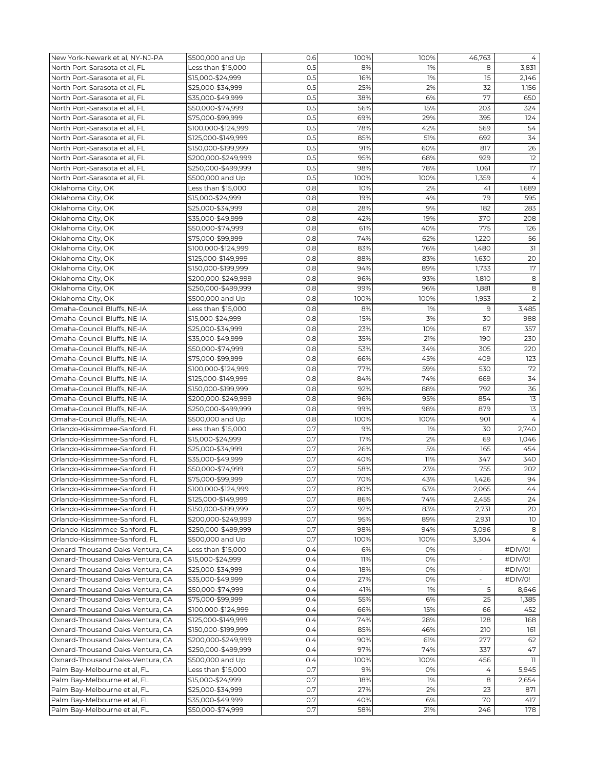| New York-Newark et al, NY-NJ-PA                                      | \$500,000 and Up    | 0.6        | 100%       | 100%     | 46,763                       | 4              |
|----------------------------------------------------------------------|---------------------|------------|------------|----------|------------------------------|----------------|
| North Port-Sarasota et al, FL                                        | Less than \$15,000  | 0.5        | 8%         | 1%       | 8                            | 3,831          |
| North Port-Sarasota et al, FL                                        | \$15,000-\$24,999   | 0.5        | 16%        | 1%       | 15                           | 2,146          |
| North Port-Sarasota et al, FL                                        | \$25,000-\$34,999   | 0.5        | 25%        | 2%       | 32                           | 1,156          |
| North Port-Sarasota et al, FL                                        | \$35,000-\$49,999   | 0.5        | 38%        | 6%       | 77                           | 650            |
| North Port-Sarasota et al, FL                                        | \$50,000-\$74,999   | 0.5        | 56%        | 15%      | 203                          | 324            |
| North Port-Sarasota et al, FL                                        | \$75,000-\$99,999   | 0.5        | 69%        | 29%      | 395                          | 124            |
| North Port-Sarasota et al, FL                                        | \$100,000-\$124,999 | 0.5        | 78%        | 42%      | 569                          | 54             |
| North Port-Sarasota et al, FL                                        | \$125,000-\$149,999 | 0.5        | 85%        | 51%      | 692                          | 34             |
| North Port-Sarasota et al, FL                                        | \$150,000-\$199,999 | 0.5        | 91%        | 60%      | 817                          | 26             |
| North Port-Sarasota et al, FL                                        | \$200,000-\$249,999 | 0.5        | 95%        | 68%      | 929                          | 12             |
| North Port-Sarasota et al, FL                                        | \$250,000-\$499,999 | 0.5        | 98%        | 78%      | 1,061                        | 17             |
| North Port-Sarasota et al, FL                                        | \$500,000 and Up    | 0.5        | 100%       | 100%     | 1,359                        | $\overline{4}$ |
| Oklahoma City, OK                                                    | Less than \$15,000  | 0.8        | 10%        | 2%       | 41                           | 1,689          |
| Oklahoma City, OK                                                    | \$15,000-\$24,999   | 0.8        | 19%        | 4%       | 79                           | 595            |
| Oklahoma City, OK                                                    | \$25,000-\$34,999   | 0.8        | 28%        | 9%       | 182                          | 283            |
| Oklahoma City, OK                                                    | \$35,000-\$49,999   | 0.8        | 42%        | 19%      | 370                          | 208            |
| Oklahoma City, OK                                                    | \$50,000-\$74,999   | 0.8        | 61%        | 40%      | 775                          | 126            |
| Oklahoma City, OK                                                    | \$75,000-\$99,999   | 0.8        | 74%        | 62%      | 1,220                        | 56             |
| Oklahoma City, OK                                                    | \$100,000-\$124,999 | 0.8        | 83%        | 76%      | 1,480                        | 31             |
|                                                                      |                     | 0.8        |            |          |                              | 20             |
| Oklahoma City, OK                                                    | \$125,000-\$149,999 |            | 88%<br>94% | 83%      | 1,630                        |                |
| Oklahoma City, OK                                                    | \$150,000-\$199,999 | 0.8        |            | 89%      | 1,733                        | 17             |
| Oklahoma City, OK                                                    | \$200,000-\$249,999 | 0.8        | 96%        | 93%      | 1,810                        | 8              |
| Oklahoma City, OK                                                    | \$250,000-\$499,999 | 0.8        | 99%        | 96%      | 1,881                        | 8              |
| Oklahoma City, OK                                                    | \$500,000 and Up    | 0.8        | 100%       | 100%     | 1,953                        | 2              |
| Omaha-Council Bluffs, NE-IA                                          | Less than \$15,000  | 0.8        | 8%         | 1%       | 9                            | 3,485          |
| Omaha-Council Bluffs, NE-IA                                          | \$15,000-\$24,999   | 0.8        | 15%        | 3%       | 30                           | 988            |
| Omaha-Council Bluffs, NE-IA                                          | \$25,000-\$34,999   | 0.8        | 23%        | 10%      | 87                           | 357            |
| Omaha-Council Bluffs, NE-IA                                          | \$35,000-\$49,999   | 0.8        | 35%        | 21%      | 190                          | 230            |
| Omaha-Council Bluffs, NE-IA                                          | \$50,000-\$74,999   | 0.8        | 53%        | 34%      | 305                          | 220            |
| Omaha-Council Bluffs, NE-IA                                          | \$75,000-\$99,999   | 0.8        | 66%        | 45%      | 409                          | 123            |
| Omaha-Council Bluffs, NE-IA                                          | \$100,000-\$124,999 | 0.8        | 77%        | 59%      | 530                          | 72             |
| Omaha-Council Bluffs, NE-IA                                          | \$125,000-\$149,999 | 0.8        | 84%        | 74%      | 669                          | 34             |
| Omaha-Council Bluffs, NE-IA                                          | \$150,000-\$199,999 | 0.8        | 92%        | 88%      | 792                          | 36             |
| Omaha-Council Bluffs, NE-IA                                          | \$200,000-\$249,999 | 0.8        | 96%        | 95%      | 854                          | 13             |
| Omaha-Council Bluffs, NE-IA                                          | \$250,000-\$499,999 | 0.8        | 99%        | 98%      | 879                          | 13             |
| Omaha-Council Bluffs, NE-IA                                          | \$500,000 and Up    | 0.8        | 100%       | 100%     | 901                          | $\overline{4}$ |
| Orlando-Kissimmee-Sanford, FL                                        | Less than \$15,000  | 0.7        | 9%         | 1%       | 30                           | 2,740          |
| Orlando-Kissimmee-Sanford, FL                                        | \$15,000-\$24,999   | 0.7        | 17%        | 2%       | 69                           | 1,046          |
| Orlando-Kissimmee-Sanford, FL                                        | \$25,000-\$34,999   | 0.7        | 26%        | 5%       | 165                          | 454            |
| Orlando-Kissimmee-Sanford, FL                                        | \$35,000-\$49,999   | 0.7        | 40%        | 11%      | 347                          | 340            |
| Orlando-Kissimmee-Sanford, FL                                        | \$50,000-\$74,999   | 0.7        | 58%        | 23%      | 755                          | 202            |
| Orlando-Kissimmee-Sanford, FL                                        | \$75,000-\$99,999   | 0.7        | 70%        | 43%      | 1,426                        | 94             |
| Orlando-Kissimmee-Sanford, FL                                        | \$100,000-\$124,999 | O.7        | 80%        | 63%      | 2,065                        | 44             |
| Orlando-Kissimmee-Sanford, FL                                        | \$125,000-\$149,999 | 0.7        | 86%        | 74%      | 2,455                        | 24             |
| Orlando-Kissimmee-Sanford, FL                                        | \$150,000-\$199,999 | 0.7        | 92%        | 83%      | 2,731                        | 20             |
| Orlando-Kissimmee-Sanford, FL                                        | \$200,000-\$249,999 | 0.7        | 95%        | 89%      | 2,931                        | 10             |
| Orlando-Kissimmee-Sanford, FL                                        | \$250,000-\$499,999 | 0.7        | 98%        | 94%      | 3,096                        | 8              |
| Orlando-Kissimmee-Sanford, FL                                        | \$500,000 and Up    | 0.7        | 100%       | 100%     | 3,304                        | 4              |
| Oxnard-Thousand Oaks-Ventura, CA                                     | Less than \$15,000  | 0.4        | 6%         | 0%       |                              | #DIV/0!        |
| Oxnard-Thousand Oaks-Ventura, CA                                     | \$15,000-\$24,999   | 0.4        | 11%        | 0%       | $\qquad \qquad \blacksquare$ | #DIV/0!        |
| Oxnard-Thousand Oaks-Ventura, CA                                     | \$25,000-\$34,999   | 0.4        | 18%        | 0%       |                              | #DIV/0!        |
| Oxnard-Thousand Oaks-Ventura, CA                                     | \$35,000-\$49,999   | 0.4        | 27%        | 0%       | $\overline{\phantom{a}}$     | #DIV/0!        |
|                                                                      | \$50,000-\$74,999   |            |            |          |                              |                |
| Oxnard-Thousand Oaks-Ventura, CA<br>Oxnard-Thousand Oaks-Ventura, CA | \$75,000-\$99,999   | 0.4<br>0.4 | 41%<br>55% | 1%<br>6% | 5<br>25                      | 8,646<br>1,385 |
| Oxnard-Thousand Oaks-Ventura, CA                                     |                     |            |            |          |                              |                |
|                                                                      | \$100,000-\$124,999 | 0.4        | 66%        | 15%      | 66                           | 452            |
| Oxnard-Thousand Oaks-Ventura, CA                                     | \$125,000-\$149,999 | 0.4        | 74%        | 28%      | 128                          | 168            |
| Oxnard-Thousand Oaks-Ventura, CA                                     | \$150,000-\$199,999 | 0.4        | 85%        | 46%      | 210                          | 161            |
| Oxnard-Thousand Oaks-Ventura, CA                                     | \$200,000-\$249,999 | 0.4        | 90%        | 61%      | 277                          | 62             |
| Oxnard-Thousand Oaks-Ventura, CA                                     | \$250,000-\$499,999 | 0.4        | 97%        | 74%      | 337                          | 47             |
| Oxnard-Thousand Oaks-Ventura, CA                                     | \$500,000 and Up    | 0.4        | 100%       | 100%     | 456                          | 11             |
| Palm Bay-Melbourne et al, FL                                         | Less than \$15,000  | 0.7        | 9%         | 0%       | 4                            | 5,945          |
| Palm Bay-Melbourne et al, FL                                         | \$15,000-\$24,999   | 0.7        | 18%        | 1%       | 8                            | 2,654          |
| Palm Bay-Melbourne et al, FL                                         | \$25,000-\$34,999   | 0.7        | 27%        | 2%       | 23                           | 871            |
| Palm Bay-Melbourne et al, FL                                         | \$35,000-\$49,999   | 0.7        | 40%        | 6%       | 70                           | 417            |
| Palm Bay-Melbourne et al, FL                                         | \$50,000-\$74,999   | 0.7        | 58%        | 21%      | 246                          | 178            |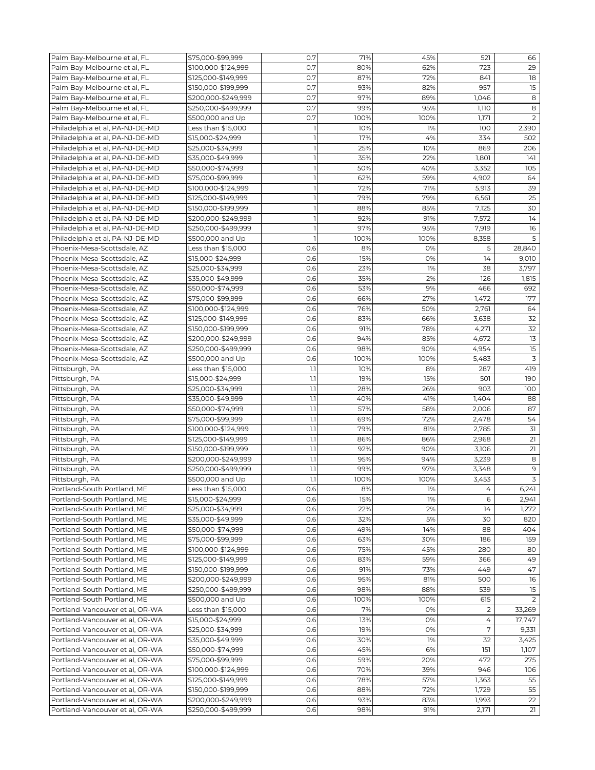| Palm Bay-Melbourne et al, FL    | \$75,000-\$99,999   | 0.7          | 71%  | 45%  | 521   | 66          |
|---------------------------------|---------------------|--------------|------|------|-------|-------------|
| Palm Bay-Melbourne et al, FL    | \$100,000-\$124,999 | 0.7          | 80%  | 62%  | 723   | 29          |
| Palm Bay-Melbourne et al, FL    | \$125,000-\$149,999 | 0.7          | 87%  | 72%  | 841   | 18          |
| Palm Bay-Melbourne et al, FL    | \$150,000-\$199,999 | 0.7          | 93%  | 82%  | 957   | 15          |
| Palm Bay-Melbourne et al, FL    | \$200,000-\$249,999 | 0.7          | 97%  | 89%  | 1,046 | 8           |
| Palm Bay-Melbourne et al, FL    | \$250,000-\$499,999 | 0.7          | 99%  | 95%  | 1,110 | 8           |
| Palm Bay-Melbourne et al, FL    | \$500,000 and Up    | 0.7          | 100% | 100% | 1,171 | 2           |
| Philadelphia et al, PA-NJ-DE-MD | Less than \$15,000  | 1            | 10%  | 1%   | 100   | 2,390       |
| Philadelphia et al, PA-NJ-DE-MD | \$15,000-\$24,999   | $\mathbf{I}$ | 17%  | 4%   | 334   | 502         |
| Philadelphia et al, PA-NJ-DE-MD | \$25,000-\$34,999   | $\mathbf{1}$ | 25%  | 10%  | 869   | 206         |
| Philadelphia et al, PA-NJ-DE-MD | \$35,000-\$49,999   | $\mathbf{1}$ | 35%  | 22%  | 1,801 | 141         |
|                                 |                     |              |      |      |       |             |
| Philadelphia et al, PA-NJ-DE-MD | \$50,000-\$74,999   | $\mathbf{1}$ | 50%  | 40%  | 3,352 | 105         |
| Philadelphia et al, PA-NJ-DE-MD | \$75,000-\$99,999   | 1            | 62%  | 59%  | 4,902 | 64          |
| Philadelphia et al, PA-NJ-DE-MD | \$100,000-\$124,999 | 1            | 72%  | 71%  | 5,913 | 39          |
| Philadelphia et al, PA-NJ-DE-MD | \$125,000-\$149,999 | $\mathbf{1}$ | 79%  | 79%  | 6,561 | 25          |
| Philadelphia et al, PA-NJ-DE-MD | \$150,000-\$199,999 | $\mathbf{I}$ | 88%  | 85%  | 7,125 | 30          |
| Philadelphia et al, PA-NJ-DE-MD | \$200,000-\$249,999 | $\mathbb{I}$ | 92%  | 91%  | 7,572 | 14          |
| Philadelphia et al, PA-NJ-DE-MD | \$250,000-\$499,999 | $\mathbf{1}$ | 97%  | 95%  | 7,919 | 16          |
| Philadelphia et al, PA-NJ-DE-MD | \$500,000 and Up    | $\mathbf{1}$ | 100% | 100% | 8,358 | 5           |
| Phoenix-Mesa-Scottsdale, AZ     | Less than \$15,000  | 0.6          | 8%   | 0%   | 5     | 28,840      |
| Phoenix-Mesa-Scottsdale, AZ     | \$15,000-\$24,999   | 0.6          | 15%  | 0%   | 14    | 9,010       |
| Phoenix-Mesa-Scottsdale, AZ     | \$25,000-\$34,999   | 0.6          | 23%  | 1%   | 38    | 3,797       |
| Phoenix-Mesa-Scottsdale, AZ     | \$35,000-\$49,999   | 0.6          | 35%  | 2%   | 126   | 1,815       |
| Phoenix-Mesa-Scottsdale, AZ     | \$50,000-\$74,999   | 0.6          | 53%  | 9%   | 466   | 692         |
| Phoenix-Mesa-Scottsdale, AZ     | \$75,000-\$99,999   | 0.6          | 66%  | 27%  | 1,472 | 177         |
| Phoenix-Mesa-Scottsdale, AZ     | \$100,000-\$124,999 | 0.6          | 76%  | 50%  | 2,761 | 64          |
| Phoenix-Mesa-Scottsdale, AZ     | \$125,000-\$149,999 | 0.6          | 83%  | 66%  | 3,638 | 32          |
| Phoenix-Mesa-Scottsdale, AZ     | \$150,000-\$199,999 | 0.6          | 91%  | 78%  | 4,271 | 32          |
| Phoenix-Mesa-Scottsdale, AZ     | \$200,000-\$249,999 | 0.6          | 94%  | 85%  | 4,672 | 13          |
| Phoenix-Mesa-Scottsdale, AZ     | \$250,000-\$499,999 | 0.6          | 98%  | 90%  | 4,954 | 15          |
| Phoenix-Mesa-Scottsdale, AZ     | \$500,000 and Up    | 0.6          | 100% | 100% | 5,483 | 3           |
|                                 | Less than \$15,000  | 1.1          | 10%  | 8%   | 287   | 419         |
| Pittsburgh, PA                  |                     |              |      |      |       |             |
| Pittsburgh, PA                  | \$15,000-\$24,999   | 1.1          | 19%  | 15%  | 501   | 190         |
| Pittsburgh, PA                  | \$25,000-\$34,999   | 1.1          | 28%  | 26%  | 903   | 100         |
| Pittsburgh, PA                  | \$35,000-\$49,999   | 1.1          | 40%  | 41%  | 1,404 | 88          |
| Pittsburgh, PA                  | \$50,000-\$74,999   | 1.1          | 57%  | 58%  | 2,006 | 87          |
| Pittsburgh, PA                  | \$75,000-\$99,999   | 1.1          | 69%  | 72%  | 2,478 | 54          |
| Pittsburgh, PA                  | \$100,000-\$124,999 | 1.1          | 79%  | 81%  | 2,785 | 31          |
| Pittsburgh, PA                  | \$125,000-\$149,999 | 1.1          | 86%  | 86%  | 2,968 | 21          |
| Pittsburgh, PA                  | \$150,000-\$199,999 | 1.1          | 92%  | 90%  | 3,106 | 21          |
| Pittsburgh, PA                  | \$200,000-\$249,999 | 1.1          | 95%  | 94%  | 3,239 | 8           |
| Pittsburgh, PA                  | \$250,000-\$499,999 | 1.1          | 99%  | 97%  | 3,348 | $\mathsf 9$ |
| Pittsburgh, PA                  | \$500,000 and Up    | 1.1          | 100% | 100% | 3,453 | 3           |
| Portland-South Portland, ME     | Less than \$15,000  | 0.6          | 8%   | 1%   | 4     | 6,241       |
| Portland-South Portland, ME     | \$15,000-\$24,999   | 0.6          | 15%  | 1%   | 6     | 2,941       |
| Portland-South Portland, ME     | \$25,000-\$34,999   | 0.6          | 22%  | 2%   | 14    | 1,272       |
| Portland-South Portland, ME     | \$35,000-\$49,999   | 0.6          | 32%  | 5%   | 30    | 820         |
| Portland-South Portland, ME     | \$50,000-\$74,999   | 0.6          | 49%  | 14%  | 88    | 404         |
| Portland-South Portland, ME     | \$75,000-\$99,999   | 0.6          | 63%  | 30%  | 186   | 159         |
| Portland-South Portland, ME     | \$100,000-\$124,999 | 0.6          | 75%  | 45%  | 280   | 80          |
| Portland-South Portland, ME     | \$125,000-\$149,999 | 0.6          | 83%  | 59%  | 366   | 49          |
| Portland-South Portland, ME     | \$150,000-\$199,999 | 0.6          | 91%  | 73%  | 449   | 47          |
| Portland-South Portland, ME     | \$200,000-\$249,999 | 0.6          | 95%  | 81%  | 500   | 16          |
| Portland-South Portland, ME     | \$250,000-\$499,999 | 0.6          | 98%  | 88%  | 539   | 15          |
| Portland-South Portland, ME     | \$500,000 and Up    | 0.6          | 100% | 100% | 615   | 2           |
|                                 |                     |              |      |      |       |             |
| Portland-Vancouver et al, OR-WA | Less than \$15,000  | 0.6          | 7%   | 0%   | 2     | 33,269      |
| Portland-Vancouver et al, OR-WA | \$15,000-\$24,999   | 0.6          | 13%  | 0%   | 4     | 17,747      |
| Portland-Vancouver et al, OR-WA | \$25,000-\$34,999   | 0.6          | 19%  | 0%   | 7     | 9,331       |
| Portland-Vancouver et al, OR-WA | \$35,000-\$49,999   | 0.6          | 30%  | 1%   | 32    | 3,425       |
| Portland-Vancouver et al, OR-WA | \$50,000-\$74,999   | 0.6          | 45%  | 6%   | 151   | 1,107       |
| Portland-Vancouver et al, OR-WA | \$75,000-\$99,999   | 0.6          | 59%  | 20%  | 472   | 275         |
| Portland-Vancouver et al, OR-WA | \$100,000-\$124,999 | 0.6          | 70%  | 39%  | 946   | 106         |
| Portland-Vancouver et al, OR-WA | \$125,000-\$149,999 | 0.6          | 78%  | 57%  | 1,363 | 55          |
| Portland-Vancouver et al, OR-WA | \$150,000-\$199,999 | 0.6          | 88%  | 72%  | 1,729 | 55          |
| Portland-Vancouver et al, OR-WA | \$200,000-\$249,999 | 0.6          | 93%  | 83%  | 1,993 | 22          |
| Portland-Vancouver et al, OR-WA | \$250,000-\$499,999 | 0.6          | 98%  | 91%  | 2,171 | 21          |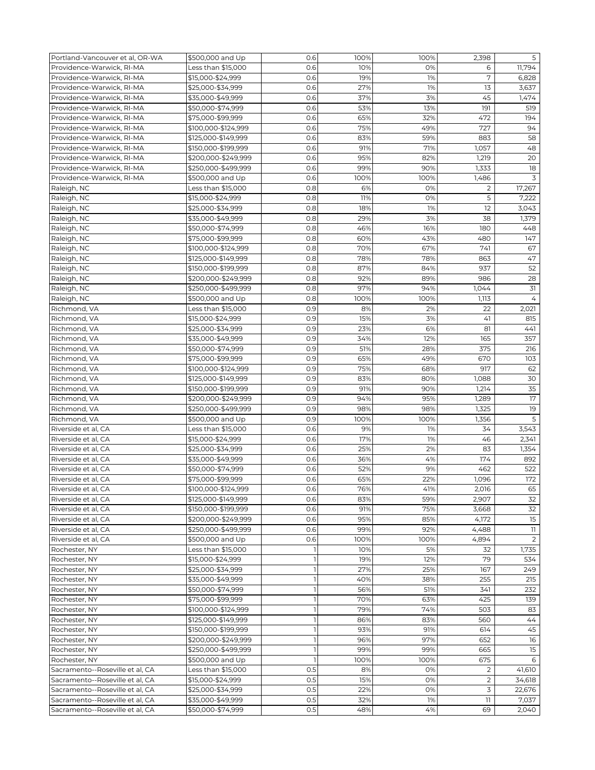| Portland-Vancouver et al, OR-WA | \$500,000 and Up    | 0.6                      | 100% | 100% | 2,398          | 5              |
|---------------------------------|---------------------|--------------------------|------|------|----------------|----------------|
| Providence-Warwick, RI-MA       | Less than \$15,000  | 0.6                      | 10%  | 0%   | 6              | 11,794         |
| Providence-Warwick, RI-MA       | \$15,000-\$24,999   | 0.6                      | 19%  | 1%   | 7              | 6,828          |
| Providence-Warwick, RI-MA       | \$25,000-\$34,999   | 0.6                      | 27%  | 1%   | 13             | 3,637          |
| Providence-Warwick, RI-MA       | \$35,000-\$49,999   | 0.6                      | 37%  | 3%   | 45             | 1,474          |
| Providence-Warwick, RI-MA       | \$50,000-\$74,999   | 0.6                      | 53%  | 13%  | 191            | 519            |
| Providence-Warwick, RI-MA       | \$75,000-\$99,999   | 0.6                      | 65%  | 32%  | 472            | 194            |
| Providence-Warwick, RI-MA       |                     | 0.6                      | 75%  | 49%  | 727            | 94             |
|                                 | \$100,000-\$124,999 | 0.6                      | 83%  | 59%  | 883            | 58             |
| Providence-Warwick, RI-MA       | \$125,000-\$149,999 |                          |      |      |                |                |
| Providence-Warwick, RI-MA       | \$150,000-\$199,999 | 0.6                      | 91%  | 71%  | 1,057          | 48             |
| Providence-Warwick, RI-MA       | \$200,000-\$249,999 | 0.6                      | 95%  | 82%  | 1,219          | 20             |
| Providence-Warwick, RI-MA       | \$250,000-\$499,999 | 0.6                      | 99%  | 90%  | 1,333          | 18             |
| Providence-Warwick, RI-MA       | \$500,000 and Up    | 0.6                      | 100% | 100% | 1,486          | 3              |
| Raleigh, NC                     | Less than \$15,000  | 0.8                      | 6%   | 0%   | 2              | 17,267         |
| Raleigh, NC                     | \$15,000-\$24,999   | 0.8                      | 11%  | 0%   | 5              | 7,222          |
| Raleigh, NC                     | \$25,000-\$34,999   | 0.8                      | 18%  | 1%   | 12             | 3,043          |
| Raleigh, NC                     | \$35,000-\$49,999   | 0.8                      | 29%  | 3%   | 38             | 1,379          |
| Raleigh, NC                     | \$50,000-\$74,999   | 0.8                      | 46%  | 16%  | 180            | 448            |
| Raleigh, NC                     | \$75,000-\$99,999   | 0.8                      | 60%  | 43%  | 480            | 147            |
| Raleigh, NC                     | \$100,000-\$124,999 | 0.8                      | 70%  | 67%  | 741            | 67             |
| Raleigh, NC                     | \$125,000-\$149,999 | 0.8                      | 78%  | 78%  | 863            | 47             |
| Raleigh, NC                     | \$150,000-\$199,999 | 0.8                      | 87%  | 84%  | 937            | 52             |
| Raleigh, NC                     | \$200,000-\$249,999 | 0.8                      | 92%  | 89%  | 986            | 28             |
| Raleigh, NC                     | \$250,000-\$499,999 | 0.8                      | 97%  | 94%  | 1,044          | 31             |
| Raleigh, NC                     | \$500,000 and Up    | 0.8                      | 100% | 100% | 1,113          | 4              |
| Richmond, VA                    | Less than \$15,000  | 0.9                      | 8%   | 2%   | 22             | 2,021          |
|                                 |                     | 0.9                      |      |      |                |                |
| Richmond, VA                    | \$15,000-\$24,999   |                          | 15%  | 3%   | 41             | 815            |
| Richmond, VA                    | \$25,000-\$34,999   | 0.9                      | 23%  | 6%   | 81             | 441            |
| Richmond, VA                    | \$35,000-\$49,999   | 0.9                      | 34%  | 12%  | 165            | 357            |
| Richmond, VA                    | \$50,000-\$74,999   | 0.9                      | 51%  | 28%  | 375            | 216            |
| Richmond, VA                    | \$75,000-\$99,999   | 0.9                      | 65%  | 49%  | 670            | 103            |
| Richmond, VA                    | \$100,000-\$124,999 | 0.9                      | 75%  | 68%  | 917            | 62             |
| Richmond, VA                    | \$125,000-\$149,999 | 0.9                      | 83%  | 80%  | 1,088          | 30             |
| Richmond, VA                    | \$150,000-\$199,999 | 0.9                      | 91%  | 90%  | 1,214          | 35             |
| Richmond, VA                    | \$200,000-\$249,999 | 0.9                      | 94%  | 95%  | 1,289          | 17             |
| Richmond, VA                    | \$250,000-\$499,999 | 0.9                      | 98%  | 98%  | 1,325          | 19             |
| Richmond, VA                    | \$500,000 and Up    | 0.9                      | 100% | 100% | 1,356          | 5              |
| Riverside et al, CA             | Less than \$15,000  | 0.6                      | 9%   | 1%   | 34             | 3,543          |
| Riverside et al, CA             | \$15,000-\$24,999   | 0.6                      | 17%  | 1%   | 46             | 2,341          |
| Riverside et al, CA             | \$25,000-\$34,999   | 0.6                      | 25%  | 2%   | 83             | 1,354          |
| Riverside et al, CA             | \$35,000-\$49,999   | 0.6                      | 36%  | 4%   | 174            | 892            |
| Riverside et al, CA             | \$50,000-\$74,999   | 0.6                      | 52%  | 9%   | 462            | 522            |
| Riverside et al, CA             | \$75,000-\$99,999   | 0.6                      | 65%  | 22%  | 1,096          | 172            |
| Riverside et al, CA             | \$100,000-\$124,999 | 0.6                      | 76%  | 41%  | 2,016          | 65             |
| Riverside et al, CA             | \$125,000-\$149,999 | 0.6                      | 83%  | 59%  | 2,907          | 32             |
| Riverside et al, CA             | \$150,000-\$199,999 | 0.6                      | 91%  | 75%  |                |                |
|                                 |                     | 0.6                      | 95%  |      | 3,668          | 32<br>15       |
| Riverside et al, CA             | \$200,000-\$249,999 |                          |      | 85%  | 4,172          |                |
| Riverside et al, CA             | \$250,000-\$499,999 | 0.6                      | 99%  | 92%  | 4,488          | 11             |
| Riverside et al, CA             | \$500,000 and Up    | 0.6                      | 100% | 100% | 4,894          | $\overline{2}$ |
| Rochester, NY                   | Less than \$15,000  | 1                        | 10%  | 5%   | 32             | 1,735          |
| Rochester, NY                   | \$15,000-\$24,999   | $\mathbb{I}$             | 19%  | 12%  | 79             | 534            |
| Rochester, NY                   | \$25,000-\$34,999   | $\overline{\phantom{a}}$ | 27%  | 25%  | 167            | 249            |
| Rochester, NY                   | \$35,000-\$49,999   | 1                        | 40%  | 38%  | 255            | 215            |
| Rochester, NY                   | \$50,000-\$74,999   | 1                        | 56%  | 51%  | 341            | 232            |
| Rochester, NY                   | \$75,000-\$99,999   | $\mathbf{I}$             | 70%  | 63%  | 425            | 139            |
| Rochester, NY                   | \$100,000-\$124,999 | $\mathbf{1}$             | 79%  | 74%  | 503            | 83             |
| Rochester, NY                   | \$125,000-\$149,999 | $\mathbf{1}$             | 86%  | 83%  | 560            | 44             |
| Rochester, NY                   | \$150,000-\$199,999 | $\mathbf{1}$             | 93%  | 91%  | 614            | 45             |
| Rochester, NY                   | \$200,000-\$249,999 | $\mathbf{1}$             | 96%  | 97%  | 652            | 16             |
| Rochester, NY                   | \$250,000-\$499,999 | $\overline{1}$           | 99%  | 99%  | 665            | 15             |
| Rochester, NY                   | \$500,000 and Up    | $\overline{1}$           | 100% | 100% | 675            | 6              |
| Sacramento--Roseville et al, CA | Less than \$15,000  | 0.5                      | 8%   | 0%   | 2              | 41,610         |
| Sacramento--Roseville et al, CA | \$15,000-\$24,999   | 0.5                      | 15%  | 0%   | $\overline{2}$ | 34,618         |
| Sacramento--Roseville et al, CA | \$25,000-\$34,999   | 0.5                      | 22%  | 0%   | 3              | 22,676         |
| Sacramento--Roseville et al, CA | \$35,000-\$49,999   | 0.5                      | 32%  | 1%   | 11             | 7,037          |
|                                 |                     | 0.5                      |      |      |                |                |
| Sacramento--Roseville et al, CA | \$50,000-\$74,999   |                          | 48%  | 4%   | 69             | 2,040          |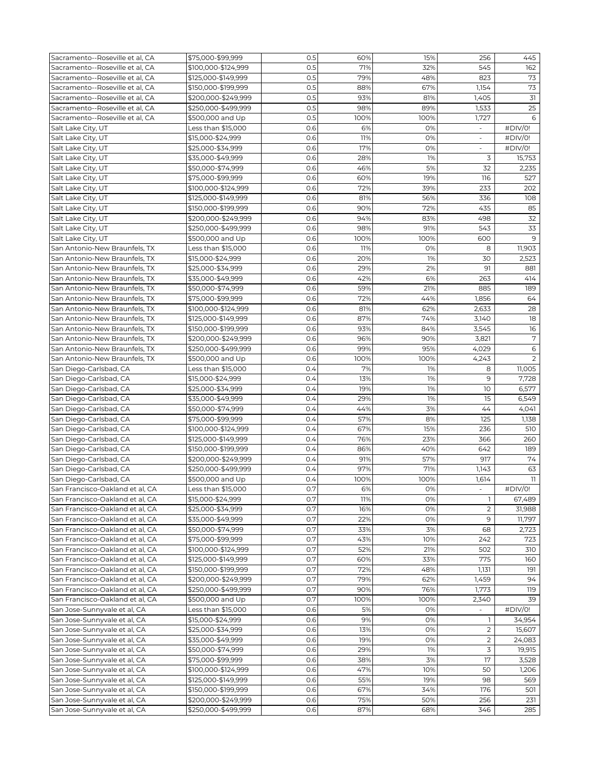| Sacramento--Roseville et al, CA | \$75,000-\$99,999   | 0.5 | 60%  | 15%  | 256                      | 445                     |
|---------------------------------|---------------------|-----|------|------|--------------------------|-------------------------|
| Sacramento--Roseville et al, CA | \$100,000-\$124,999 | 0.5 | 71%  | 32%  | 545                      | 162                     |
| Sacramento--Roseville et al. CA | \$125,000-\$149,999 | 0.5 | 79%  | 48%  | 823                      | 73                      |
| Sacramento--Roseville et al, CA | \$150,000-\$199,999 | 0.5 | 88%  | 67%  | 1,154                    | 73                      |
| Sacramento--Roseville et al, CA | \$200,000-\$249,999 | 0.5 | 93%  | 81%  | 1,405                    | 31                      |
|                                 |                     |     |      |      |                          |                         |
| Sacramento--Roseville et al, CA | \$250,000-\$499,999 | 0.5 | 98%  | 89%  | 1,533                    | 25                      |
| Sacramento--Roseville et al, CA | \$500,000 and Up    | 0.5 | 100% | 100% | 1,727                    | 6                       |
| Salt Lake City, UT              | Less than \$15,000  | 0.6 | 6%   | 0%   | $\overline{\phantom{a}}$ | #DIV/0!                 |
| Salt Lake City, UT              | \$15,000-\$24,999   | 0.6 | 11%  | 0%   |                          | #DIV/0!                 |
| Salt Lake City, UT              | \$25,000-\$34,999   | 0.6 | 17%  | 0%   | $\omega$                 | #DIV/0!                 |
| Salt Lake City, UT              | \$35,000-\$49,999   | 0.6 | 28%  | 1%   | 3                        | 15,753                  |
| Salt Lake City, UT              | \$50,000-\$74,999   | 0.6 | 46%  | 5%   | 32                       | 2,235                   |
| Salt Lake City, UT              | \$75,000-\$99,999   | 0.6 | 60%  | 19%  | 116                      | 527                     |
| Salt Lake City, UT              | \$100,000-\$124,999 | 0.6 | 72%  | 39%  | 233                      | 202                     |
| Salt Lake City, UT              | \$125,000-\$149,999 | 0.6 | 81%  | 56%  | 336                      | 108                     |
| Salt Lake City, UT              | \$150,000-\$199,999 | 0.6 | 90%  | 72%  | 435                      | 85                      |
| Salt Lake City, UT              | \$200,000-\$249,999 | 0.6 | 94%  | 83%  | 498                      | 32                      |
| Salt Lake City, UT              | \$250,000-\$499,999 | 0.6 | 98%  | 91%  | 543                      | 33                      |
|                                 |                     |     |      |      |                          | 9                       |
| Salt Lake City, UT              | \$500,000 and Up    | 0.6 | 100% | 100% | 600                      |                         |
| San Antonio-New Braunfels, TX   | Less than \$15,000  | 0.6 | 11%  | 0%   | 8                        | 11,903                  |
| San Antonio-New Braunfels, TX   | \$15,000-\$24,999   | 0.6 | 20%  | 1%   | 30                       | 2,523                   |
| San Antonio-New Braunfels, TX   | \$25,000-\$34,999   | 0.6 | 29%  | 2%   | 91                       | 881                     |
| San Antonio-New Braunfels, TX   | \$35,000-\$49,999   | 0.6 | 42%  | 6%   | 263                      | 414                     |
| San Antonio-New Braunfels, TX   | \$50,000-\$74,999   | 0.6 | 59%  | 21%  | 885                      | 189                     |
| San Antonio-New Braunfels, TX   | \$75,000-\$99,999   | 0.6 | 72%  | 44%  | 1,856                    | 64                      |
| San Antonio-New Braunfels, TX   | \$100,000-\$124,999 | 0.6 | 81%  | 62%  | 2,633                    | 28                      |
| San Antonio-New Braunfels, TX   | \$125,000-\$149,999 | 0.6 | 87%  | 74%  | 3,140                    | 18                      |
| San Antonio-New Braunfels, TX   | \$150,000-\$199,999 | 0.6 | 93%  | 84%  | 3,545                    | 16                      |
| San Antonio-New Braunfels, TX   | \$200,000-\$249,999 | 0.6 | 96%  | 90%  | 3,821                    | $\sqrt{7}$              |
| San Antonio-New Braunfels, TX   | \$250,000-\$499,999 | 0.6 | 99%  | 95%  | 4,029                    | 6                       |
| San Antonio-New Braunfels, TX   | \$500,000 and Up    | 0.6 | 100% | 100% | 4,243                    | $\overline{2}$          |
| San Diego-Carlsbad, CA          | Less than \$15,000  | 0.4 | 7%   | 1%   | 8                        | 11,005                  |
|                                 |                     |     |      |      |                          |                         |
| San Diego-Carlsbad, CA          | \$15,000-\$24,999   | 0.4 | 13%  | 1%   | 9                        | 7,728                   |
| San Diego-Carlsbad, CA          | \$25,000-\$34,999   | 0.4 | 19%  | 1%   | 10                       | 6,577                   |
| San Diego-Carlsbad, CA          | \$35,000-\$49,999   | 0.4 | 29%  | 1%   | 15                       | 6,549                   |
| San Diego-Carlsbad, CA          | \$50,000-\$74,999   | 0.4 | 44%  | 3%   | 44                       | 4,041                   |
| San Diego-Carlsbad, CA          | \$75,000-\$99,999   | 0.4 | 57%  | 8%   | 125                      | 1,138                   |
| San Diego-Carlsbad, CA          | \$100,000-\$124,999 | 0.4 | 67%  | 15%  | 236                      | 510                     |
| San Diego-Carlsbad, CA          | \$125,000-\$149,999 | 0.4 | 76%  | 23%  | 366                      | 260                     |
| San Diego-Carlsbad, CA          | \$150,000-\$199,999 | 0.4 | 86%  | 40%  | 642                      | 189                     |
| San Diego-Carlsbad, CA          | \$200,000-\$249,999 | 0.4 | 91%  | 57%  | 917                      | 74                      |
| San Diego-Carlsbad, CA          | \$250,000-\$499,999 | 0.4 | 97%  | 71%  | 1,143                    | 63                      |
| San Diego-Carlsbad, CA          | \$500,000 and Up    | 0.4 | 100% | 100% | 1,614                    | $\overline{\mathbf{1}}$ |
| San Francisco-Oakland et al, CA | Less than \$15,000  | 0.7 | 6%   | 0%   | $\overline{\phantom{a}}$ | #DIV/0!                 |
| San Francisco-Oakland et al, CA | \$15,000-\$24,999   | 0.7 | 11%  | 0%   | 1                        | 67,489                  |
| San Francisco-Oakland et al, CA | \$25,000-\$34,999   | 0.7 |      | 0%   |                          | 31,988                  |
|                                 |                     |     | 16%  |      | 2                        |                         |
| San Francisco-Oakland et al, CA | \$35,000-\$49,999   | 0.7 | 22%  | 0%   | 9                        | 11,797                  |
| San Francisco-Oakland et al, CA | \$50,000-\$74,999   | 0.7 | 33%  | 3%   | 68                       | 2,723                   |
| San Francisco-Oakland et al, CA | \$75,000-\$99,999   | 0.7 | 43%  | 10%  | 242                      | 723                     |
| San Francisco-Oakland et al, CA | \$100,000-\$124,999 | 0.7 | 52%  | 21%  | 502                      | 310                     |
| San Francisco-Oakland et al, CA | \$125,000-\$149,999 | 0.7 | 60%  | 33%  | 775                      | 160                     |
| San Francisco-Oakland et al, CA | \$150,000-\$199,999 | 0.7 | 72%  | 48%  | 1,131                    | 191                     |
| San Francisco-Oakland et al, CA | \$200,000-\$249,999 | 0.7 | 79%  | 62%  | 1,459                    | 94                      |
| San Francisco-Oakland et al, CA | \$250,000-\$499,999 | 0.7 | 90%  | 76%  | 1,773                    | 119                     |
| San Francisco-Oakland et al, CA | \$500,000 and Up    | 0.7 | 100% | 100% | 2,340                    | 39                      |
| San Jose-Sunnyvale et al, CA    | Less than \$15,000  | 0.6 | 5%   | 0%   |                          | #DIV/0!                 |
| San Jose-Sunnyvale et al, CA    | \$15,000-\$24,999   | 0.6 | 9%   | 0%   | -1                       | 34,954                  |
| San Jose-Sunnyvale et al, CA    | \$25,000-\$34,999   | 0.6 | 13%  | 0%   | $\overline{2}$           | 15,607                  |
| San Jose-Sunnyvale et al, CA    | \$35,000-\$49,999   | 0.6 | 19%  | 0%   | $\overline{2}$           | 24,083                  |
| San Jose-Sunnyvale et al, CA    | \$50,000-\$74,999   | 0.6 | 29%  | 1%   | 3                        | 19,915                  |
|                                 |                     |     |      |      |                          |                         |
| San Jose-Sunnyvale et al, CA    | \$75,000-\$99,999   | 0.6 | 38%  | 3%   | 17                       | 3,528                   |
| San Jose-Sunnyvale et al, CA    | \$100,000-\$124,999 | 0.6 | 47%  | 10%  | 50                       | 1,206                   |
| San Jose-Sunnyvale et al, CA    | \$125,000-\$149,999 | 0.6 | 55%  | 19%  | 98                       | 569                     |
| San Jose-Sunnyvale et al, CA    | \$150,000-\$199,999 | 0.6 | 67%  | 34%  | 176                      | 501                     |
| San Jose-Sunnyvale et al, CA    | \$200,000-\$249,999 | 0.6 | 75%  | 50%  | 256                      | 231                     |
| San Jose-Sunnyvale et al, CA    | \$250,000-\$499,999 | 0.6 | 87%  | 68%  | 346                      | 285                     |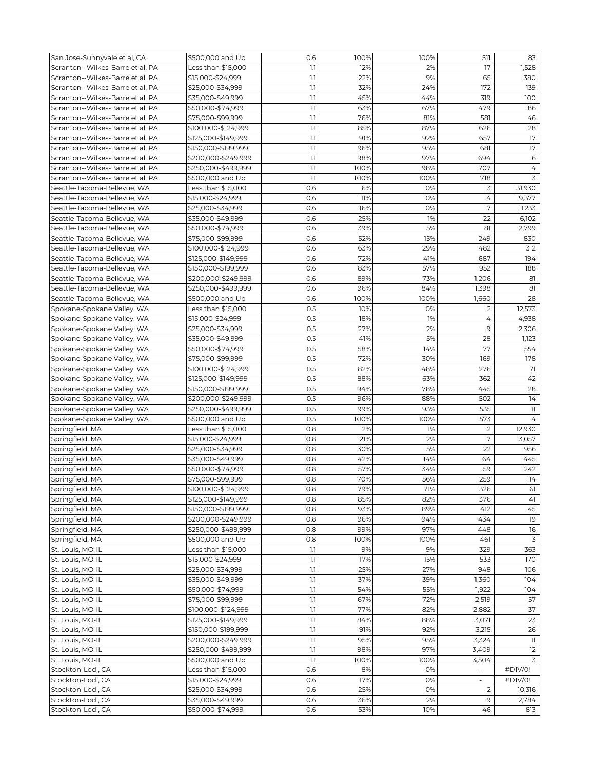| San Jose-Sunnyvale et al, CA     | \$500,000 and Up    | 0.6     | 100% | 100% | 511            | 83                      |
|----------------------------------|---------------------|---------|------|------|----------------|-------------------------|
| Scranton--Wilkes-Barre et al, PA | Less than \$15,000  | 1.1     | 12%  | 2%   | 17             | 1,528                   |
| Scranton--Wilkes-Barre et al, PA | \$15,000-\$24,999   | 1.1     | 22%  | 9%   | 65             | 380                     |
| Scranton--Wilkes-Barre et al, PA | \$25,000-\$34,999   | 1.1     | 32%  | 24%  | 172            | 139                     |
| Scranton--Wilkes-Barre et al, PA | \$35,000-\$49,999   | 1.1     | 45%  | 44%  | 319            | 100                     |
| Scranton--Wilkes-Barre et al, PA | \$50,000-\$74,999   | 1.1     | 63%  | 67%  | 479            | 86                      |
| Scranton--Wilkes-Barre et al, PA | \$75,000-\$99,999   | 1.1     | 76%  | 81%  | 581            | 46                      |
| Scranton--Wilkes-Barre et al, PA |                     | 1.1     | 85%  | 87%  | 626            | 28                      |
|                                  | \$100,000-\$124,999 | 1.1     | 91%  | 92%  | 657            | 17                      |
| Scranton--Wilkes-Barre et al, PA | \$125,000-\$149,999 |         |      |      |                |                         |
| Scranton--Wilkes-Barre et al. PA | \$150,000-\$199,999 | 1.1     | 96%  | 95%  | 681            | 17                      |
| Scranton--Wilkes-Barre et al, PA | \$200,000-\$249,999 | 1.1     | 98%  | 97%  | 694            | 6                       |
| Scranton--Wilkes-Barre et al. PA | \$250,000-\$499,999 | 1.1     | 100% | 98%  | 707            | $\overline{4}$          |
| Scranton--Wilkes-Barre et al, PA | \$500,000 and Up    | 1.1     | 100% | 100% | 718            | 3                       |
| Seattle-Tacoma-Bellevue, WA      | Less than \$15,000  | 0.6     | 6%   | 0%   | 3              | 31,930                  |
| Seattle-Tacoma-Bellevue, WA      | \$15,000-\$24,999   | 0.6     | 11%  | 0%   | 4              | 19,377                  |
| Seattle-Tacoma-Bellevue, WA      | \$25,000-\$34,999   | 0.6     | 16%  | 0%   | 7              | 11,233                  |
| Seattle-Tacoma-Bellevue, WA      | \$35,000-\$49,999   | 0.6     | 25%  | 1%   | 22             | 6,102                   |
| Seattle-Tacoma-Bellevue, WA      | \$50,000-\$74,999   | 0.6     | 39%  | 5%   | 81             | 2,799                   |
| Seattle-Tacoma-Bellevue, WA      | \$75,000-\$99,999   | 0.6     | 52%  | 15%  | 249            | 830                     |
| Seattle-Tacoma-Bellevue, WA      | \$100,000-\$124,999 | 0.6     | 63%  | 29%  | 482            | 312                     |
| Seattle-Tacoma-Bellevue, WA      | \$125,000-\$149,999 | 0.6     | 72%  | 41%  | 687            | 194                     |
| Seattle-Tacoma-Bellevue, WA      | \$150,000-\$199,999 | 0.6     | 83%  | 57%  | 952            | 188                     |
| Seattle-Tacoma-Bellevue, WA      | \$200,000-\$249,999 | 0.6     | 89%  | 73%  | 1,206          | 81                      |
| Seattle-Tacoma-Bellevue, WA      | \$250,000-\$499,999 | 0.6     | 96%  | 84%  | 1,398          | 81                      |
| Seattle-Tacoma-Bellevue, WA      | \$500,000 and Up    | 0.6     | 100% | 100% | 1,660          | 28                      |
| Spokane-Spokane Valley, WA       | Less than \$15,000  | 0.5     | 10%  | 0%   | 2              | 12,573                  |
| Spokane-Spokane Valley, WA       | \$15,000-\$24,999   | 0.5     | 18%  | 1%   | 4              | 4,938                   |
| Spokane-Spokane Valley, WA       | \$25,000-\$34,999   | 0.5     | 27%  | 2%   | 9              | 2,306                   |
| Spokane-Spokane Valley, WA       | \$35,000-\$49,999   | 0.5     | 41%  | 5%   | 28             | 1,123                   |
| Spokane-Spokane Valley, WA       | \$50,000-\$74,999   | 0.5     | 58%  | 14%  | 77             | 554                     |
| Spokane-Spokane Valley, WA       | \$75,000-\$99,999   | 0.5     | 72%  | 30%  | 169            | 178                     |
| Spokane-Spokane Valley, WA       | \$100,000-\$124,999 | 0.5     | 82%  | 48%  | 276            | 71                      |
| Spokane-Spokane Valley, WA       | \$125,000-\$149,999 | 0.5     | 88%  | 63%  | 362            | 42                      |
| Spokane-Spokane Valley, WA       | \$150,000-\$199,999 | O.5     | 94%  | 78%  | 445            | 28                      |
| Spokane-Spokane Valley, WA       | \$200,000-\$249,999 | 0.5     | 96%  | 88%  | 502            | 14                      |
| Spokane-Spokane Valley, WA       | \$250,000-\$499,999 | 0.5     | 99%  | 93%  | 535            | 11                      |
| Spokane-Spokane Valley, WA       | \$500,000 and Up    | 0.5     | 100% | 100% | 573            | $\overline{4}$          |
| Springfield, MA                  | Less than \$15,000  | 0.8     | 12%  | 1%   | $\overline{c}$ | 12,930                  |
| Springfield, MA                  | \$15,000-\$24,999   | 0.8     | 21%  | 2%   | 7              | 3,057                   |
| Springfield, MA                  | \$25,000-\$34,999   | 0.8     | 30%  | 5%   | 22             | 956                     |
| Springfield, MA                  | \$35,000-\$49,999   | 0.8     | 42%  | 14%  | 64             | 445                     |
| Springfield, MA                  | \$50,000-\$74,999   | 0.8     | 57%  | 34%  | 159            | 242                     |
| Springfield, MA                  | \$75,000-\$99,999   | 0.8     | 70%  | 56%  | 259            | 114                     |
| Springfield, MA                  | \$100,000-\$124,999 | 0.8     | 79%  | 71%  | 326            | 61                      |
| Springfield, MA                  | \$125,000-\$149,999 | 0.8     | 85%  | 82%  | 376            | 41                      |
| Springfield, MA                  | \$150,000-\$199,999 | 0.8     | 93%  | 89%  | 412            | 45                      |
| Springfield, MA                  | \$200,000-\$249,999 | 0.8     | 96%  | 94%  | 434            | 19                      |
| Springfield, MA                  | \$250,000-\$499,999 | 0.8     | 99%  | 97%  | 448            | 16                      |
| Springfield, MA                  | \$500,000 and Up    | 0.8     | 100% | 100% | 461            | 3                       |
| St. Louis, MO-IL                 | Less than \$15,000  | 1.1     | 9%   | 9%   | 329            | 363                     |
| St. Louis, MO-IL                 | \$15,000-\$24,999   | $1.1\,$ | 17%  | 15%  | 533            | 170                     |
| St. Louis, MO-IL                 | \$25,000-\$34,999   | 1.1     | 25%  | 27%  | 948            | 106                     |
| St. Louis, MO-IL                 | \$35,000-\$49,999   | 1.1     | 37%  | 39%  | 1,360          | 104                     |
| St. Louis, MO-IL                 | \$50,000-\$74,999   | 1.1     | 54%  | 55%  | 1,922          | 104                     |
| St. Louis, MO-IL                 | \$75,000-\$99,999   | $1.1\,$ | 67%  | 72%  | 2,519          | 57                      |
| St. Louis, MO-IL                 | \$100,000-\$124,999 | 1.1     | 77%  | 82%  | 2,882          | 37                      |
| St. Louis, MO-IL                 | \$125,000-\$149,999 | 1.1     | 84%  | 88%  | 3,071          | 23                      |
| St. Louis, MO-IL                 | \$150,000-\$199,999 | $1.1\,$ | 91%  | 92%  | 3,215          | 26                      |
| St. Louis, MO-IL                 | \$200,000-\$249,999 | $1.1\,$ | 95%  | 95%  | 3,324          | $\overline{\mathbf{1}}$ |
| St. Louis, MO-IL                 | \$250,000-\$499,999 | 1.1     | 98%  | 97%  | 3,409          | 12                      |
| St. Louis, MO-IL                 | \$500,000 and Up    | 1.1     | 100% | 100% | 3,504          | 3                       |
| Stockton-Lodi, CA                | Less than \$15,000  | 0.6     | 8%   | 0%   |                | #DIV/0!                 |
| Stockton-Lodi, CA                | \$15,000-\$24,999   | 0.6     | 17%  | 0%   |                | #DIV/0!                 |
| Stockton-Lodi, CA                | \$25,000-\$34,999   | 0.6     | 25%  | 0%   | 2              | 10,316                  |
| Stockton-Lodi, CA                | \$35,000-\$49,999   | 0.6     | 36%  | 2%   | 9              | 2,784                   |
|                                  |                     | 0.6     | 53%  | 10%  | 46             | 813                     |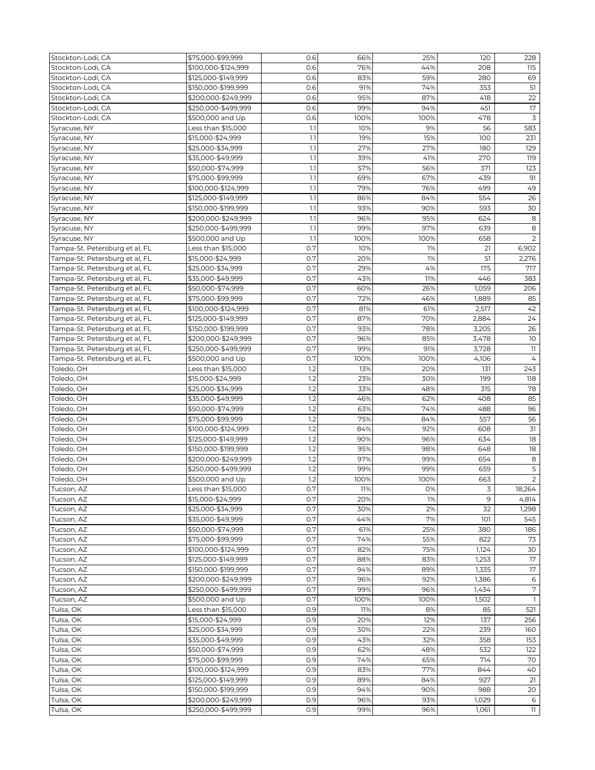| Stockton-Lodi, CA              | \$75,000-\$99,999   | 0.6 | 66%         | 25%        | 120   | 228            |
|--------------------------------|---------------------|-----|-------------|------------|-------|----------------|
| Stockton-Lodi, CA              | \$100,000-\$124,999 | 0.6 | 76%         | 44%        | 208   | 115            |
| Stockton-Lodi, CA              | \$125,000-\$149,999 | 0.6 | 83%         | 59%        | 280   | 69             |
| Stockton-Lodi, CA              | \$150,000-\$199,999 | 0.6 | 91%         | 74%        | 353   | 51             |
| Stockton-Lodi, CA              | \$200,000-\$249,999 | 0.6 | 95%         | 87%        | 418   | 22             |
| Stockton-Lodi, CA              | \$250,000-\$499,999 | 0.6 | 99%         | 94%        | 451   | 17             |
| Stockton-Lodi, CA              | \$500,000 and Up    | 0.6 | 100%        | 100%       | 478   | 3              |
| Syracuse, NY                   | Less than \$15,000  | 1.1 | 10%         | 9%         | 56    | 583            |
| Syracuse, NY                   | \$15,000-\$24,999   | 1.1 | 19%         | 15%        | 100   | 231            |
| Syracuse, NY                   | \$25,000-\$34,999   | 1.1 | 27%         | 27%        | 180   | 129            |
| Syracuse, NY                   | \$35,000-\$49,999   | 1.1 | 39%         | 41%        | 270   | 119            |
| Syracuse, NY                   | \$50,000-\$74,999   | 1.1 | 57%         | 56%        | 371   | 123            |
| Syracuse, NY                   | \$75,000-\$99,999   | 1.1 | 69%         | 67%        | 439   | 91             |
| Syracuse, NY                   | \$100,000-\$124,999 | 1.1 | 79%         | 76%        | 499   | 49             |
| Syracuse, NY                   | \$125,000-\$149,999 | 1.1 | 86%         | 84%        | 554   | 26             |
| Syracuse, NY                   | \$150,000-\$199,999 | 1.1 | 93%         | 90%        | 593   | 30             |
| Syracuse, NY                   | \$200,000-\$249,999 | 1.1 | 96%         | 95%        | 624   | 8              |
| Syracuse, NY                   | \$250,000-\$499,999 | 1.1 | 99%         | 97%        | 639   | 8              |
|                                |                     | 1.1 |             |            | 658   | 2              |
| Syracuse, NY                   | \$500,000 and Up    | O.7 | 100%<br>10% | 100%<br>1% | 21    |                |
| Tampa-St. Petersburg et al, FL | Less than \$15,000  |     |             |            |       | 6,902          |
| Tampa-St. Petersburg et al, FL | \$15,000-\$24,999   | 0.7 | 20%         | 1%         | 51    | 2,276          |
| Tampa-St. Petersburg et al, FL | \$25,000-\$34,999   | 0.7 | 29%         | 4%         | 175   | 717            |
| Tampa-St. Petersburg et al, FL | \$35,000-\$49,999   | 0.7 | 43%         | 11%        | 446   | 383            |
| Tampa-St. Petersburg et al, FL | \$50,000-\$74,999   | 0.7 | 60%         | 26%        | 1,059 | 206            |
| Tampa-St. Petersburg et al, FL | \$75,000-\$99,999   | 0.7 | 72%         | 46%        | 1,889 | 85             |
| Tampa-St. Petersburg et al, FL | \$100,000-\$124,999 | 0.7 | 81%         | 61%        | 2,517 | 42             |
| Tampa-St. Petersburg et al, FL | \$125,000-\$149,999 | 0.7 | 87%         | 70%        | 2,884 | 24             |
| Tampa-St. Petersburg et al, FL | \$150,000-\$199,999 | 0.7 | 93%         | 78%        | 3,205 | 26             |
| Tampa-St. Petersburg et al, FL | \$200,000-\$249,999 | 0.7 | 96%         | 85%        | 3,478 | 10             |
| Tampa-St. Petersburg et al, FL | \$250,000-\$499,999 | 0.7 | 99%         | 91%        | 3,728 | 11             |
| Tampa-St. Petersburg et al, FL | \$500,000 and Up    | 0.7 | 100%        | 100%       | 4,106 | $\overline{4}$ |
| Toledo, OH                     | Less than \$15,000  | 1.2 | 13%         | 20%        | 131   | 243            |
| Toledo, OH                     | \$15,000-\$24,999   | 1.2 | 23%         | 30%        | 199   | 118            |
| Toledo, OH                     | \$25,000-\$34,999   | 1.2 | 33%         | 48%        | 315   | 78             |
| Toledo, OH                     | \$35,000-\$49,999   | 1.2 | 46%         | 62%        | 408   | 85             |
| Toledo, OH                     | \$50,000-\$74,999   | 1.2 | 63%         | 74%        | 488   | 96             |
| Toledo, OH                     | \$75,000-\$99,999   | 1.2 | 75%         | 84%        | 557   | 56             |
| Toledo, OH                     | \$100,000-\$124,999 | 1.2 | 84%         | 92%        | 608   | 31             |
| Toledo, OH                     | \$125,000-\$149,999 | 1.2 | 90%         | 96%        | 634   | 18             |
| Toledo, OH                     | \$150,000-\$199,999 | 1.2 | 95%         | 98%        | 648   | 18             |
| Toledo, OH                     | \$200,000-\$249,999 | 1.2 | 97%         | 99%        | 654   | 8              |
| Toledo, OH                     | \$250,000-\$499,999 | 1.2 | 99%         | 99%        | 659   | $\mathsf S$    |
| Toledo, OH                     | \$500,000 and Up    | 1.2 | 100%        | 100%       | 663   | $\overline{2}$ |
| Tucson, AZ                     | Less than \$15,000  | 0.7 | 11%         | O%         | 3     | 18,264         |
| Tucson, AZ                     | \$15,000-\$24,999   | 0.7 | 20%         | 1%         | 9     | 4,814          |
| Tucson, AZ                     | \$25,000-\$34,999   | 0.7 | 30%         | 2%         | 32    | 1,298          |
| Tucson, AZ                     | \$35,000-\$49,999   | 0.7 | 44%         | 7%         | 101   | 545            |
| Tucson, AZ                     | \$50,000-\$74,999   | 0.7 | 61%         | 25%        | 380   | 186            |
| Tucson, AZ                     | \$75,000-\$99,999   | 0.7 | 74%         | 55%        | 822   | 73             |
| Tucson, AZ                     | \$100,000-\$124,999 | 0.7 | 82%         | 75%        | 1,124 | 30             |
| Tucson, AZ                     | \$125,000-\$149,999 | 0.7 | 88%         | 83%        | 1,253 | 17             |
| Tucson, AZ                     | \$150,000-\$199,999 | 0.7 | 94%         | 89%        | 1,335 | 17             |
| Tucson, AZ                     | \$200,000-\$249,999 | 0.7 | 96%         | 92%        | 1,386 | 6              |
| Tucson, AZ                     | \$250,000-\$499,999 | 0.7 | 99%         | 96%        | 1,434 | 7              |
|                                | \$500,000 and Up    | 0.7 | 100%        | 100%       | 1,502 | $\mathbf{1}$   |
| Tucson, AZ                     |                     |     |             |            |       |                |
| Tulsa, OK                      | Less than \$15,000  | 0.9 | 11%         | 8%         | 85    | 521            |
| Tulsa, OK                      | \$15,000-\$24,999   | 0.9 | 20%         | 12%        | 137   | 256            |
| Tulsa, OK                      | \$25,000-\$34,999   | 0.9 | 30%         | 22%        | 239   | 160            |
| Tulsa, OK                      | \$35,000-\$49,999   | 0.9 | 43%         | 32%        | 358   | 153            |
| Tulsa, OK                      | \$50,000-\$74,999   | 0.9 | 62%         | 48%        | 532   | 122            |
| Tulsa, OK                      | \$75,000-\$99,999   | 0.9 | 74%         | 65%        | 714   | 70             |
| Tulsa, OK                      | \$100,000-\$124,999 | 0.9 | 83%         | 77%        | 844   | 40             |
| Tulsa, OK                      | \$125,000-\$149,999 | 0.9 | 89%         | 84%        | 927   | 21             |
| Tulsa, OK                      | \$150,000-\$199,999 | 0.9 | 94%         | 90%        | 988   | 20             |
| Tulsa, OK                      | \$200,000-\$249,999 | 0.9 | 96%         | 93%        | 1,029 | 6              |
| Tulsa, OK                      | \$250,000-\$499,999 | 0.9 | 99%         | 96%        | 1,061 | 11             |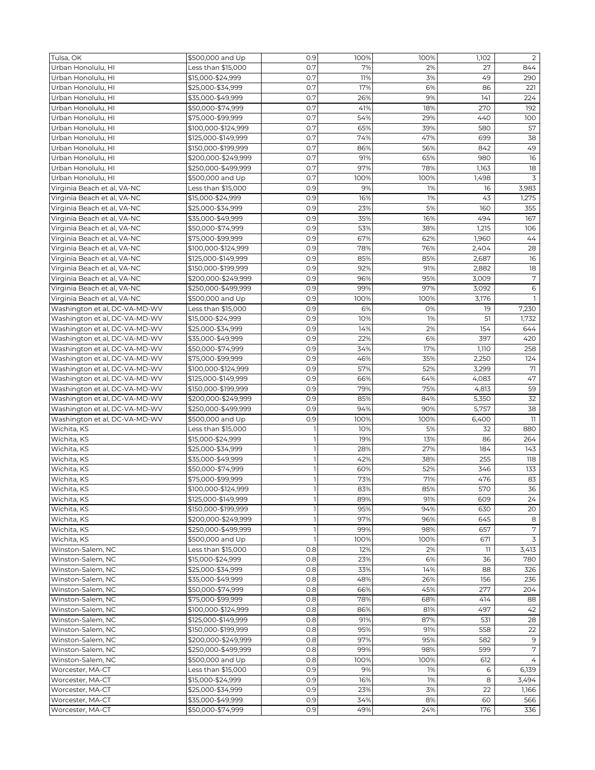| 0.7<br>Urban Honolulu, HI<br>Less than \$15,000<br>7%<br>2%<br>27<br>0.7<br>Urban Honolulu, HI<br>\$15,000-\$24,999<br>11%<br>3%<br>49<br>\$25,000-\$34,999<br>0.7<br>17%<br>Urban Honolulu, HI<br>6%<br>86<br>0.7<br>9%<br>141<br>26%<br>Urban Honolulu, HI<br>\$35,000-\$49,999<br>0.7<br>41%<br>18%<br>270<br>Urban Honolulu, HI<br>\$50,000-\$74,999<br>0.7<br>Urban Honolulu, HI<br>54%<br>440<br>\$75,000-\$99,999<br>29%<br>0.7<br>65%<br>39%<br>Urban Honolulu, HI<br>\$100,000-\$124,999<br>580<br>O.7<br>74%<br>47%<br>699<br>Urban Honolulu, HI<br>\$125,000-\$149,999<br>\$150,000-\$199,999<br>0.7<br>86%<br>56%<br>842<br>Urban Honolulu, HI<br>Urban Honolulu, HI<br>0.7<br>\$200,000-\$249,999<br>91%<br>65%<br>980<br>O.7<br>97%<br>78%<br>1,163<br>Urban Honolulu, HI<br>\$250,000-\$499,999<br>0.7<br>Urban Honolulu, HI<br>100%<br>100%<br>1,498<br>\$500,000 and Up<br>Virginia Beach et al, VA-NC<br>Less than \$15,000<br>0.9<br>9%<br>1%<br>16<br>16%<br>Virginia Beach et al, VA-NC<br>\$15,000-\$24,999<br>0.9<br>1%<br>43<br>0.9<br>23%<br>5%<br>160<br>Virginia Beach et al, VA-NC<br>\$25,000-\$34,999<br>35%<br>16%<br>0.9<br>494<br>Virginia Beach et al, VA-NC<br>\$35,000-\$49,999 | 844<br>290<br>221 |
|---------------------------------------------------------------------------------------------------------------------------------------------------------------------------------------------------------------------------------------------------------------------------------------------------------------------------------------------------------------------------------------------------------------------------------------------------------------------------------------------------------------------------------------------------------------------------------------------------------------------------------------------------------------------------------------------------------------------------------------------------------------------------------------------------------------------------------------------------------------------------------------------------------------------------------------------------------------------------------------------------------------------------------------------------------------------------------------------------------------------------------------------------------------------------------------------------------------------|-------------------|
|                                                                                                                                                                                                                                                                                                                                                                                                                                                                                                                                                                                                                                                                                                                                                                                                                                                                                                                                                                                                                                                                                                                                                                                                                     |                   |
|                                                                                                                                                                                                                                                                                                                                                                                                                                                                                                                                                                                                                                                                                                                                                                                                                                                                                                                                                                                                                                                                                                                                                                                                                     |                   |
|                                                                                                                                                                                                                                                                                                                                                                                                                                                                                                                                                                                                                                                                                                                                                                                                                                                                                                                                                                                                                                                                                                                                                                                                                     |                   |
|                                                                                                                                                                                                                                                                                                                                                                                                                                                                                                                                                                                                                                                                                                                                                                                                                                                                                                                                                                                                                                                                                                                                                                                                                     | 224               |
|                                                                                                                                                                                                                                                                                                                                                                                                                                                                                                                                                                                                                                                                                                                                                                                                                                                                                                                                                                                                                                                                                                                                                                                                                     | 192               |
|                                                                                                                                                                                                                                                                                                                                                                                                                                                                                                                                                                                                                                                                                                                                                                                                                                                                                                                                                                                                                                                                                                                                                                                                                     | 100               |
|                                                                                                                                                                                                                                                                                                                                                                                                                                                                                                                                                                                                                                                                                                                                                                                                                                                                                                                                                                                                                                                                                                                                                                                                                     | 57                |
|                                                                                                                                                                                                                                                                                                                                                                                                                                                                                                                                                                                                                                                                                                                                                                                                                                                                                                                                                                                                                                                                                                                                                                                                                     | 38                |
|                                                                                                                                                                                                                                                                                                                                                                                                                                                                                                                                                                                                                                                                                                                                                                                                                                                                                                                                                                                                                                                                                                                                                                                                                     | 49                |
|                                                                                                                                                                                                                                                                                                                                                                                                                                                                                                                                                                                                                                                                                                                                                                                                                                                                                                                                                                                                                                                                                                                                                                                                                     | 16                |
|                                                                                                                                                                                                                                                                                                                                                                                                                                                                                                                                                                                                                                                                                                                                                                                                                                                                                                                                                                                                                                                                                                                                                                                                                     | 18                |
|                                                                                                                                                                                                                                                                                                                                                                                                                                                                                                                                                                                                                                                                                                                                                                                                                                                                                                                                                                                                                                                                                                                                                                                                                     | 3                 |
|                                                                                                                                                                                                                                                                                                                                                                                                                                                                                                                                                                                                                                                                                                                                                                                                                                                                                                                                                                                                                                                                                                                                                                                                                     | 3,983             |
|                                                                                                                                                                                                                                                                                                                                                                                                                                                                                                                                                                                                                                                                                                                                                                                                                                                                                                                                                                                                                                                                                                                                                                                                                     | 1,275             |
|                                                                                                                                                                                                                                                                                                                                                                                                                                                                                                                                                                                                                                                                                                                                                                                                                                                                                                                                                                                                                                                                                                                                                                                                                     | 355               |
|                                                                                                                                                                                                                                                                                                                                                                                                                                                                                                                                                                                                                                                                                                                                                                                                                                                                                                                                                                                                                                                                                                                                                                                                                     | 167               |
| Virginia Beach et al, VA-NC<br>0.9<br>53%<br>38%<br>1,215<br>\$50,000-\$74,999                                                                                                                                                                                                                                                                                                                                                                                                                                                                                                                                                                                                                                                                                                                                                                                                                                                                                                                                                                                                                                                                                                                                      | 106               |
| 0.9<br>67%<br>62%<br>1,960<br>Virginia Beach et al, VA-NC<br>\$75,000-\$99,999                                                                                                                                                                                                                                                                                                                                                                                                                                                                                                                                                                                                                                                                                                                                                                                                                                                                                                                                                                                                                                                                                                                                      | 44                |
| 78%<br>0.9<br>76%<br>2,404<br>Virginia Beach et al, VA-NC<br>\$100,000-\$124,999                                                                                                                                                                                                                                                                                                                                                                                                                                                                                                                                                                                                                                                                                                                                                                                                                                                                                                                                                                                                                                                                                                                                    | 28                |
| Virginia Beach et al, VA-NC<br>\$125,000-\$149,999<br>0.9<br>85%<br>85%<br>2,687                                                                                                                                                                                                                                                                                                                                                                                                                                                                                                                                                                                                                                                                                                                                                                                                                                                                                                                                                                                                                                                                                                                                    | 16                |
| Virginia Beach et al, VA-NC<br>\$150,000-\$199,999<br>0.9<br>92%<br>91%<br>2,882                                                                                                                                                                                                                                                                                                                                                                                                                                                                                                                                                                                                                                                                                                                                                                                                                                                                                                                                                                                                                                                                                                                                    | 18                |
| 0.9<br>Virginia Beach et al, VA-NC<br>\$200,000-\$249,999<br>96%<br>95%<br>3,009                                                                                                                                                                                                                                                                                                                                                                                                                                                                                                                                                                                                                                                                                                                                                                                                                                                                                                                                                                                                                                                                                                                                    | 7                 |
| 0.9<br>99%<br>97%<br>Virginia Beach et al, VA-NC<br>\$250,000-\$499,999<br>3,092                                                                                                                                                                                                                                                                                                                                                                                                                                                                                                                                                                                                                                                                                                                                                                                                                                                                                                                                                                                                                                                                                                                                    | 6                 |
| Virginia Beach et al, VA-NC<br>0.9<br>100%<br>3,176<br>\$500,000 and Up<br>100%                                                                                                                                                                                                                                                                                                                                                                                                                                                                                                                                                                                                                                                                                                                                                                                                                                                                                                                                                                                                                                                                                                                                     | $\overline{1}$    |
| Washington et al, DC-VA-MD-WV<br>0.9<br>6%<br>0%<br>19                                                                                                                                                                                                                                                                                                                                                                                                                                                                                                                                                                                                                                                                                                                                                                                                                                                                                                                                                                                                                                                                                                                                                              | 7,230             |
| Less than \$15,000<br>\$15,000-\$24,999<br>0.9<br>10%<br>1%<br>51                                                                                                                                                                                                                                                                                                                                                                                                                                                                                                                                                                                                                                                                                                                                                                                                                                                                                                                                                                                                                                                                                                                                                   |                   |
| Washington et al, DC-VA-MD-WV<br>0.9<br>14%<br>2%<br>154                                                                                                                                                                                                                                                                                                                                                                                                                                                                                                                                                                                                                                                                                                                                                                                                                                                                                                                                                                                                                                                                                                                                                            | 1,732<br>644      |
| Washington et al, DC-VA-MD-WV<br>\$25,000-\$34,999                                                                                                                                                                                                                                                                                                                                                                                                                                                                                                                                                                                                                                                                                                                                                                                                                                                                                                                                                                                                                                                                                                                                                                  |                   |
| Washington et al, DC-VA-MD-WV<br>397<br>\$35,000-\$49,999<br>0.9<br>22%<br>6%                                                                                                                                                                                                                                                                                                                                                                                                                                                                                                                                                                                                                                                                                                                                                                                                                                                                                                                                                                                                                                                                                                                                       | 420               |
| 17%<br>Washington et al, DC-VA-MD-WV<br>0.9<br>34%<br>1,110<br>\$50,000-\$74,999                                                                                                                                                                                                                                                                                                                                                                                                                                                                                                                                                                                                                                                                                                                                                                                                                                                                                                                                                                                                                                                                                                                                    | 258               |
| 0.9<br>46%<br>35%<br>2,250<br>Washington et al, DC-VA-MD-WV<br>\$75,000-\$99,999                                                                                                                                                                                                                                                                                                                                                                                                                                                                                                                                                                                                                                                                                                                                                                                                                                                                                                                                                                                                                                                                                                                                    | 124               |
| Washington et al, DC-VA-MD-WV<br>0.9<br>57%<br>52%<br>3,299<br>\$100,000-\$124,999                                                                                                                                                                                                                                                                                                                                                                                                                                                                                                                                                                                                                                                                                                                                                                                                                                                                                                                                                                                                                                                                                                                                  | 71                |
| Washington et al, DC-VA-MD-WV<br>\$125,000-\$149,999<br>0.9<br>66%<br>64%<br>4,083                                                                                                                                                                                                                                                                                                                                                                                                                                                                                                                                                                                                                                                                                                                                                                                                                                                                                                                                                                                                                                                                                                                                  | 47                |
| 75%<br>Washington et al, DC-VA-MD-WV<br>0.9<br>79%<br>4,813<br>\$150,000-\$199,999                                                                                                                                                                                                                                                                                                                                                                                                                                                                                                                                                                                                                                                                                                                                                                                                                                                                                                                                                                                                                                                                                                                                  | 59                |
| Washington et al, DC-VA-MD-WV<br>\$200,000-\$249,999<br>0.9<br>85%<br>84%<br>5,350                                                                                                                                                                                                                                                                                                                                                                                                                                                                                                                                                                                                                                                                                                                                                                                                                                                                                                                                                                                                                                                                                                                                  | 32                |
| Washington et al, DC-VA-MD-WV<br>0.9<br>94%<br>5,757<br>\$250,000-\$499,999<br>90%                                                                                                                                                                                                                                                                                                                                                                                                                                                                                                                                                                                                                                                                                                                                                                                                                                                                                                                                                                                                                                                                                                                                  | 38                |
| Washington et al, DC-VA-MD-WV<br>0.9<br>100%<br>100%<br>\$500,000 and Up<br>6,400                                                                                                                                                                                                                                                                                                                                                                                                                                                                                                                                                                                                                                                                                                                                                                                                                                                                                                                                                                                                                                                                                                                                   | 11                |
| Less than \$15,000<br>$\mathbf{1}$<br>10%<br>5%<br>32<br>Wichita, KS                                                                                                                                                                                                                                                                                                                                                                                                                                                                                                                                                                                                                                                                                                                                                                                                                                                                                                                                                                                                                                                                                                                                                | 880               |
| $\mathbf{I}$<br>13%<br>Wichita, KS<br>\$15,000-\$24,999<br>19%<br>86                                                                                                                                                                                                                                                                                                                                                                                                                                                                                                                                                                                                                                                                                                                                                                                                                                                                                                                                                                                                                                                                                                                                                | 264               |
| Wichita, KS<br>\$25,000-\$34,999<br>1<br>28%<br>27%<br>184                                                                                                                                                                                                                                                                                                                                                                                                                                                                                                                                                                                                                                                                                                                                                                                                                                                                                                                                                                                                                                                                                                                                                          | 143               |
| $\mathbf{1}$<br>42%<br>38%<br>255<br>Wichita, KS<br>\$35,000-\$49,999                                                                                                                                                                                                                                                                                                                                                                                                                                                                                                                                                                                                                                                                                                                                                                                                                                                                                                                                                                                                                                                                                                                                               | 118               |
| $\mathbf{I}$<br>Wichita, KS<br>\$50,000-\$74,999<br>60%<br>52%<br>346                                                                                                                                                                                                                                                                                                                                                                                                                                                                                                                                                                                                                                                                                                                                                                                                                                                                                                                                                                                                                                                                                                                                               | 133               |
| Wichita, KS<br>\$75,000-\$99,999<br>$\overline{1}$<br>73%<br>71%<br>476                                                                                                                                                                                                                                                                                                                                                                                                                                                                                                                                                                                                                                                                                                                                                                                                                                                                                                                                                                                                                                                                                                                                             | 83                |
| Wichita, KS<br>\$100,000-\$124,999<br>L<br>83%<br>85%<br>570                                                                                                                                                                                                                                                                                                                                                                                                                                                                                                                                                                                                                                                                                                                                                                                                                                                                                                                                                                                                                                                                                                                                                        | 36                |
| \$125,000-\$149,999<br>$\overline{1}$<br>91%<br>Wichita, KS<br>89%<br>609                                                                                                                                                                                                                                                                                                                                                                                                                                                                                                                                                                                                                                                                                                                                                                                                                                                                                                                                                                                                                                                                                                                                           | 24                |
| Wichita, KS<br>\$150,000-\$199,999<br>1<br>95%<br>94%<br>630                                                                                                                                                                                                                                                                                                                                                                                                                                                                                                                                                                                                                                                                                                                                                                                                                                                                                                                                                                                                                                                                                                                                                        | 20                |
| \$200,000-\$249,999<br>$\mathbf{1}$<br>97%<br>Wichita, KS<br>96%<br>645                                                                                                                                                                                                                                                                                                                                                                                                                                                                                                                                                                                                                                                                                                                                                                                                                                                                                                                                                                                                                                                                                                                                             | 8                 |
| $\mathbf{1}$<br>\$250,000-\$499,999<br>99%<br>98%<br>657<br>Wichita, KS                                                                                                                                                                                                                                                                                                                                                                                                                                                                                                                                                                                                                                                                                                                                                                                                                                                                                                                                                                                                                                                                                                                                             | 7                 |
| Wichita, KS<br>$\overline{1}$<br>100%<br>100%<br>671<br>\$500,000 and Up                                                                                                                                                                                                                                                                                                                                                                                                                                                                                                                                                                                                                                                                                                                                                                                                                                                                                                                                                                                                                                                                                                                                            | $\overline{3}$    |
| Winston-Salem, NC<br>Less than \$15,000<br>0.8<br>11<br>12%<br>2%                                                                                                                                                                                                                                                                                                                                                                                                                                                                                                                                                                                                                                                                                                                                                                                                                                                                                                                                                                                                                                                                                                                                                   | 3,413             |
| Winston-Salem, NC<br>\$15,000-\$24,999<br>0.8<br>23%<br>6%<br>36                                                                                                                                                                                                                                                                                                                                                                                                                                                                                                                                                                                                                                                                                                                                                                                                                                                                                                                                                                                                                                                                                                                                                    | 780               |
| Winston-Salem, NC<br>\$25,000-\$34,999<br>0.8<br>33%<br>14%<br>88                                                                                                                                                                                                                                                                                                                                                                                                                                                                                                                                                                                                                                                                                                                                                                                                                                                                                                                                                                                                                                                                                                                                                   | 326               |
| Winston-Salem, NC<br>\$35,000-\$49,999<br>0.8<br>156<br>48%<br>26%                                                                                                                                                                                                                                                                                                                                                                                                                                                                                                                                                                                                                                                                                                                                                                                                                                                                                                                                                                                                                                                                                                                                                  | 236               |
| Winston-Salem, NC<br>\$50,000-\$74,999<br>45%<br>277<br>0.8<br>66%                                                                                                                                                                                                                                                                                                                                                                                                                                                                                                                                                                                                                                                                                                                                                                                                                                                                                                                                                                                                                                                                                                                                                  | 204               |
| 0.8<br>78%<br>68%<br>Winston-Salem, NC<br>\$75,000-\$99,999<br>414                                                                                                                                                                                                                                                                                                                                                                                                                                                                                                                                                                                                                                                                                                                                                                                                                                                                                                                                                                                                                                                                                                                                                  | 88                |
| 0.8<br>497<br>Winston-Salem, NC<br>\$100,000-\$124,999<br>86%<br>81%                                                                                                                                                                                                                                                                                                                                                                                                                                                                                                                                                                                                                                                                                                                                                                                                                                                                                                                                                                                                                                                                                                                                                | 42                |
| Winston-Salem, NC<br>\$125,000-\$149,999<br>0.8<br>91%<br>87%<br>531                                                                                                                                                                                                                                                                                                                                                                                                                                                                                                                                                                                                                                                                                                                                                                                                                                                                                                                                                                                                                                                                                                                                                | 28                |
| Winston-Salem, NC<br>\$150,000-\$199,999<br>0.8<br>95%<br>91%<br>558                                                                                                                                                                                                                                                                                                                                                                                                                                                                                                                                                                                                                                                                                                                                                                                                                                                                                                                                                                                                                                                                                                                                                | 22                |
| Winston-Salem, NC<br>\$200,000-\$249,999<br>0.8<br>97%<br>95%<br>582                                                                                                                                                                                                                                                                                                                                                                                                                                                                                                                                                                                                                                                                                                                                                                                                                                                                                                                                                                                                                                                                                                                                                | 9                 |
| Winston-Salem, NC<br>\$250,000-\$499,999<br>0.8<br>99%<br>98%<br>599                                                                                                                                                                                                                                                                                                                                                                                                                                                                                                                                                                                                                                                                                                                                                                                                                                                                                                                                                                                                                                                                                                                                                | 7                 |
| Winston-Salem, NC<br>\$500,000 and Up<br>0.8<br>100%<br>100%<br>612                                                                                                                                                                                                                                                                                                                                                                                                                                                                                                                                                                                                                                                                                                                                                                                                                                                                                                                                                                                                                                                                                                                                                 | 4                 |
| 0.9<br>1%<br>Worcester, MA-CT<br>Less than \$15,000<br>9%<br>6                                                                                                                                                                                                                                                                                                                                                                                                                                                                                                                                                                                                                                                                                                                                                                                                                                                                                                                                                                                                                                                                                                                                                      | 6,139             |
| Worcester, MA-CT<br>\$15,000-\$24,999<br>0.9<br>16%<br>1%<br>8                                                                                                                                                                                                                                                                                                                                                                                                                                                                                                                                                                                                                                                                                                                                                                                                                                                                                                                                                                                                                                                                                                                                                      | 3,494             |
| 3%<br>\$25,000-\$34,999<br>0.9<br>23%<br>22<br>Worcester, MA-CT                                                                                                                                                                                                                                                                                                                                                                                                                                                                                                                                                                                                                                                                                                                                                                                                                                                                                                                                                                                                                                                                                                                                                     | 1,166             |
|                                                                                                                                                                                                                                                                                                                                                                                                                                                                                                                                                                                                                                                                                                                                                                                                                                                                                                                                                                                                                                                                                                                                                                                                                     | 566               |
| Worcester, MA-CT<br>\$35,000-\$49,999<br>0.9<br>34%<br>8%<br>60                                                                                                                                                                                                                                                                                                                                                                                                                                                                                                                                                                                                                                                                                                                                                                                                                                                                                                                                                                                                                                                                                                                                                     | 336               |